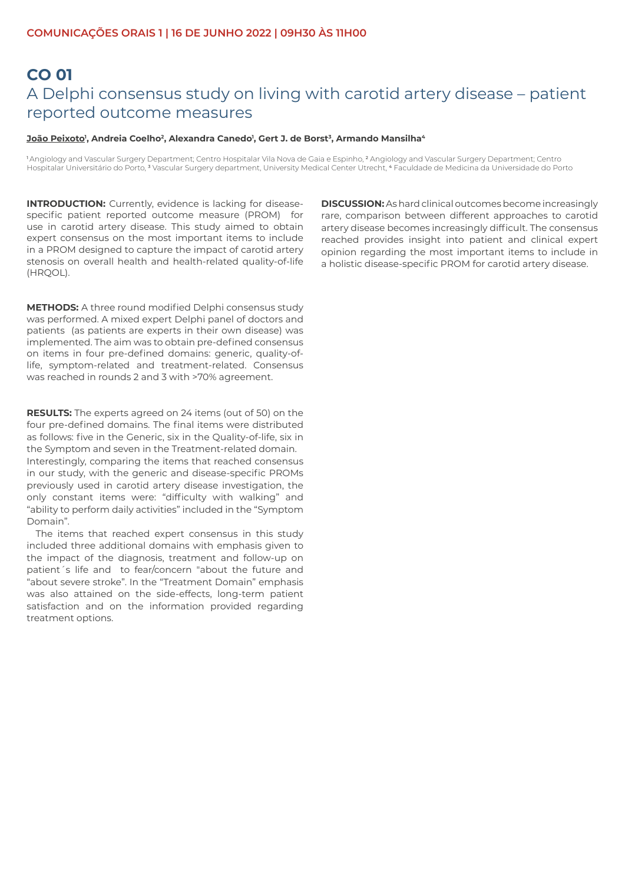# **CO 01**  A Delphi consensus study on living with carotid artery disease – patient reported outcome measures

#### <u>João Peixoto</u>', Andreia Coelho<sup>2</sup>, Alexandra Canedo', Gert J. de Borst<sup>3</sup>, Armando Mansilha<sup>4</sup>

<sup>1</sup>Angiology and Vascular Surgery Department; Centro Hospitalar Vila Nova de Gaia e Espinho, <sup>2</sup> Angiology and Vascular Surgery Department; Centro Hospitalar Universitário do Porto, <sup>3</sup> Vascular Surgery department, University Medical Center Utrecht, <sup>4</sup> Faculdade de Medicina da Universidade do Porto

**INTRODUCTION:** Currently, evidence is lacking for diseasespecific patient reported outcome measure (PROM) for use in carotid artery disease. This study aimed to obtain expert consensus on the most important items to include in a PROM designed to capture the impact of carotid artery stenosis on overall health and health-related quality-of-life (HRQOL).

**METHODS:** A three round modified Delphi consensus study was performed. A mixed expert Delphi panel of doctors and patients (as patients are experts in their own disease) was implemented. The aim was to obtain pre-defined consensus on items in four pre-defined domains: generic, quality-oflife, symptom-related and treatment-related. Consensus was reached in rounds 2 and 3 with >70% agreement.

**RESULTS:** The experts agreed on 24 items (out of 50) on the four pre-defined domains. The final items were distributed as follows: five in the Generic, six in the Quality-of-life, six in the Symptom and seven in the Treatment-related domain. Interestingly, comparing the items that reached consensus in our study, with the generic and disease-specific PROMs previously used in carotid artery disease investigation, the only constant items were: "difficulty with walking" and "ability to perform daily activities" included in the "Symptom Domain".

The items that reached expert consensus in this study included three additional domains with emphasis given to the impact of the diagnosis, treatment and follow-up on patient´s life and to fear/concern "about the future and "about severe stroke". In the "Treatment Domain" emphasis was also attained on the side-effects, long-term patient satisfaction and on the information provided regarding treatment options.

**DISCUSSION:** As hard clinical outcomes become increasingly rare, comparison between different approaches to carotid artery disease becomes increasingly difficult. The consensus reached provides insight into patient and clinical expert opinion regarding the most important items to include in a holistic disease-specific PROM for carotid artery disease.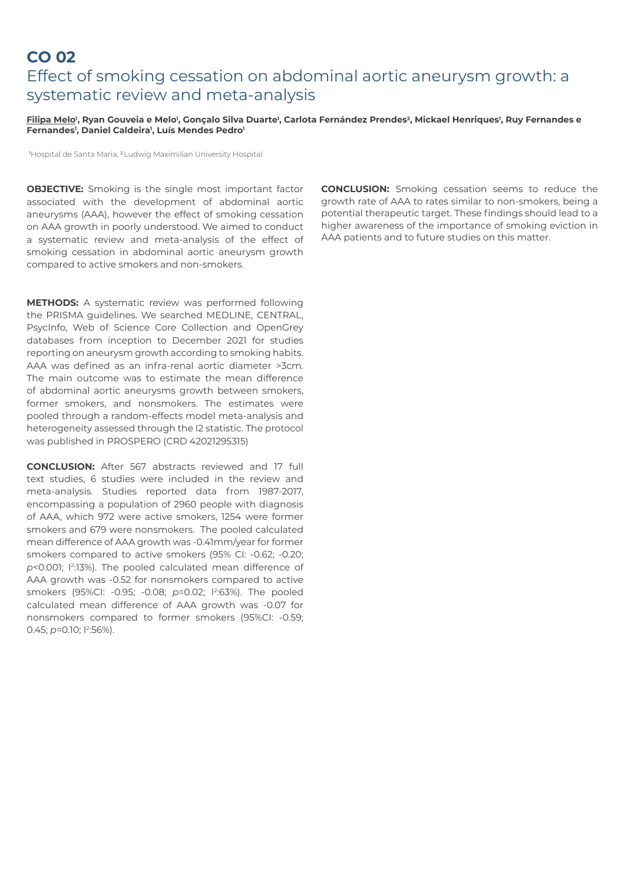### **CO 02**  Effect of smoking cessation on abdominal aortic aneurysm growth: a systematic review and meta-analysis

#### <u>Filipa Melo</u>', Ryan Gouveia e Melo', Gonçalo Silva Duarte', Carlota Fernández Prendes<sup>2</sup>, Mickael Henriques', Ruy Fernandes e **Fernandes1 , Daniel Caldeira1 , Luís Mendes Pedro1**

1Hospital de Santa Maria, 2 Ludwig Maximilian University Hospital

**OBJECTIVE:** Smoking is the single most important factor associated with the development of abdominal aortic aneurysms (AAA), however the effect of smoking cessation on AAA growth in poorly understood. We aimed to conduct a systematic review and meta-analysis of the effect of smoking cessation in abdominal aortic aneurysm growth compared to active smokers and non-smokers.

**METHODS:** A systematic review was performed following the PRISMA guidelines. We searched MEDLINE, CENTRAL, PsycInfo, Web of Science Core Collection and OpenGrey databases from inception to December 2021 for studies reporting on aneurysm growth according to smoking habits. AAA was defined as an infra-renal aortic diameter >3cm. The main outcome was to estimate the mean difference of abdominal aortic aneurysms growth between smokers, former smokers, and nonsmokers. The estimates were pooled through a random-effects model meta-analysis and heterogeneity assessed through the I2 statistic. The protocol was published in PROSPERO (CRD 42021295315)

**CONCLUSION:** After 567 abstracts reviewed and 17 full text studies, 6 studies were included in the review and meta-analysis. Studies reported data from 1987-2017, encompassing a population of 2960 people with diagnosis of AAA, which 972 were active smokers, 1254 were former smokers and 679 were nonsmokers. The pooled calculated mean difference of AAA growth was -0.41mm/year for former smokers compared to active smokers (95% CI: -0.62; -0.20; p<0.001; I<sup>2:</sup>13%). The pooled calculated mean difference of AAA growth was -0.52 for nonsmokers compared to active smokers (95%CI: -0.95; -0.08; *p*=0.02; I<sup>2</sup> :63%). The pooled calculated mean difference of AAA growth was -0.07 for nonsmokers compared to former smokers (95%CI: -0.59; 0.45; p=0.10; l<sup>2</sup>:56%).

**CONCLUSION:** Smoking cessation seems to reduce the growth rate of AAA to rates similar to non-smokers, being a potential therapeutic target. These findings should lead to a higher awareness of the importance of smoking eviction in AAA patients and to future studies on this matter.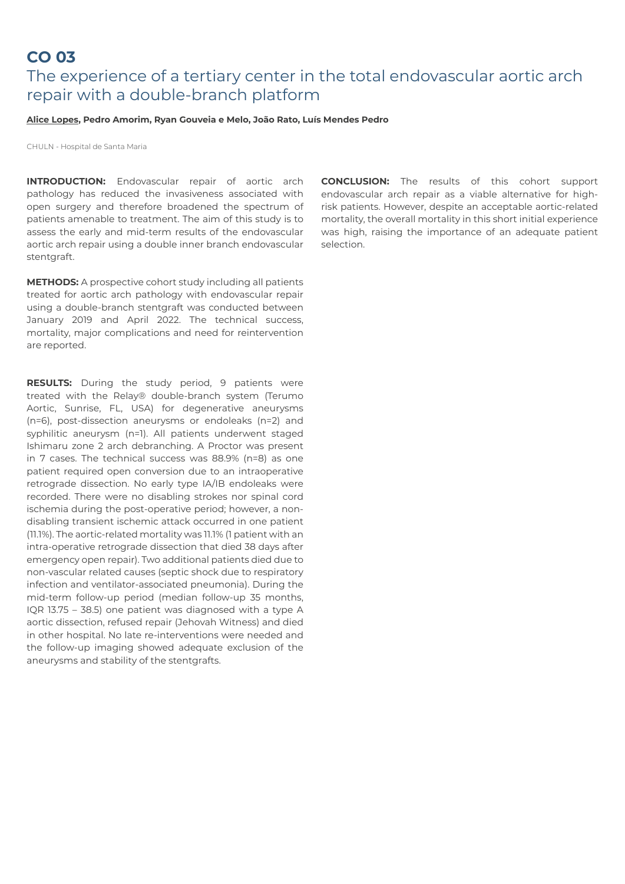### **CO 03**

# The experience of a tertiary center in the total endovascular aortic arch repair with a double-branch platform

### **Alice Lopes, Pedro Amorim, Ryan Gouveia e Melo, João Rato, Luís Mendes Pedro**

CHULN - Hospital de Santa Maria

**INTRODUCTION:** Endovascular repair of aortic arch pathology has reduced the invasiveness associated with open surgery and therefore broadened the spectrum of patients amenable to treatment. The aim of this study is to assess the early and mid-term results of the endovascular aortic arch repair using a double inner branch endovascular stentgraft.

**METHODS:** A prospective cohort study including all patients treated for aortic arch pathology with endovascular repair using a double-branch stentgraft was conducted between January 2019 and April 2022. The technical success, mortality, major complications and need for reintervention are reported.

**RESULTS:** During the study period, 9 patients were treated with the Relay® double-branch system (Terumo Aortic, Sunrise, FL, USA) for degenerative aneurysms (n=6), post-dissection aneurysms or endoleaks (n=2) and syphilitic aneurysm (n=1). All patients underwent staged Ishimaru zone 2 arch debranching. A Proctor was present in 7 cases. The technical success was 88.9% (n=8) as one patient required open conversion due to an intraoperative retrograde dissection. No early type IA/IB endoleaks were recorded. There were no disabling strokes nor spinal cord ischemia during the post-operative period; however, a nondisabling transient ischemic attack occurred in one patient (11.1%). The aortic-related mortality was 11.1% (1 patient with an intra-operative retrograde dissection that died 38 days after emergency open repair). Two additional patients died due to non-vascular related causes (septic shock due to respiratory infection and ventilator-associated pneumonia). During the mid-term follow-up period (median follow-up 35 months, IQR 13.75 – 38.5) one patient was diagnosed with a type A aortic dissection, refused repair (Jehovah Witness) and died in other hospital. No late re-interventions were needed and the follow-up imaging showed adequate exclusion of the aneurysms and stability of the stentgrafts.

**CONCLUSION:** The results of this cohort support endovascular arch repair as a viable alternative for highrisk patients. However, despite an acceptable aortic-related mortality, the overall mortality in this short initial experience was high, raising the importance of an adequate patient selection.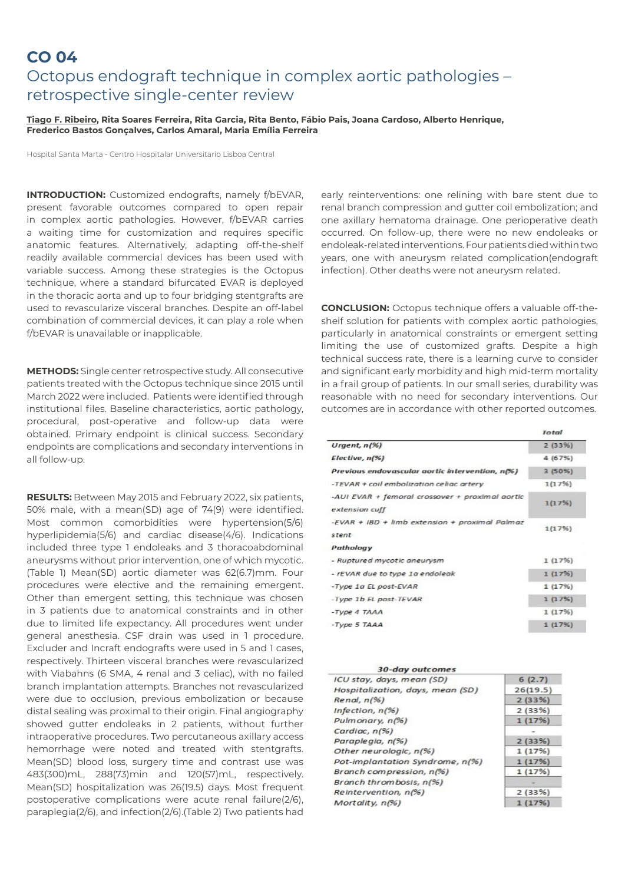### **CO 04**

# Octopus endograft technique in complex aortic pathologies – retrospective single-center review

#### **Tiago F. Ribeiro, Rita Soares Ferreira, Rita Garcia, Rita Bento, Fábio Pais, Joana Cardoso, Alberto Henrique, Frederico Bastos Gonçalves, Carlos Amaral, Maria Emília Ferreira**

Hospital Santa Marta - Centro Hospitalar Universitario Lisboa Central

**INTRODUCTION:** Customized endografts, namely f/bEVAR, present favorable outcomes compared to open repair in complex aortic pathologies. However, f/bEVAR carries a waiting time for customization and requires specific anatomic features. Alternatively, adapting off-the-shelf readily available commercial devices has been used with variable success. Among these strategies is the Octopus technique, where a standard bifurcated EVAR is deployed in the thoracic aorta and up to four bridging stentgrafts are used to revascularize visceral branches. Despite an off-label combination of commercial devices, it can play a role when f/bEVAR is unavailable or inapplicable.

**METHODS:** Single center retrospective study. All consecutive patients treated with the Octopus technique since 2015 until March 2022 were included. Patients were identified through institutional files. Baseline characteristics, aortic pathology, procedural, post-operative and follow-up data were obtained. Primary endpoint is clinical success. Secondary endpoints are complications and secondary interventions in all follow-up.

**RESULTS:** Between May 2015 and February 2022, six patients, 50% male, with a mean(SD) age of 74(9) were identified. Most common comorbidities were hypertension(5/6) hyperlipidemia(5/6) and cardiac disease(4/6). Indications included three type 1 endoleaks and 3 thoracoabdominal aneurysms without prior intervention, one of which mycotic. (Table 1) Mean(SD) aortic diameter was 62(6.7)mm. Four procedures were elective and the remaining emergent. Other than emergent setting, this technique was chosen in 3 patients due to anatomical constraints and in other due to limited life expectancy. All procedures went under general anesthesia. CSF drain was used in 1 procedure. Excluder and Incraft endografts were used in 5 and 1 cases, respectively. Thirteen visceral branches were revascularized with Viabahns (6 SMA, 4 renal and 3 celiac), with no failed branch implantation attempts. Branches not revascularized were due to occlusion, previous embolization or because distal sealing was proximal to their origin. Final angiography showed gutter endoleaks in 2 patients, without further intraoperative procedures. Two percutaneous axillary access hemorrhage were noted and treated with stentgrafts. Mean(SD) blood loss, surgery time and contrast use was 483(300)mL, 288(73)min and 120(57)mL, respectively. Mean(SD) hospitalization was 26(19.5) days. Most frequent postoperative complications were acute renal failure(2/6), paraplegia(2/6), and infection(2/6).(Table 2) Two patients had

early reinterventions: one relining with bare stent due to renal branch compression and gutter coil embolization; and one axillary hematoma drainage. One perioperative death occurred. On follow-up, there were no new endoleaks or endoleak-related interventions. Four patients died within two years, one with aneurysm related complication(endograft infection). Other deaths were not aneurysm related.

**CONCLUSION:** Octopus technique offers a valuable off-theshelf solution for patients with complex aortic pathologies, particularly in anatomical constraints or emergent setting limiting the use of customized grafts. Despite a high technical success rate, there is a learning curve to consider and significant early morbidity and high mid-term mortality in a frail group of patients. In our small series, durability was reasonable with no need for secondary interventions. Our outcomes are in accordance with other reported outcomes.

|                                                         | Total     |
|---------------------------------------------------------|-----------|
| Urgent, $n(%)$                                          | 2(33%)    |
| Electric, n(%)                                          | 4 (67%)   |
| Previous endovascular aortic intervention, n(%)         | $3(50\%)$ |
| -TEVAR + coil embolization celiac artery                | 1(17%)    |
| -AUI EVAR + femoral crossover + proximal aortic         | 1(17%)    |
| extension cuff                                          |           |
| -EVAR + IBD + limb extension + proximal Palmaz<br>stent | 1(17%)    |
| Pathology                                               |           |
| - Ruptured mycotic aneurysm                             | 1(17%)    |
| - rEVAR due to type 1a endoleak                         | 1(17%)    |
| -Type 1a EL post-EVAR                                   | 1 (17%)   |
| -Type 1b EL post-TEVAR                                  | 1(17%)    |
| $-T\gamma$ pe 4 $TAAA$                                  | 1(17%)    |
| $-Tvpe$ 5 TAAA                                          | 1 (17%)   |
|                                                         |           |

| 30-day outcomes                  |          |
|----------------------------------|----------|
| ICU stay, days, mean (SD)        | 6(2.7)   |
| Hospitalization, days, mean (SD) | 26(19.5) |
| Renal, n(%)                      | 2(33%)   |
| Infection, $n(%$                 | 2(33%)   |
| Pulmonary, n(%)                  | 1(17%)   |
| Cardiac, $n(%$                   |          |
| Paraplegia, n(%)                 | 2(33%)   |
| Other neurologic, n(%)           | 1(17%)   |
| Pot-implantation Syndrome, n(%)  | 1(17%)   |
| Branch compression, n(%)         | 1(17%)   |
| Branch thrombosis, n(%)          |          |
| Reintervention, n(%)             | 2(33%)   |
| Mortality, n(%)                  | 1(17%)   |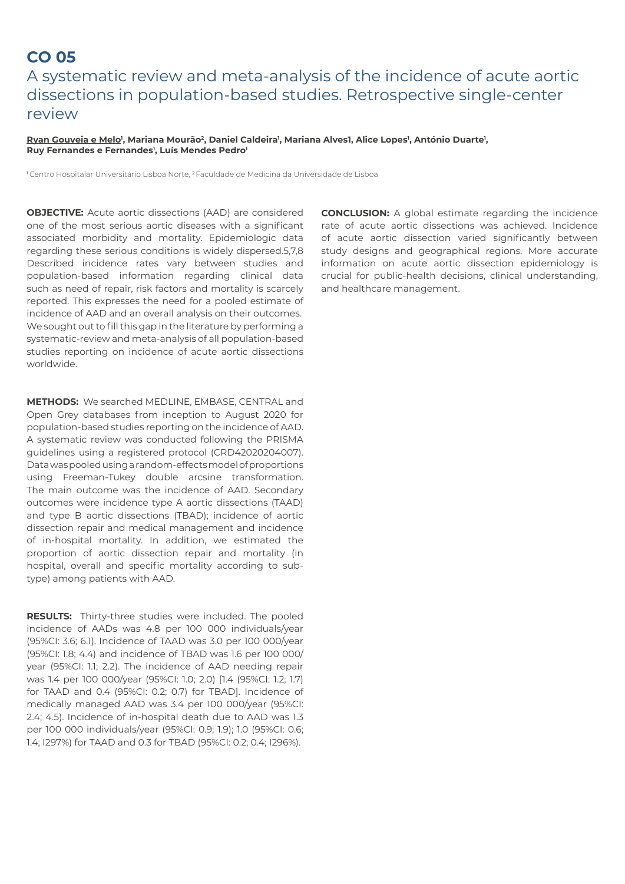## **CO 05**  A systematic review and meta-analysis of the incidence of acute aortic dissections in population-based studies. Retrospective single-center review

<u>Ryan Gouveia e Melo</u>', Mariana Mourão<sup>2</sup>, Daniel Caldeira', Mariana Alves1, Alice Lopes', António Duarte', Ruy Fernandes e Fernandes<sup>1</sup>, Luís Mendes Pedro<sup>1</sup>

1 Centro Hospitalar Universitário Lisboa Norte, 2 Faculdade de Medicina da Universidade de Lisboa

**OBJECTIVE:** Acute aortic dissections (AAD) are considered one of the most serious aortic diseases with a significant associated morbidity and mortality. Epidemiologic data regarding these serious conditions is widely dispersed.5,7,8 Described incidence rates vary between studies and population-based information regarding clinical data such as need of repair, risk factors and mortality is scarcely reported. This expresses the need for a pooled estimate of incidence of AAD and an overall analysis on their outcomes. We sought out to fill this gap in the literature by performing a systematic-review and meta-analysis of all population-based studies reporting on incidence of acute aortic dissections worldwide.

**METHODS:** We searched MEDLINE, EMBASE, CENTRAL and Open Grey databases from inception to August 2020 for population-based studies reporting on the incidence of AAD. A systematic review was conducted following the PRISMA guidelines using a registered protocol (CRD42020204007). Data was pooled using a random-effects model of proportions using Freeman-Tukey double arcsine transformation. The main outcome was the incidence of AAD. Secondary outcomes were incidence type A aortic dissections (TAAD) and type B aortic dissections (TBAD); incidence of aortic dissection repair and medical management and incidence of in-hospital mortality. In addition, we estimated the proportion of aortic dissection repair and mortality (in hospital, overall and specific mortality according to subtype) among patients with AAD.

**RESULTS:** Thirty-three studies were included. The pooled incidence of AADs was 4.8 per 100 000 individuals/year (95%CI: 3.6; 6.1). Incidence of TAAD was 3.0 per 100 000/year (95%CI: 1.8; 4.4) and incidence of TBAD was 1.6 per 100 000/ year (95%CI: 1.1; 2.2). The incidence of AAD needing repair was 1.4 per 100 000/year (95%CI: 1.0; 2.0) [1.4 (95%CI: 1.2; 1.7) for TAAD and 0.4 (95%CI: 0.2; 0.7) for TBAD]. Incidence of medically managed AAD was 3.4 per 100 000/year (95%CI: 2.4; 4.5). Incidence of in-hospital death due to AAD was 1.3 per 100 000 individuals/year (95%CI: 0.9; 1.9); 1.0 (95%CI: 0.6; 1.4; I297%) for TAAD and 0.3 for TBAD (95%CI: 0.2; 0.4; I296%).

**CONCLUSION:** A global estimate regarding the incidence rate of acute aortic dissections was achieved. Incidence of acute aortic dissection varied significantly between study designs and geographical regions. More accurate information on acute aortic dissection epidemiology is crucial for public-health decisions, clinical understanding, and healthcare management.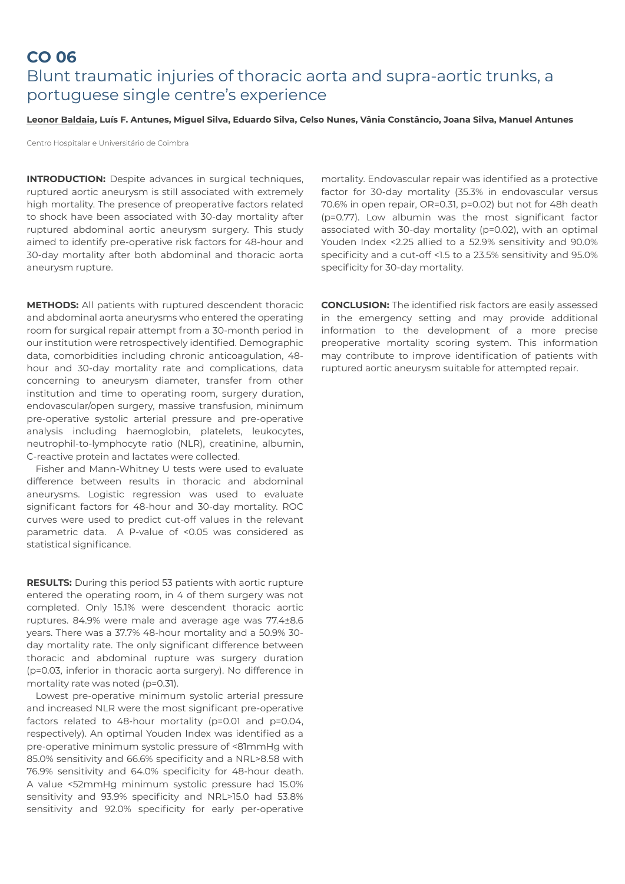### **CO 06**  Blunt traumatic injuries of thoracic aorta and supra-aortic trunks, a portuguese single centre's experience

### **Leonor Baldaia, Luís F. Antunes, Miguel Silva, Eduardo Silva, Celso Nunes, Vânia Constâncio, Joana Silva, Manuel Antunes**

Centro Hospitalar e Universitário de Coimbra

**INTRODUCTION:** Despite advances in surgical techniques, ruptured aortic aneurysm is still associated with extremely high mortality. The presence of preoperative factors related to shock have been associated with 30-day mortality after ruptured abdominal aortic aneurysm surgery. This study aimed to identify pre-operative risk factors for 48-hour and 30-day mortality after both abdominal and thoracic aorta aneurysm rupture.

**METHODS:** All patients with ruptured descendent thoracic and abdominal aorta aneurysms who entered the operating room for surgical repair attempt from a 30-month period in our institution were retrospectively identified. Demographic data, comorbidities including chronic anticoagulation, 48 hour and 30-day mortality rate and complications, data concerning to aneurysm diameter, transfer from other institution and time to operating room, surgery duration, endovascular/open surgery, massive transfusion, minimum pre-operative systolic arterial pressure and pre-operative analysis including haemoglobin, platelets, leukocytes, neutrophil-to-lymphocyte ratio (NLR), creatinine, albumin, C-reactive protein and lactates were collected.

Fisher and Mann-Whitney U tests were used to evaluate difference between results in thoracic and abdominal aneurysms. Logistic regression was used to evaluate significant factors for 48-hour and 30-day mortality. ROC curves were used to predict cut-off values in the relevant parametric data. A P-value of <0.05 was considered as statistical significance.

**RESULTS:** During this period 53 patients with aortic rupture entered the operating room, in 4 of them surgery was not completed. Only 15.1% were descendent thoracic aortic ruptures. 84.9% were male and average age was 77.4±8.6 years. There was a 37.7% 48-hour mortality and a 50.9% 30 day mortality rate. The only significant difference between thoracic and abdominal rupture was surgery duration (p=0.03, inferior in thoracic aorta surgery). No difference in mortality rate was noted (p=0.31).

Lowest pre-operative minimum systolic arterial pressure and increased NLR were the most significant pre-operative factors related to 48-hour mortality (p=0.01 and p=0.04, respectively). An optimal Youden Index was identified as a pre-operative minimum systolic pressure of <81mmHg with 85.0% sensitivity and 66.6% specificity and a NRL>8.58 with 76.9% sensitivity and 64.0% specificity for 48-hour death. A value <52mmHg minimum systolic pressure had 15.0% sensitivity and 93.9% specificity and NRL>15.0 had 53.8% sensitivity and 92.0% specificity for early per-operative

mortality. Endovascular repair was identified as a protective factor for 30-day mortality (35.3% in endovascular versus 70.6% in open repair, OR=0.31, p=0.02) but not for 48h death (p=0.77). Low albumin was the most significant factor associated with 30-day mortality (p=0.02), with an optimal Youden Index <2.25 allied to a 52.9% sensitivity and 90.0% specificity and a cut-off <1.5 to a 23.5% sensitivity and 95.0% specificity for 30-day mortality.

**CONCLUSION:** The identified risk factors are easily assessed in the emergency setting and may provide additional information to the development of a more precise preoperative mortality scoring system. This information may contribute to improve identification of patients with ruptured aortic aneurysm suitable for attempted repair.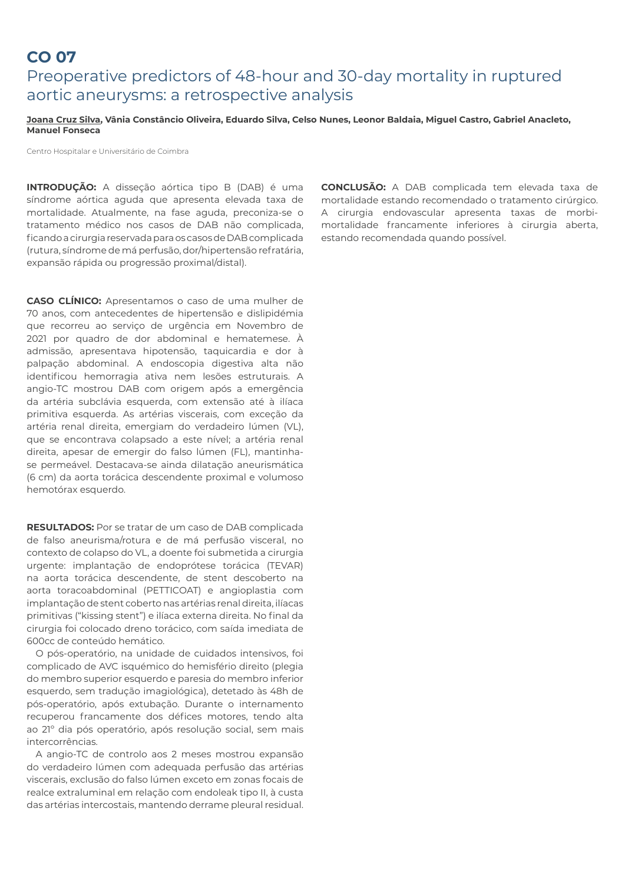### **CO 07**  Preoperative predictors of 48-hour and 30-day mortality in ruptured aortic aneurysms: a retrospective analysis

#### **Joana Cruz Silva, Vânia Constâncio Oliveira, Eduardo Silva, Celso Nunes, Leonor Baldaia, Miguel Castro, Gabriel Anacleto, Manuel Fonseca**

Centro Hospitalar e Universitário de Coimbra

**INTRODUÇÃO:** A disseção aórtica tipo B (DAB) é uma síndrome aórtica aguda que apresenta elevada taxa de mortalidade. Atualmente, na fase aguda, preconiza-se o tratamento médico nos casos de DAB não complicada, ficando a cirurgia reservada para os casos de DAB complicada (rutura, síndrome de má perfusão, dor/hipertensão refratária, expansão rápida ou progressão proximal/distal).

**CASO CLÍNICO:** Apresentamos o caso de uma mulher de 70 anos, com antecedentes de hipertensão e dislipidémia que recorreu ao serviço de urgência em Novembro de 2021 por quadro de dor abdominal e hematemese. À admissão, apresentava hipotensão, taquicardia e dor à palpação abdominal. A endoscopia digestiva alta não identificou hemorragia ativa nem lesões estruturais. A angio-TC mostrou DAB com origem após a emergência da artéria subclávia esquerda, com extensão até à ilíaca primitiva esquerda. As artérias viscerais, com exceção da artéria renal direita, emergiam do verdadeiro lúmen (VL), que se encontrava colapsado a este nível; a artéria renal direita, apesar de emergir do falso lúmen (FL), mantinhase permeável. Destacava-se ainda dilatação aneurismática (6 cm) da aorta torácica descendente proximal e volumoso hemotórax esquerdo.

**RESULTADOS:** Por se tratar de um caso de DAB complicada de falso aneurisma/rotura e de má perfusão visceral, no contexto de colapso do VL, a doente foi submetida a cirurgia urgente: implantação de endoprótese torácica (TEVAR) na aorta torácica descendente, de stent descoberto na aorta toracoabdominal (PETTICOAT) e angioplastia com implantação de stent coberto nas artérias renal direita, ilíacas primitivas ("kissing stent") e ilíaca externa direita. No final da cirurgia foi colocado dreno torácico, com saída imediata de 600cc de conteúdo hemático.

O pós-operatório, na unidade de cuidados intensivos, foi complicado de AVC isquémico do hemisfério direito (plegia do membro superior esquerdo e paresia do membro inferior esquerdo, sem tradução imagiológica), detetado às 48h de pós-operatório, após extubação. Durante o internamento recuperou francamente dos défices motores, tendo alta ao 21º dia pós operatório, após resolução social, sem mais intercorrências.

A angio-TC de controlo aos 2 meses mostrou expansão do verdadeiro lúmen com adequada perfusão das artérias viscerais, exclusão do falso lúmen exceto em zonas focais de realce extraluminal em relação com endoleak tipo II, à custa das artérias intercostais, mantendo derrame pleural residual. **CONCLUSÃO:** A DAB complicada tem elevada taxa de mortalidade estando recomendado o tratamento cirúrgico. A cirurgia endovascular apresenta taxas de morbimortalidade francamente inferiores à cirurgia aberta, estando recomendada quando possível.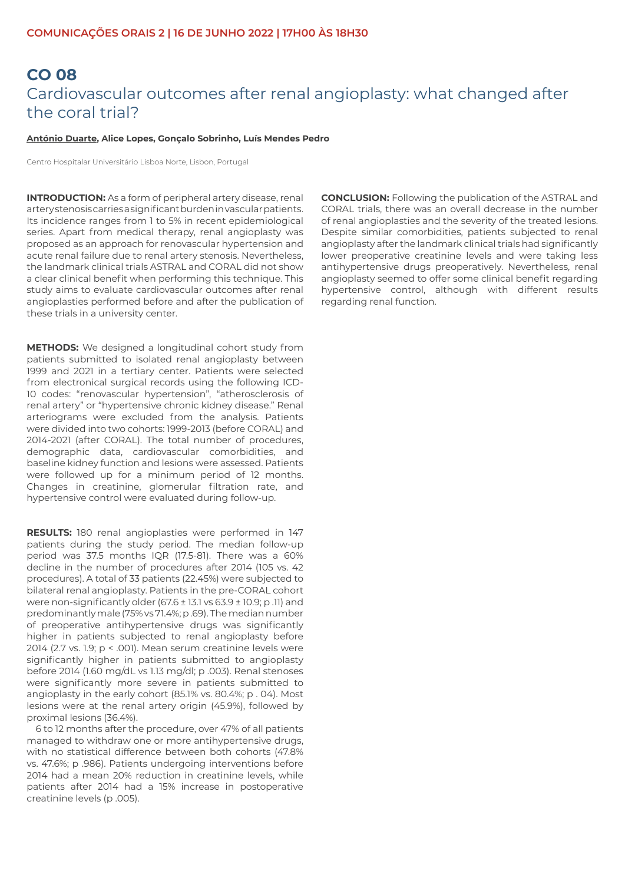# **CO 08**  Cardiovascular outcomes after renal angioplasty: what changed after the coral trial?

#### **António Duarte, Alice Lopes, Gonçalo Sobrinho, Luís Mendes Pedro**

Centro Hospitalar Universitário Lisboa Norte, Lisbon, Portugal

**INTRODUCTION:** As a form of peripheral artery disease, renal artery stenosis carries a significant burden in vascular patients. Its incidence ranges from 1 to 5% in recent epidemiological series. Apart from medical therapy, renal angioplasty was proposed as an approach for renovascular hypertension and acute renal failure due to renal artery stenosis. Nevertheless, the landmark clinical trials ASTRAL and CORAL did not show a clear clinical benefit when performing this technique. This study aims to evaluate cardiovascular outcomes after renal angioplasties performed before and after the publication of these trials in a university center.

**METHODS:** We designed a longitudinal cohort study from patients submitted to isolated renal angioplasty between 1999 and 2021 in a tertiary center. Patients were selected from electronical surgical records using the following ICD-10 codes: "renovascular hypertension", "atherosclerosis of renal artery" or "hypertensive chronic kidney disease." Renal arteriograms were excluded from the analysis. Patients were divided into two cohorts: 1999-2013 (before CORAL) and 2014-2021 (after CORAL). The total number of procedures, demographic data, cardiovascular comorbidities, and baseline kidney function and lesions were assessed. Patients were followed up for a minimum period of 12 months. Changes in creatinine, glomerular filtration rate, and hypertensive control were evaluated during follow-up.

**RESULTS:** 180 renal angioplasties were performed in 147 patients during the study period. The median follow-up period was 37.5 months IQR (17.5-81). There was a 60% decline in the number of procedures after 2014 (105 vs. 42 procedures). A total of 33 patients (22.45%) were subjected to bilateral renal angioplasty. Patients in the pre-CORAL cohort were non-significantly older (67.6 ± 13.1 vs 63.9 ± 10.9; p .11) and predominantly male (75% vs 71.4%; p .69). The median number of preoperative antihypertensive drugs was significantly higher in patients subjected to renal angioplasty before 2014 (2.7 vs. 1.9; p < .001). Mean serum creatinine levels were significantly higher in patients submitted to angioplasty before 2014 (1.60 mg/dL vs 1.13 mg/dl; p .003). Renal stenoses were significantly more severe in patients submitted to angioplasty in the early cohort (85.1% vs. 80.4%; p . 04). Most lesions were at the renal artery origin (45.9%), followed by proximal lesions (36.4%).

6 to 12 months after the procedure, over 47% of all patients managed to withdraw one or more antihypertensive drugs, with no statistical difference between both cohorts (47.8% vs. 47.6%; p .986). Patients undergoing interventions before 2014 had a mean 20% reduction in creatinine levels, while patients after 2014 had a 15% increase in postoperative creatinine levels (p .005).

**CONCLUSION:** Following the publication of the ASTRAL and CORAL trials, there was an overall decrease in the number of renal angioplasties and the severity of the treated lesions. Despite similar comorbidities, patients subjected to renal angioplasty after the landmark clinical trials had significantly lower preoperative creatinine levels and were taking less antihypertensive drugs preoperatively. Nevertheless, renal angioplasty seemed to offer some clinical benefit regarding hypertensive control, although with different results regarding renal function.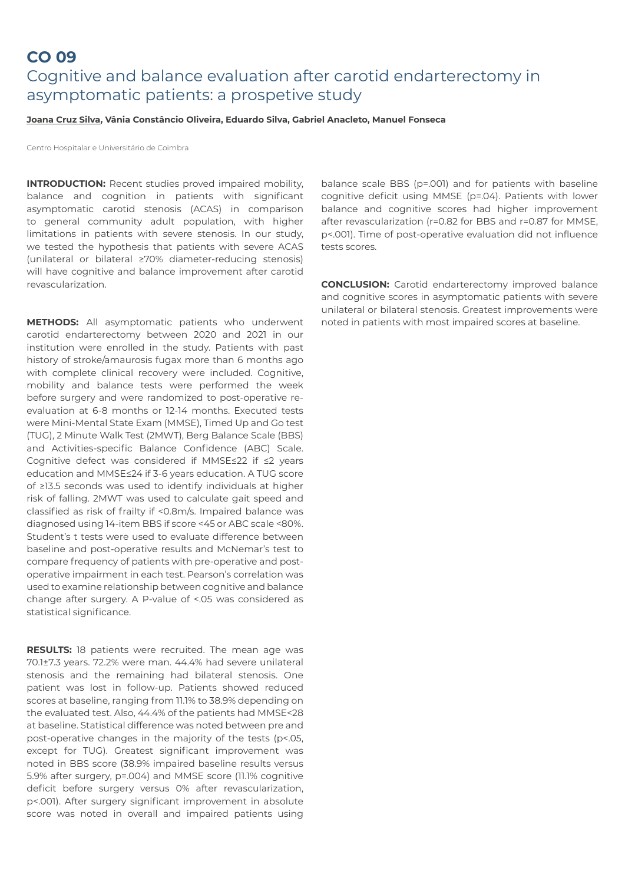### **CO 09**  Cognitive and balance evaluation after carotid endarterectomy in asymptomatic patients: a prospetive study

#### **Joana Cruz Silva, Vânia Constâncio Oliveira, Eduardo Silva, Gabriel Anacleto, Manuel Fonseca**

Centro Hospitalar e Universitário de Coimbra

**INTRODUCTION:** Recent studies proved impaired mobility, balance and cognition in patients with significant asymptomatic carotid stenosis (ACAS) in comparison to general community adult population, with higher limitations in patients with severe stenosis. In our study, we tested the hypothesis that patients with severe ACAS (unilateral or bilateral ≥70% diameter-reducing stenosis) will have cognitive and balance improvement after carotid revascularization.

**METHODS:** All asymptomatic patients who underwent carotid endarterectomy between 2020 and 2021 in our institution were enrolled in the study. Patients with past history of stroke/amaurosis fugax more than 6 months ago with complete clinical recovery were included. Cognitive, mobility and balance tests were performed the week before surgery and were randomized to post-operative reevaluation at 6-8 months or 12-14 months. Executed tests were Mini-Mental State Exam (MMSE), Timed Up and Go test (TUG), 2 Minute Walk Test (2MWT), Berg Balance Scale (BBS) and Activities-specific Balance Confidence (ABC) Scale. Cognitive defect was considered if MMSE≤22 if ≤2 years education and MMSE≤24 if 3-6 years education. A TUG score of ≥13.5 seconds was used to identify individuals at higher risk of falling. 2MWT was used to calculate gait speed and classified as risk of frailty if <0.8m/s. Impaired balance was diagnosed using 14-item BBS if score <45 or ABC scale <80%. Student's t tests were used to evaluate difference between baseline and post-operative results and McNemar's test to compare frequency of patients with pre-operative and postoperative impairment in each test. Pearson's correlation was used to examine relationship between cognitive and balance change after surgery. A P-value of <.05 was considered as statistical significance.

**RESULTS:** 18 patients were recruited. The mean age was 70.1±7.3 years. 72.2% were man. 44.4% had severe unilateral stenosis and the remaining had bilateral stenosis. One patient was lost in follow-up. Patients showed reduced scores at baseline, ranging from 11.1% to 38.9% depending on the evaluated test. Also, 44.4% of the patients had MMSE<28 at baseline. Statistical difference was noted between pre and post-operative changes in the majority of the tests (p<.05, except for TUG). Greatest significant improvement was noted in BBS score (38.9% impaired baseline results versus 5.9% after surgery, p=.004) and MMSE score (11.1% cognitive deficit before surgery versus 0% after revascularization, p<.001). After surgery significant improvement in absolute score was noted in overall and impaired patients using

balance scale BBS (p=.001) and for patients with baseline cognitive deficit using MMSE (p=.04). Patients with lower balance and cognitive scores had higher improvement after revascularization (r=0.82 for BBS and r=0.87 for MMSE, p<.001). Time of post-operative evaluation did not influence tests scores.

**CONCLUSION:** Carotid endarterectomy improved balance and cognitive scores in asymptomatic patients with severe unilateral or bilateral stenosis. Greatest improvements were noted in patients with most impaired scores at baseline.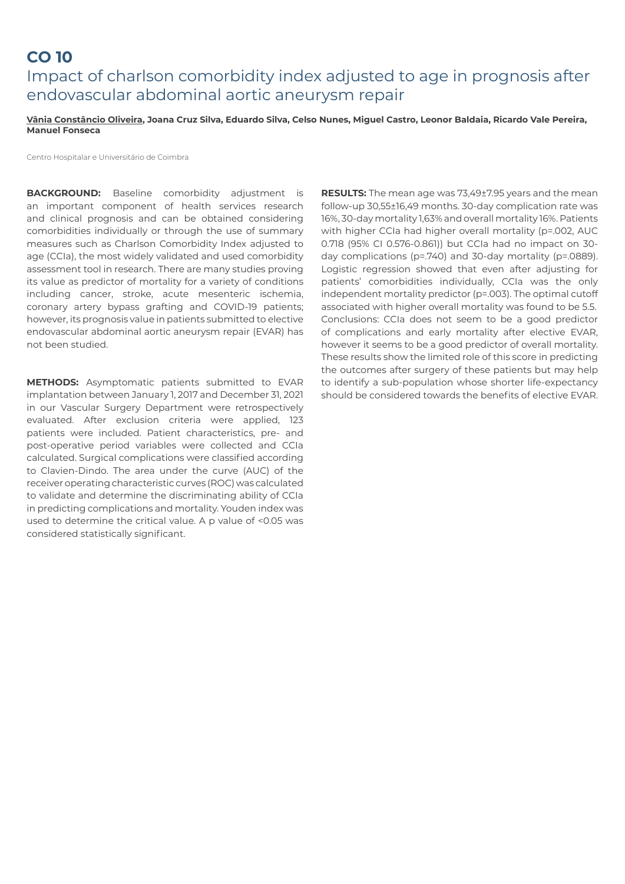### **CO 10**  Impact of charlson comorbidity index adjusted to age in prognosis after endovascular abdominal aortic aneurysm repair

**Vânia Constâncio Oliveira, Joana Cruz Silva, Eduardo Silva, Celso Nunes, Miguel Castro, Leonor Baldaia, Ricardo Vale Pereira, Manuel Fonseca**

Centro Hospitalar e Universitário de Coimbra

**BACKGROUND:** Baseline comorbidity adjustment is an important component of health services research and clinical prognosis and can be obtained considering comorbidities individually or through the use of summary measures such as Charlson Comorbidity Index adjusted to age (CCIa), the most widely validated and used comorbidity assessment tool in research. There are many studies proving its value as predictor of mortality for a variety of conditions including cancer, stroke, acute mesenteric ischemia, coronary artery bypass grafting and COVID-19 patients; however, its prognosis value in patients submitted to elective endovascular abdominal aortic aneurysm repair (EVAR) has not been studied.

**METHODS:** Asymptomatic patients submitted to EVAR implantation between January 1, 2017 and December 31, 2021 in our Vascular Surgery Department were retrospectively evaluated. After exclusion criteria were applied, 123 patients were included. Patient characteristics, pre- and post-operative period variables were collected and CCIa calculated. Surgical complications were classified according to Clavien-Dindo. The area under the curve (AUC) of the receiver operating characteristic curves (ROC) was calculated to validate and determine the discriminating ability of CCIa in predicting complications and mortality. Youden index was used to determine the critical value. A p value of <0.05 was considered statistically significant.

**RESULTS:** The mean age was 73,49±7.95 years and the mean follow-up 30,55±16,49 months. 30-day complication rate was 16%, 30-day mortality 1,63% and overall mortality 16%. Patients with higher CCIa had higher overall mortality (p=.002, AUC 0.718 (95% CI 0.576-0.861)) but CCIa had no impact on 30 day complications (p=.740) and 30-day mortality (p=.0889). Logistic regression showed that even after adjusting for patients' comorbidities individually, CCIa was the only independent mortality predictor (p=.003). The optimal cutoff associated with higher overall mortality was found to be 5.5. Conclusions: CCIa does not seem to be a good predictor of complications and early mortality after elective EVAR, however it seems to be a good predictor of overall mortality. These results show the limited role of this score in predicting the outcomes after surgery of these patients but may help to identify a sub-population whose shorter life-expectancy should be considered towards the benefits of elective EVAR.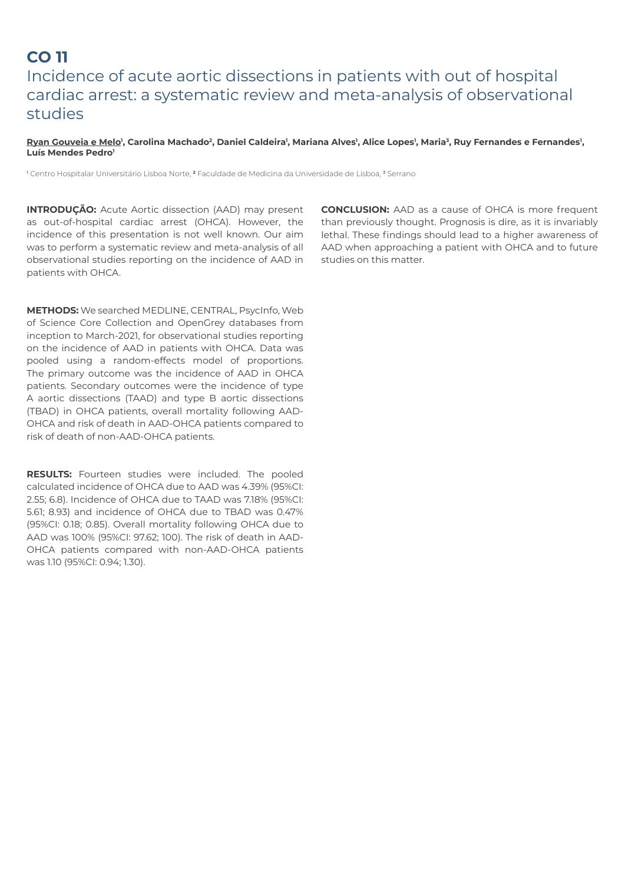# **CO 11** Incidence of acute aortic dissections in patients with out of hospital cardiac arrest: a systematic review and meta-analysis of observational studies

<u>Ryan Gouveia e Melo</u>', Carolina Machado<sup>2</sup>, Daniel Caldeira', Mariana Alves', Alice Lopes', Maria<sup>3</sup>, Ruy Fernandes e Fernandes', **Luís Mendes Pedro1**

1 Centro Hospitalar Universitário Lisboa Norte, **2** Faculdade de Medicina da Universidade de Lisboa, 3 Serrano

**INTRODUÇÃO:** Acute Aortic dissection (AAD) may present as out-of-hospital cardiac arrest (OHCA). However, the incidence of this presentation is not well known. Our aim was to perform a systematic review and meta-analysis of all observational studies reporting on the incidence of AAD in patients with OHCA.

**METHODS:** We searched MEDLINE, CENTRAL, PsycInfo, Web of Science Core Collection and OpenGrey databases from inception to March-2021, for observational studies reporting on the incidence of AAD in patients with OHCA. Data was pooled using a random-effects model of proportions. The primary outcome was the incidence of AAD in OHCA patients. Secondary outcomes were the incidence of type A aortic dissections (TAAD) and type B aortic dissections (TBAD) in OHCA patients, overall mortality following AAD-OHCA and risk of death in AAD-OHCA patients compared to risk of death of non-AAD-OHCA patients.

**RESULTS:** Fourteen studies were included. The pooled calculated incidence of OHCA due to AAD was 4.39% (95%CI: 2.55; 6.8). Incidence of OHCA due to TAAD was 7.18% (95%CI: 5.61; 8.93) and incidence of OHCA due to TBAD was 0.47% (95%CI: 0.18; 0.85). Overall mortality following OHCA due to AAD was 100% (95%CI: 97.62; 100). The risk of death in AAD-OHCA patients compared with non-AAD-OHCA patients was 1.10 (95%CI: 0.94; 1.30).

**CONCLUSION:** AAD as a cause of OHCA is more frequent than previously thought. Prognosis is dire, as it is invariably lethal. These findings should lead to a higher awareness of AAD when approaching a patient with OHCA and to future studies on this matter.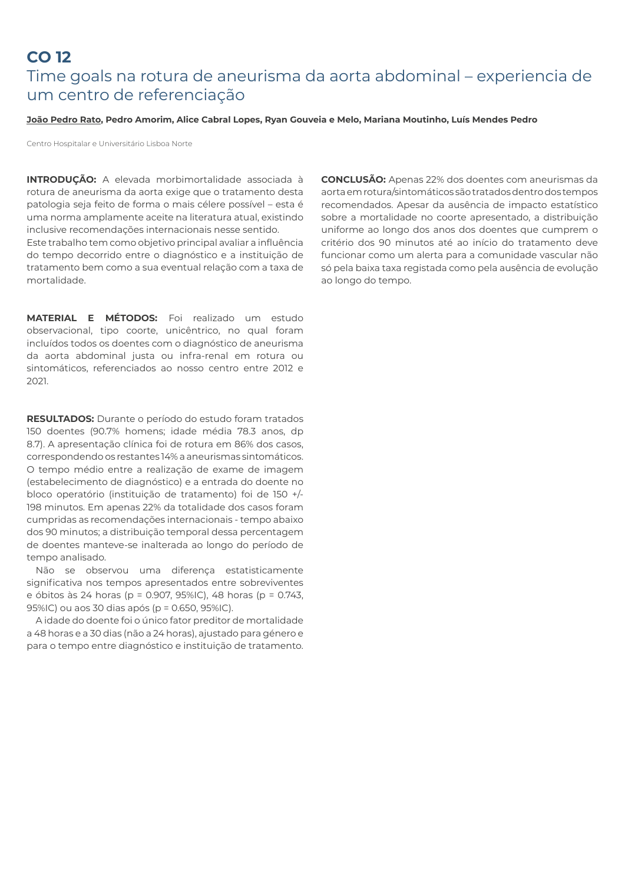### **CO 12**  Time goals na rotura de aneurisma da aorta abdominal – experiencia de um centro de referenciação

#### **João Pedro Rato, Pedro Amorim, Alice Cabral Lopes, Ryan Gouveia e Melo, Mariana Moutinho, Luís Mendes Pedro**

Centro Hospitalar e Universitário Lisboa Norte

**INTRODUÇÃO:** A elevada morbimortalidade associada à rotura de aneurisma da aorta exige que o tratamento desta patologia seja feito de forma o mais célere possível – esta é uma norma amplamente aceite na literatura atual, existindo inclusive recomendações internacionais nesse sentido.

Este trabalho tem como objetivo principal avaliar a influência do tempo decorrido entre o diagnóstico e a instituição de tratamento bem como a sua eventual relação com a taxa de mortalidade.

**MATERIAL E MÉTODOS:** Foi realizado um estudo observacional, tipo coorte, unicêntrico, no qual foram incluídos todos os doentes com o diagnóstico de aneurisma da aorta abdominal justa ou infra-renal em rotura ou sintomáticos, referenciados ao nosso centro entre 2012 e 2021.

**RESULTADOS:** Durante o período do estudo foram tratados 150 doentes (90.7% homens; idade média 78.3 anos, dp 8.7). A apresentação clínica foi de rotura em 86% dos casos, correspondendo os restantes 14% a aneurismas sintomáticos. O tempo médio entre a realização de exame de imagem (estabelecimento de diagnóstico) e a entrada do doente no bloco operatório (instituição de tratamento) foi de 150 +/- 198 minutos. Em apenas 22% da totalidade dos casos foram cumpridas as recomendações internacionais - tempo abaixo dos 90 minutos; a distribuição temporal dessa percentagem de doentes manteve-se inalterada ao longo do período de tempo analisado.

Não se observou uma diferença estatisticamente significativa nos tempos apresentados entre sobreviventes e óbitos às 24 horas (p = 0.907, 95%IC), 48 horas (p = 0.743, 95%IC) ou aos 30 dias após (p = 0.650, 95%IC).

A idade do doente foi o único fator preditor de mortalidade a 48 horas e a 30 dias (não a 24 horas), ajustado para género e para o tempo entre diagnóstico e instituição de tratamento. **CONCLUSÃO:** Apenas 22% dos doentes com aneurismas da aorta em rotura/sintomáticos são tratados dentro dos tempos recomendados. Apesar da ausência de impacto estatístico sobre a mortalidade no coorte apresentado, a distribuição uniforme ao longo dos anos dos doentes que cumprem o critério dos 90 minutos até ao início do tratamento deve funcionar como um alerta para a comunidade vascular não só pela baixa taxa registada como pela ausência de evolução ao longo do tempo.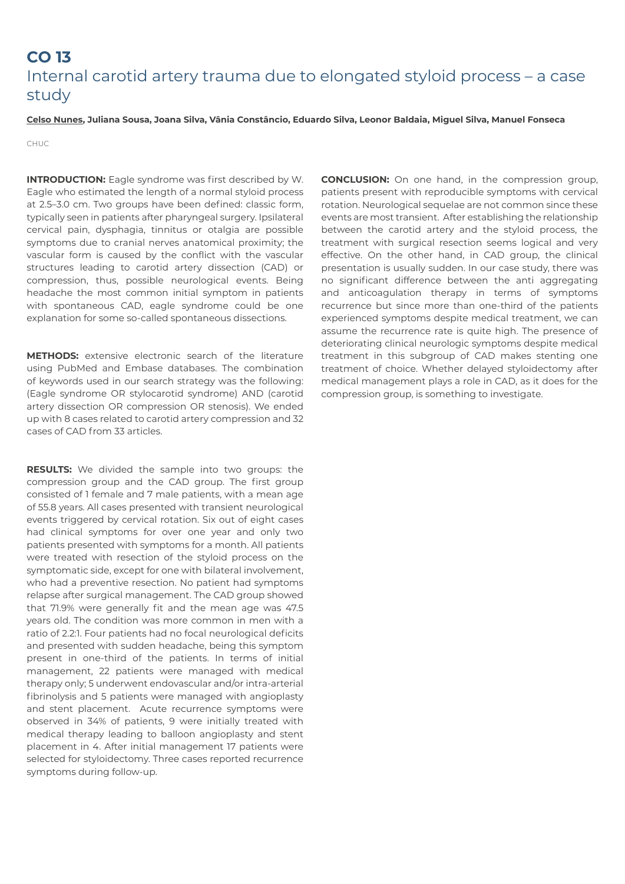## **CO 13** Internal carotid artery trauma due to elongated styloid process – a case study

#### **Celso Nunes, Juliana Sousa, Joana Silva, Vânia Constâncio, Eduardo Silva, Leonor Baldaia, Miguel Silva, Manuel Fonseca**

CHUC

**INTRODUCTION:** Eagle syndrome was first described by W. Eagle who estimated the length of a normal styloid process at 2.5–3.0 cm. Two groups have been defined: classic form, typically seen in patients after pharyngeal surgery. Ipsilateral cervical pain, dysphagia, tinnitus or otalgia are possible symptoms due to cranial nerves anatomical proximity; the vascular form is caused by the conflict with the vascular structures leading to carotid artery dissection (CAD) or compression, thus, possible neurological events. Being headache the most common initial symptom in patients with spontaneous CAD, eagle syndrome could be one explanation for some so-called spontaneous dissections.

**METHODS:** extensive electronic search of the literature using PubMed and Embase databases. The combination of keywords used in our search strategy was the following: (Eagle syndrome OR stylocarotid syndrome) AND (carotid artery dissection OR compression OR stenosis). We ended up with 8 cases related to carotid artery compression and 32 cases of CAD from 33 articles.

**RESULTS:** We divided the sample into two groups: the compression group and the CAD group. The first group consisted of 1 female and 7 male patients, with a mean age of 55.8 years. All cases presented with transient neurological events triggered by cervical rotation. Six out of eight cases had clinical symptoms for over one year and only two patients presented with symptoms for a month. All patients were treated with resection of the styloid process on the symptomatic side, except for one with bilateral involvement, who had a preventive resection. No patient had symptoms relapse after surgical management. The CAD group showed that 71.9% were generally fit and the mean age was 47.5 years old. The condition was more common in men with a ratio of 2.2:1. Four patients had no focal neurological deficits and presented with sudden headache, being this symptom present in one-third of the patients. In terms of initial management, 22 patients were managed with medical therapy only; 5 underwent endovascular and/or intra-arterial fibrinolysis and 5 patients were managed with angioplasty and stent placement. Acute recurrence symptoms were observed in 34% of patients, 9 were initially treated with medical therapy leading to balloon angioplasty and stent placement in 4. After initial management 17 patients were selected for styloidectomy. Three cases reported recurrence symptoms during follow-up.

**CONCLUSION:** On one hand, in the compression group, patients present with reproducible symptoms with cervical rotation. Neurological sequelae are not common since these events are most transient. After establishing the relationship between the carotid artery and the styloid process, the treatment with surgical resection seems logical and very effective. On the other hand, in CAD group, the clinical presentation is usually sudden. In our case study, there was no significant difference between the anti aggregating and anticoagulation therapy in terms of symptoms recurrence but since more than one-third of the patients experienced symptoms despite medical treatment, we can assume the recurrence rate is quite high. The presence of deteriorating clinical neurologic symptoms despite medical treatment in this subgroup of CAD makes stenting one treatment of choice. Whether delayed styloidectomy after medical management plays a role in CAD, as it does for the compression group, is something to investigate.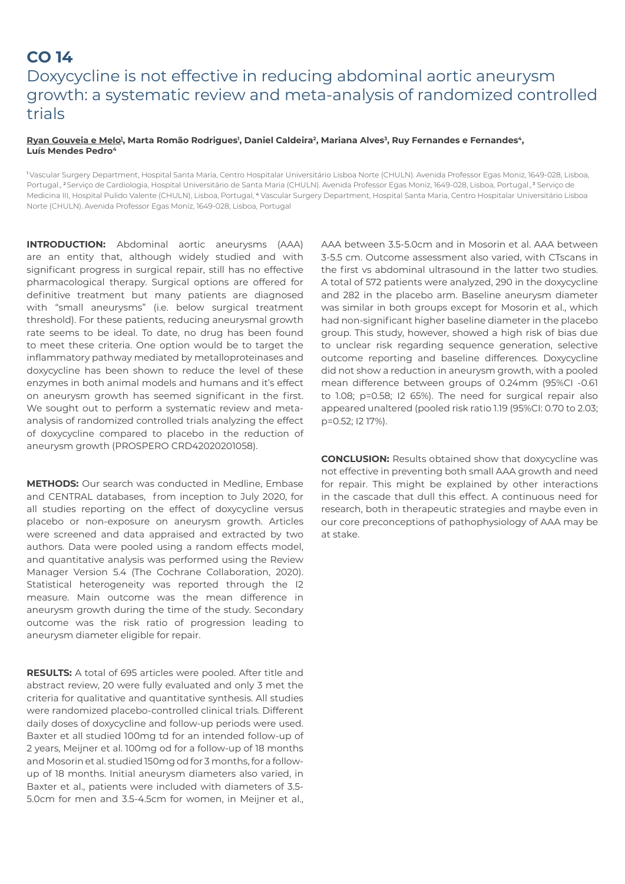# **CO 14**  Doxycycline is not effective in reducing abdominal aortic aneurysm growth: a systematic review and meta-analysis of randomized controlled trials

#### <u>Ryan Gouveia e Melo</u>!, Marta Romão Rodrigues', Daniel Caldeira?, Mariana Alves<sup>3</sup>, Ruy Fernandes e Fernandes<sup>4</sup>, **Luís Mendes Pedro4**

<sup>1</sup>Vascular Surgery Department, Hospital Santa Maria, Centro Hospitalar Universitário Lisboa Norte (CHULN). Avenida Professor Egas Moniz, 1649-028, Lisboa, Portugal., <sup>2</sup>Serviço de Cardiologia, Hospital Universitário de Santa Maria (CHULN). Avenida Professor Egas Moniz, 1649-028, Lisboa, Portugal.,<sup>3</sup> Serviço de Medicina III, Hospital Pulido Valente (CHULN), Lisboa, Portugal, <sup>4</sup> Vascular Surgery Department, Hospital Santa Maria, Centro Hospitalar Universitário Lisboa Norte (CHULN). Avenida Professor Egas Moniz, 1649-028, Lisboa, Portugal

**INTRODUCTION:** Abdominal aortic aneurysms (AAA) are an entity that, although widely studied and with significant progress in surgical repair, still has no effective pharmacological therapy. Surgical options are offered for definitive treatment but many patients are diagnosed with "small aneurysms" (i.e. below surgical treatment threshold). For these patients, reducing aneurysmal growth rate seems to be ideal. To date, no drug has been found to meet these criteria. One option would be to target the inflammatory pathway mediated by metalloproteinases and doxycycline has been shown to reduce the level of these enzymes in both animal models and humans and it's effect on aneurysm growth has seemed significant in the first. We sought out to perform a systematic review and metaanalysis of randomized controlled trials analyzing the effect of doxycycline compared to placebo in the reduction of aneurysm growth (PROSPERO CRD42020201058).

**METHODS:** Our search was conducted in Medline, Embase and CENTRAL databases, from inception to July 2020, for all studies reporting on the effect of doxycycline versus placebo or non-exposure on aneurysm growth. Articles were screened and data appraised and extracted by two authors. Data were pooled using a random effects model, and quantitative analysis was performed using the Review Manager Version 5.4 (The Cochrane Collaboration, 2020). Statistical heterogeneity was reported through the I2 measure. Main outcome was the mean difference in aneurysm growth during the time of the study. Secondary outcome was the risk ratio of progression leading to aneurysm diameter eligible for repair.

**RESULTS:** A total of 695 articles were pooled. After title and abstract review, 20 were fully evaluated and only 3 met the criteria for qualitative and quantitative synthesis. All studies were randomized placebo-controlled clinical trials. Different daily doses of doxycycline and follow-up periods were used. Baxter et all studied 100mg td for an intended follow-up of 2 years, Meijner et al. 100mg od for a follow-up of 18 months and Mosorin et al. studied 150mg od for 3 months, for a followup of 18 months. Initial aneurysm diameters also varied, in Baxter et al., patients were included with diameters of 3.5- 5.0cm for men and 3.5-4.5cm for women, in Meijner et al.,

AAA between 3.5-5.0cm and in Mosorin et al. AAA between 3-5.5 cm. Outcome assessment also varied, with CTscans in the first vs abdominal ultrasound in the latter two studies. A total of 572 patients were analyzed, 290 in the doxycycline and 282 in the placebo arm. Baseline aneurysm diameter was similar in both groups except for Mosorin et al., which had non-significant higher baseline diameter in the placebo group. This study, however, showed a high risk of bias due to unclear risk regarding sequence generation, selective outcome reporting and baseline differences. Doxycycline did not show a reduction in aneurysm growth, with a pooled mean difference between groups of 0.24mm (95%CI -0.61 to 1.08; p=0.58; I2 65%). The need for surgical repair also appeared unaltered (pooled risk ratio 1.19 (95%CI: 0.70 to 2.03; p=0.52; I2 17%).

**CONCLUSION:** Results obtained show that doxycycline was not effective in preventing both small AAA growth and need for repair. This might be explained by other interactions in the cascade that dull this effect. A continuous need for research, both in therapeutic strategies and maybe even in our core preconceptions of pathophysiology of AAA may be at stake.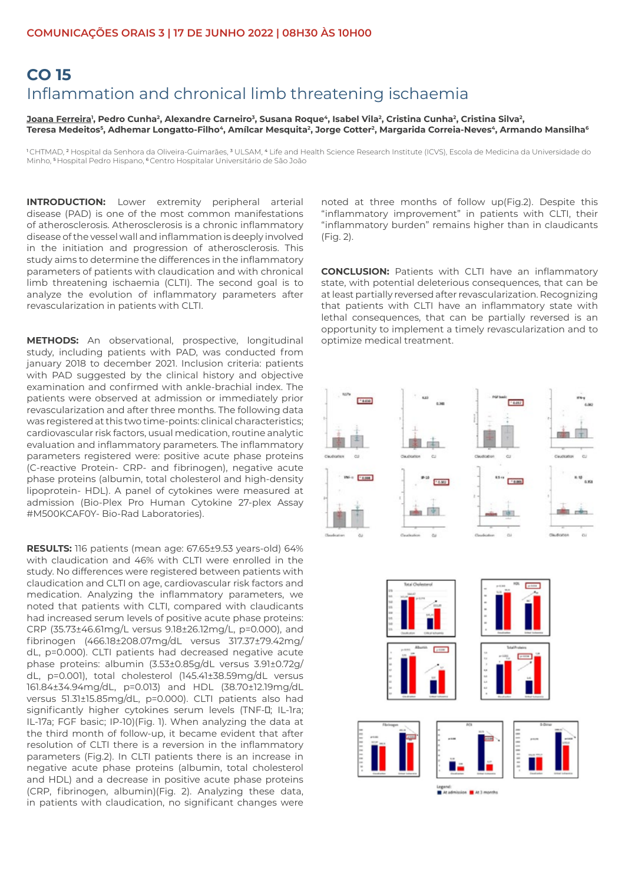### **CO 15**  Inflammation and chronical limb threatening ischaemia

<u>Joana Ferreira</u>', Pedro Cunha<sup>2</sup>, Alexandre Carneiro<sup>3</sup>, Susana Roque', Isabel Vila<sup>2</sup>, Cristina Cunha<sup>2</sup>, Cristina Silva<sup>2</sup>, Teresa Medeitos<sup>5</sup>, Adhemar Longatto-Filho<sup>4</sup>, Amílcar Mesquita<sup>2</sup>, Jorge Cotter<sup>2</sup>, Margarida Correia-Neves<sup>4</sup>, Armando Mansilha<sup>6</sup>

<sup>1</sup>CHTMAD, <sup>2</sup> Hospital da Senhora da Oliveira-Guimarães, <sup>3</sup> ULSAM, <sup>4</sup> Life and Health Science Research Institute (ICVS), Escola de Medicina da Universidade do Minho, <sup>5</sup>Hospital Pedro Hispano, <sup>6</sup>Centro Hospitalar Universitário de São João

**INTRODUCTION:** Lower extremity peripheral arterial disease (PAD) is one of the most common manifestations of atherosclerosis. Atherosclerosis is a chronic inflammatory disease of the vessel wall and inflammation is deeply involved in the initiation and progression of atherosclerosis. This study aims to determine the differences in the inflammatory parameters of patients with claudication and with chronical limb threatening ischaemia (CLTI). The second goal is to analyze the evolution of inflammatory parameters after revascularization in patients with CLTI.

**METHODS:** An observational, prospective, longitudinal study, including patients with PAD, was conducted from january 2018 to december 2021. Inclusion criteria: patients with PAD suggested by the clinical history and objective examination and confirmed with ankle-brachial index. The patients were observed at admission or immediately prior revascularization and after three months. The following data was registered at this two time-points: clinical characteristics; cardiovascular risk factors, usual medication, routine analytic evaluation and inflammatory parameters. The inflammatory parameters registered were: positive acute phase proteins (C-reactive Protein- CRP- and fibrinogen), negative acute phase proteins (albumin, total cholesterol and high-density lipoprotein- HDL). A panel of cytokines were measured at admission (Bio-Plex Pro Human Cytokine 27-plex Assay #M500KCAF0Y- Bio-Rad Laboratories).

**RESULTS:** 116 patients (mean age: 67.65±9.53 years-old) 64% with claudication and 46% with CLTI were enrolled in the study. No differences were registered between patients with claudication and CLTI on age, cardiovascular risk factors and medication. Analyzing the inflammatory parameters, we noted that patients with CLTI, compared with claudicants had increased serum levels of positive acute phase proteins: CRP (35.73±46.61mg/L versus 9.18±26.12mg/L, p=0.000), and fibrinogen (466.18±208.07mg/dL versus 317.37±79.42mg/ dL, p=0.000). CLTI patients had decreased negative acute phase proteins: albumin (3.53±0.85g/dL versus 3.91±0.72g/ dL, p=0.001), total cholesterol (145.41±38.59mg/dL versus 161.84±34.94mg/dL, p=0.013) and HDL (38.70±12.19mg/dL versus 51.31±15.85mg/dL, p=0.000). CLTI patients also had significantly higher cytokines serum levels (TNF-D; IL-1ra; IL-17a; FGF basic; IP-10)(Fig. 1). When analyzing the data at the third month of follow-up, it became evident that after resolution of CLTI there is a reversion in the inflammatory parameters (Fig.2). In CLTI patients there is an increase in negative acute phase proteins (albumin, total cholesterol and HDL) and a decrease in positive acute phase proteins (CRP, fibrinogen, albumin)(Fig. 2). Analyzing these data, in patients with claudication, no significant changes were

noted at three months of follow up(Fig.2). Despite this "inflammatory improvement" in patients with CLTI, their "inflammatory burden" remains higher than in claudicants (Fig. 2).

**CONCLUSION:** Patients with CLTI have an inflammatory state, with potential deleterious consequences, that can be at least partially reversed after revascularization. Recognizing that patients with CLTI have an inflammatory state with lethal consequences, that can be partially reversed is an opportunity to implement a timely revascularization and to optimize medical treatment.



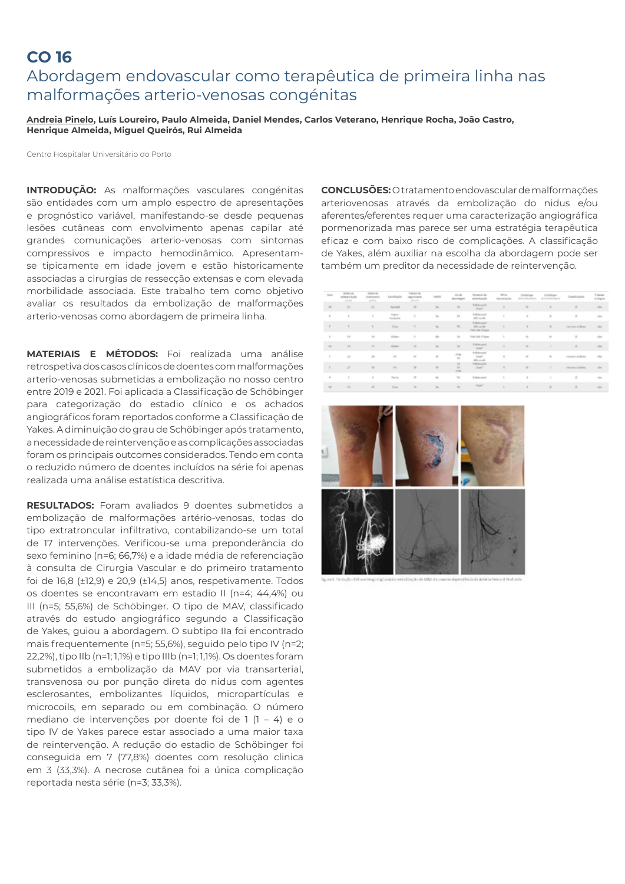### **CO 16**  Abordagem endovascular como terapêutica de primeira linha nas malformações arterio-venosas congénitas

**Andreia Pinelo, Luís Loureiro, Paulo Almeida, Daniel Mendes, Carlos Veterano, Henrique Rocha, João Castro, Henrique Almeida, Miguel Queirós, Rui Almeida**

Centro Hospitalar Universitário do Porto

**INTRODUÇÃO:** As malformações vasculares congénitas são entidades com um amplo espectro de apresentações e prognóstico variável, manifestando-se desde pequenas lesões cutâneas com envolvimento apenas capilar até grandes comunicações arterio-venosas com sintomas compressivos e impacto hemodinâmico. Apresentamse tipicamente em idade jovem e estão historicamente associadas a cirurgias de ressecção extensas e com elevada morbilidade associada. Este trabalho tem como objetivo avaliar os resultados da embolização de malformações arterio-venosas como abordagem de primeira linha.

**MATERIAIS E MÉTODOS:** Foi realizada uma análise retrospetiva dos casos clínicos de doentes com malformações arterio-venosas submetidas a embolização no nosso centro entre 2019 e 2021. Foi aplicada a Classificação de Schöbinger para categorização do estadio clínico e os achados angiográficos foram reportados conforme a Classificação de Yakes. A diminuição do grau de Schöbinger após tratamento, a necessidade de reintervenção e as complicações associadas foram os principais outcomes considerados. Tendo em conta o reduzido número de doentes incluídos na série foi apenas realizada uma análise estatística descritiva.

**RESULTADOS:** Foram avaliados 9 doentes submetidos a embolização de malformações artério-venosas, todas do tipo extratroncular infiltrativo, contabilizando-se um total de 17 intervenções. Verificou-se uma preponderância do sexo feminino (n=6; 66,7%) e a idade média de referenciação à consulta de Cirurgia Vascular e do primeiro tratamento foi de 16,8 (±12,9) e 20,9 (±14,5) anos, respetivamente. Todos os doentes se encontravam em estadio II (n=4; 44,4%) ou III (n=5; 55,6%) de Schöbinger. O tipo de MAV, classificado através do estudo angiográfico segundo a Classificação de Yakes, guiou a abordagem. O subtipo IIa foi encontrado mais frequentemente (n=5; 55,6%), seguido pelo tipo IV (n=2; 22,2%), tipo IIb (n=1; 1,1%) e tipo IIIb (n=1; 1,1%). Os doentes foram submetidos a embolização da MAV por via transarterial, transvenosa ou por punção direta do nidus com agentes esclerosantes, embolizantes líquidos, micropartículas e microcoils, em separado ou em combinação. O número mediano de intervenções por doente foi de 1 (1 – 4) e o tipo IV de Yakes parece estar associado a uma maior taxa de reintervenção. A redução do estadio de Schöbinger foi conseguida em 7 (77,8%) doentes com resolução clinica em 3 (33,3%). A necrose cutânea foi a única complicação reportada nesta série (n=3; 33,3%).

**CONCLUSÕES:** O tratamento endovascular de malformações arteriovenosas através da embolização do nidus e/ou aferentes/eferentes requer uma caracterização angiográfica pormenorizada mas parece ser uma estratégia terapêutica eficaz e com baixo risco de complicações. A classificação de Yakes, além auxiliar na escolha da abordagem pode ser também um preditor da necessidade de reintervenção.

| Sen.               | Aforta de<br>reterentede<br>post. | Mado de<br>in plann point<br>$-$ | Livalização              | <b>Sempre del</b><br>inguissaria<br>porces. | TAKES                                                                                                                                                                                                                                                                                                                                                           | Vo do<br>doctors                | Material de<br>anteriorgia                     | 121.04<br>interesting | Scholzkage<br>jest costed myled | Scholziger<br>de la seculación galiar | Compliciading     | <b>Takens</b><br>eningion |
|--------------------|-----------------------------------|----------------------------------|--------------------------|---------------------------------------------|-----------------------------------------------------------------------------------------------------------------------------------------------------------------------------------------------------------------------------------------------------------------------------------------------------------------------------------------------------------------|---------------------------------|------------------------------------------------|-----------------------|---------------------------------|---------------------------------------|-------------------|---------------------------|
| $^{12}$            | 35                                | 15                               | Inpoinal                 | <b>M</b>                                    | $^{12}$                                                                                                                                                                                                                                                                                                                                                         | 18                              | Pulisheared<br>Chapt <sup>4</sup>              | $\geq$                | $\overline{a}$                  | $\frac{1}{2}$                         | a.                | rice.                     |
| $\mu$              | $\pm$                             | ×                                | Sapra<br><b>POCATION</b> | $\sim$                                      | $\mathbb{R}^n$                                                                                                                                                                                                                                                                                                                                                  | $_{\rm NL}$                     | Politicand<br>After you will                   | ٠                     | $\mathbf{u}$                    | $\alpha$                              | ×                 | nin                       |
| $\overline{v}$     | $\pi$                             | $\mathbb{R}$                     | Corp.                    | ٠                                           | $_{\rm He}$                                                                                                                                                                                                                                                                                                                                                     | 78                              | Policiecand<br>Affirmation<br>PW 100 G Bak     |                       | $\mathbf{H}$                    | n.                                    | recious inclines. | site:                     |
| $\sim$             | 10                                | 16                               | <b>GEORG</b>             | $\alpha$                                    | $\rightarrow$                                                                                                                                                                                                                                                                                                                                                   | $^{12}$                         | Pull Life Frigan                               | ×                     | $\alpha$                        | $\mathbf{r}$                          | ×                 | 150                       |
| $^{12}$            | 28                                | $\mathbb{R}^n$                   | GEORGI                   | 12                                          | $\sim$                                                                                                                                                                                                                                                                                                                                                          | 18                              | Politicand<br>Gran <sup>21</sup>               | $\overline{ }$        | $\sim$                          | ٠                                     | o.                | star                      |
| $\lambda$          | 22                                | $\rightarrow$                    | 15                       | 38                                          | $\sim$                                                                                                                                                                                                                                                                                                                                                          | 깫                               | Palificanal<br>Graph <sup>e</sup><br>Microsoft | $\alpha$              | $\alpha$                        | $\sim$                                | recent nellong    | $_{\rm min}$              |
| $\mathcal{I}$      | 10                                | $\sim$                           | $^{14}$                  | 38                                          | $\sim$                                                                                                                                                                                                                                                                                                                                                          | 14<br><b>THE</b><br><b>HOME</b> | Publicand<br>Out-                              | $\mathbf{r}$          | $\blacksquare$                  | ٠                                     | recors orders.    | <b>Hotel</b>              |
| $\boldsymbol{\pi}$ | $\boldsymbol{\gamma}$             | $\alpha$                         | Perius.                  | 37                                          | $\frac{1}{2} \sum_{i=1}^{n} \frac{1}{2} \sum_{i=1}^{n} \frac{1}{2} \sum_{i=1}^{n} \frac{1}{2} \sum_{i=1}^{n} \frac{1}{2} \sum_{i=1}^{n} \frac{1}{2} \sum_{i=1}^{n} \frac{1}{2} \sum_{i=1}^{n} \frac{1}{2} \sum_{i=1}^{n} \frac{1}{2} \sum_{i=1}^{n} \frac{1}{2} \sum_{i=1}^{n} \frac{1}{2} \sum_{i=1}^{n} \frac{1}{2} \sum_{i=1}^{n} \frac{1}{2} \sum_{i=1}^{n$ | $T\alpha$                       | Politicianal                                   | ×                     | $\scriptstyle\rm II$            | ٠                                     | $\alpha$          | $\frac{1}{2}$             |
| $^{12}$            | $\mathcal{L}^{\text{H}}$          | $\sim$                           | Cons.                    | 78                                          | $_{\rm He}$                                                                                                                                                                                                                                                                                                                                                     | $^{12}$                         | Day:                                           | ٠                     | $\alpha$                        | $\overline{a}$                        | $\alpha$          | sign.                     |

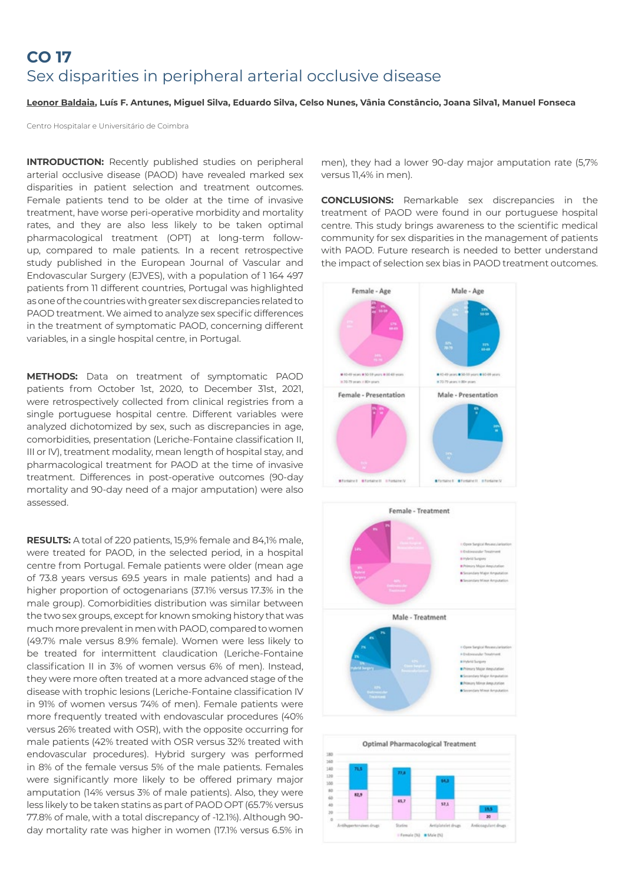# **CO 17** Sex disparities in peripheral arterial occlusive disease

#### **Leonor Baldaia, Luís F. Antunes, Miguel Silva, Eduardo Silva, Celso Nunes, Vânia Constâncio, Joana Silva1, Manuel Fonseca**

Centro Hospitalar e Universitário de Coimbra

**INTRODUCTION:** Recently published studies on peripheral arterial occlusive disease (PAOD) have revealed marked sex disparities in patient selection and treatment outcomes. Female patients tend to be older at the time of invasive treatment, have worse peri-operative morbidity and mortality rates, and they are also less likely to be taken optimal pharmacological treatment (OPT) at long-term followup, compared to male patients. In a recent retrospective study published in the European Journal of Vascular and Endovascular Surgery (EJVES), with a population of 1 164 497 patients from 11 different countries, Portugal was highlighted as one of the countries with greater sex discrepancies related to PAOD treatment. We aimed to analyze sex specific differences in the treatment of symptomatic PAOD, concerning different variables, in a single hospital centre, in Portugal.

**METHODS:** Data on treatment of symptomatic PAOD patients from October 1st, 2020, to December 31st, 2021, were retrospectively collected from clinical registries from a single portuguese hospital centre. Different variables were analyzed dichotomized by sex, such as discrepancies in age, comorbidities, presentation (Leriche-Fontaine classification II, III or IV), treatment modality, mean length of hospital stay, and pharmacological treatment for PAOD at the time of invasive treatment. Differences in post-operative outcomes (90-day mortality and 90-day need of a major amputation) were also assessed.

**RESULTS:** A total of 220 patients, 15,9% female and 84,1% male, were treated for PAOD, in the selected period, in a hospital centre from Portugal. Female patients were older (mean age of 73.8 years versus 69.5 years in male patients) and had a higher proportion of octogenarians (37.1% versus 17.3% in the male group). Comorbidities distribution was similar between the two sex groups, except for known smoking history that was much more prevalent in men with PAOD, compared to women (49.7% male versus 8.9% female). Women were less likely to be treated for intermittent claudication (Leriche-Fontaine classification II in 3% of women versus 6% of men). Instead, they were more often treated at a more advanced stage of the disease with trophic lesions (Leriche-Fontaine classification IV in 91% of women versus 74% of men). Female patients were more frequently treated with endovascular procedures (40% versus 26% treated with OSR), with the opposite occurring for male patients (42% treated with OSR versus 32% treated with endovascular procedures). Hybrid surgery was performed in 8% of the female versus 5% of the male patients. Females were significantly more likely to be offered primary major amputation (14% versus 3% of male patients). Also, they were less likely to be taken statins as part of PAOD OPT (65.7% versus 77.8% of male, with a total discrepancy of -12.1%). Although 90 day mortality rate was higher in women (17.1% versus 6.5% in

men), they had a lower 90-day major amputation rate (5,7% versus 11,4% in men).

**CONCLUSIONS:** Remarkable sex discrepancies in the treatment of PAOD were found in our portuguese hospital centre. This study brings awareness to the scientific medical community for sex disparities in the management of patients with PAOD. Future research is needed to better understand the impact of selection sex bias in PAOD treatment outcomes.



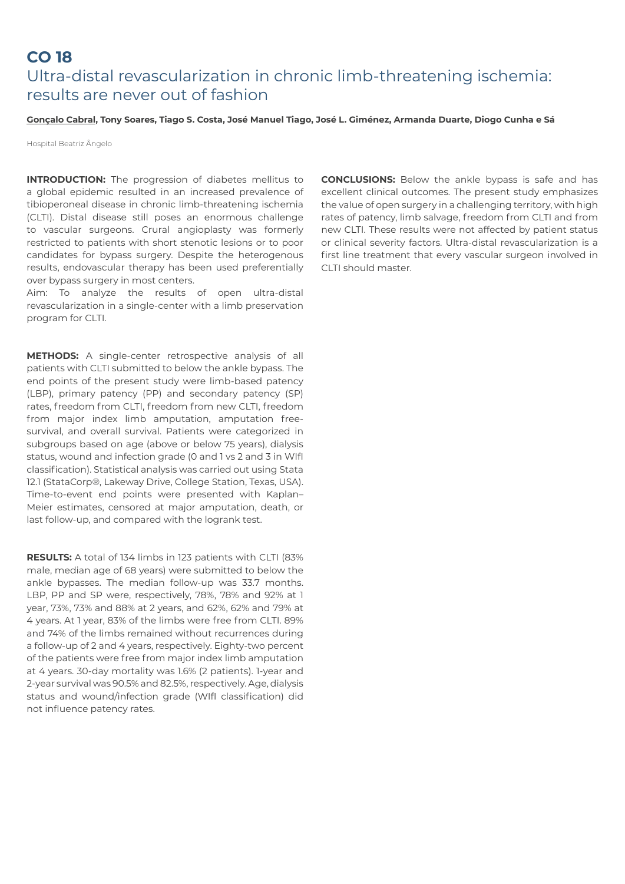# **CO 18**  Ultra-distal revascularization in chronic limb-threatening ischemia: results are never out of fashion

### **Gonçalo Cabral, Tony Soares, Tiago S. Costa, José Manuel Tiago, José L. Giménez, Armanda Duarte, Diogo Cunha e Sá**

Hospital Beatriz Ângelo

**INTRODUCTION:** The progression of diabetes mellitus to a global epidemic resulted in an increased prevalence of tibioperoneal disease in chronic limb-threatening ischemia (CLTI). Distal disease still poses an enormous challenge to vascular surgeons. Crural angioplasty was formerly restricted to patients with short stenotic lesions or to poor candidates for bypass surgery. Despite the heterogenous results, endovascular therapy has been used preferentially over bypass surgery in most centers.

Aim: To analyze the results of open ultra-distal revascularization in a single-center with a limb preservation program for CLTI.

**METHODS:** A single-center retrospective analysis of all patients with CLTI submitted to below the ankle bypass. The end points of the present study were limb-based patency (LBP), primary patency (PP) and secondary patency (SP) rates, freedom from CLTI, freedom from new CLTI, freedom from major index limb amputation, amputation freesurvival, and overall survival. Patients were categorized in subgroups based on age (above or below 75 years), dialysis status, wound and infection grade (0 and 1 vs 2 and 3 in WIfI classification). Statistical analysis was carried out using Stata 12.1 (StataCorp®, Lakeway Drive, College Station, Texas, USA). Time-to-event end points were presented with Kaplan– Meier estimates, censored at major amputation, death, or last follow-up, and compared with the logrank test.

**RESULTS:** A total of 134 limbs in 123 patients with CLTI (83% male, median age of 68 years) were submitted to below the ankle bypasses. The median follow-up was 33.7 months. LBP, PP and SP were, respectively, 78%, 78% and 92% at 1 year, 73%, 73% and 88% at 2 years, and 62%, 62% and 79% at 4 years. At 1 year, 83% of the limbs were free from CLTI. 89% and 74% of the limbs remained without recurrences during a follow-up of 2 and 4 years, respectively. Eighty-two percent of the patients were free from major index limb amputation at 4 years. 30-day mortality was 1.6% (2 patients). 1-year and 2-year survival was 90.5% and 82.5%, respectively. Age, dialysis status and wound/infection grade (WIfI classification) did not influence patency rates.

**CONCLUSIONS:** Below the ankle bypass is safe and has excellent clinical outcomes. The present study emphasizes the value of open surgery in a challenging territory, with high rates of patency, limb salvage, freedom from CLTI and from new CLTI. These results were not affected by patient status or clinical severity factors. Ultra-distal revascularization is a first line treatment that every vascular surgeon involved in CLTI should master.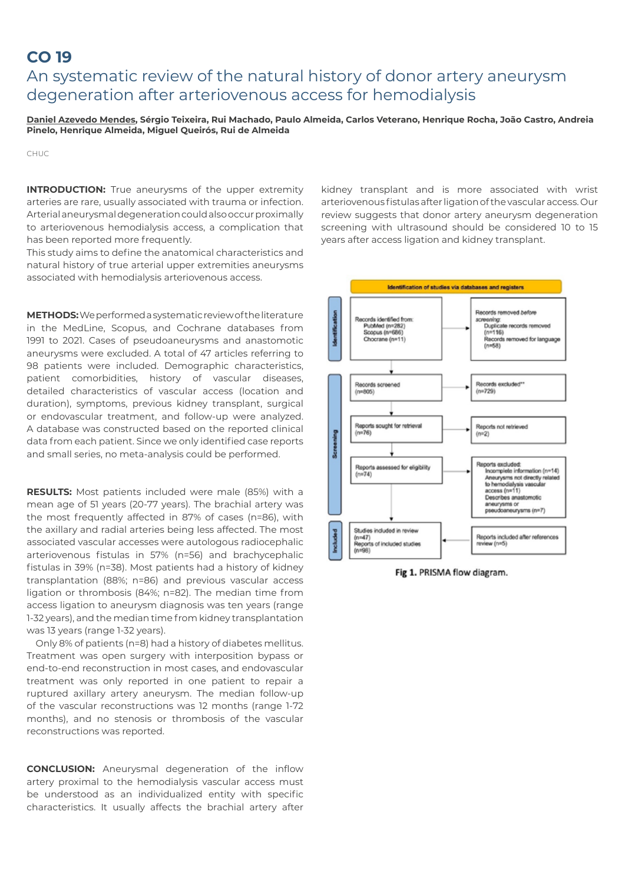### **CO 19**

### An systematic review of the natural history of donor artery aneurysm degeneration after arteriovenous access for hemodialysis

**Daniel Azevedo Mendes, Sérgio Teixeira, Rui Machado, Paulo Almeida, Carlos Veterano, Henrique Rocha, João Castro, Andreia Pinelo, Henrique Almeida, Miguel Queirós, Rui de Almeida**

CHUC

**INTRODUCTION:** True aneurysms of the upper extremity arteries are rare, usually associated with trauma or infection. Arterial aneurysmal degeneration could also occur proximally to arteriovenous hemodialysis access, a complication that has been reported more frequently.

This study aims to define the anatomical characteristics and natural history of true arterial upper extremities aneurysms associated with hemodialysis arteriovenous access.

**METHODS:** We performed a systematic review of the literature in the MedLine, Scopus, and Cochrane databases from 1991 to 2021. Cases of pseudoaneurysms and anastomotic aneurysms were excluded. A total of 47 articles referring to 98 patients were included. Demographic characteristics, patient comorbidities, history of vascular diseases, detailed characteristics of vascular access (location and duration), symptoms, previous kidney transplant, surgical or endovascular treatment, and follow-up were analyzed. A database was constructed based on the reported clinical data from each patient. Since we only identified case reports and small series, no meta-analysis could be performed.

**RESULTS:** Most patients included were male (85%) with a mean age of 51 years (20-77 years). The brachial artery was the most frequently affected in 87% of cases (n=86), with the axillary and radial arteries being less affected. The most associated vascular accesses were autologous radiocephalic arteriovenous fistulas in 57% (n=56) and brachycephalic fistulas in 39% (n=38). Most patients had a history of kidney transplantation (88%; n=86) and previous vascular access ligation or thrombosis (84%; n=82). The median time from access ligation to aneurysm diagnosis was ten years (range 1-32 years), and the median time from kidney transplantation was 13 years (range 1-32 years).

Only 8% of patients (n=8) had a history of diabetes mellitus. Treatment was open surgery with interposition bypass or end-to-end reconstruction in most cases, and endovascular treatment was only reported in one patient to repair a ruptured axillary artery aneurysm. The median follow-up of the vascular reconstructions was 12 months (range 1-72 months), and no stenosis or thrombosis of the vascular reconstructions was reported.

**CONCLUSION:** Aneurysmal degeneration of the inflow artery proximal to the hemodialysis vascular access must be understood as an individualized entity with specific characteristics. It usually affects the brachial artery after kidney transplant and is more associated with wrist arteriovenous fistulas after ligation of the vascular access. Our review suggests that donor artery aneurysm degeneration screening with ultrasound should be considered 10 to 15 years after access ligation and kidney transplant.



Fig 1. PRISMA flow diagram.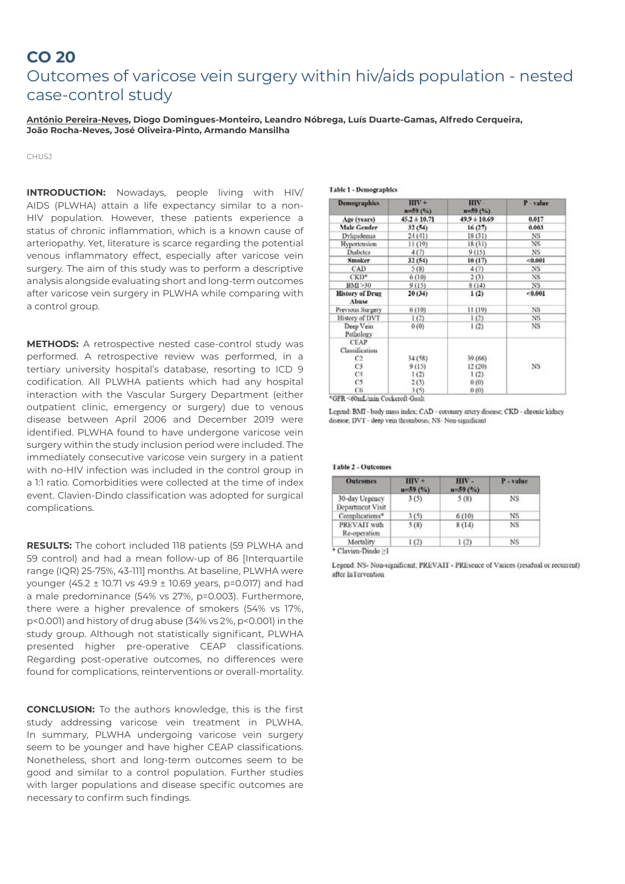### **CO 20**

## Outcomes of varicose vein surgery within hiv/aids population - nested case-control study

**António Pereira-Neves, Diogo Domingues-Monteiro, Leandro Nóbrega, Luís Duarte-Gamas, Alfredo Cerqueira, João Rocha-Neves, José Oliveira-Pinto, Armando Mansilha**

CHUSJ

**INTRODUCTION:** Nowadays, people living with HIV/ AIDS (PLWHA) attain a life expectancy similar to a non-HIV population. However, these patients experience a status of chronic inflammation, which is a known cause of arteriopathy. Yet, literature is scarce regarding the potential venous inflammatory effect, especially after varicose vein surgery. The aim of this study was to perform a descriptive analysis alongside evaluating short and long-term outcomes after varicose vein surgery in PLWHA while comparing with a control group.

**METHODS:** A retrospective nested case-control study was performed. A retrospective review was performed, in a tertiary university hospital's database, resorting to ICD 9 codification. All PLWHA patients which had any hospital interaction with the Vascular Surgery Department (either outpatient clinic, emergency or surgery) due to venous disease between April 2006 and December 2019 were identified. PLWHA found to have undergone varicose vein surgery within the study inclusion period were included. The immediately consecutive varicose vein surgery in a patient with no-HIV infection was included in the control group in a 1:1 ratio. Comorbidities were collected at the time of index event. Clavien-Dindo classification was adopted for surgical complications.

**RESULTS:** The cohort included 118 patients (59 PLWHA and 59 control) and had a mean follow-up of 86 [Interquartile range (IQR) 25-75%, 43-111] months. At baseline, PLWHA were younger (45.2 ± 10.71 vs 49.9 ± 10.69 years, p=0.017) and had a male predominance (54% vs 27%, p=0.003). Furthermore, there were a higher prevalence of smokers (54% vs 17%, p<0.001) and history of drug abuse (34% vs 2%, p<0.001) in the study group. Although not statistically significant, PLWHA presented higher pre-operative CEAP classifications. Regarding post-operative outcomes, no differences were found for complications, reinterventions or overall-mortality.

**CONCLUSION:** To the authors knowledge, this is the first study addressing varicose vein treatment in PLWHA. In summary, PLWHA undergoing varicose vein surgery seem to be younger and have higher CEAP classifications. Nonetheless, short and long-term outcomes seem to be good and similar to a control population. Further studies with larger populations and disease specific outcomes are necessary to confirm such findings.

|  | l'able 1 - Demographics |
|--|-------------------------|
|--|-------------------------|

| <b>Demographics</b>             | $HIV +$<br>$n=59(%)$ | HIV-<br>$n=59(96)$ | P-value   |
|---------------------------------|----------------------|--------------------|-----------|
| Age (years)                     | $45.2 \pm 10.71$     | $49.9 \pm 10.69$   | 0.017     |
| Male Gender                     | 32(54)               | 16(27)             | 0.003     |
| Dylipidemia                     | 24(41)               | 18 (31)            | NS.       |
| Hypertension                    | 11(19)               | 18(31)             | NS.       |
| <b>Diabetes</b>                 | 4(7)                 | 9(15)              | NS.       |
| Smoker                          | 32(54)               | 10(17)             | < 0.001   |
| CAD                             | 5(8)                 | 4(7)               | NS.       |
| CKD*                            | 6(10)                | 2(3)               | NS.       |
| BMI >30                         | 9(15)                | 8(14)              | NS.       |
| <b>History of Drug</b><br>Abuse | 20 (34)              | 1(2)               | 0.001     |
| Previous Surgery                | 6(10)                | 11(19)             | NS.       |
| History of DVT                  | 1(2)                 | 1(2)               | NS.       |
| Deep Vein<br>Pathology          | 0(0)                 | 1(2)               | NS.       |
| CEAP<br>Classification          |                      |                    |           |
| C2                              | 34 (58)              | 39 (66)            |           |
| C3                              | 9(15)                | 12 (20)            | <b>NS</b> |
| C4                              | 1(2)                 | 1(2)               |           |
| C5.                             | 2(3)                 | 0(0)               |           |
| Ċб                              | 3(5)                 | 0(0)               |           |

\*GFR <60mL/min Cockeroft-Gault

Legend: BMI - body mass index; CAD - coronary artery disease; CKD - chronic kidney disease; DVT - deep vein thrombosis; NS- Non-significant

#### **Table 2 - Outcomes**

| <b>Outcomes</b>                    | $HIV +$<br>$n = 59(%)$ | HIV-<br>$n=59(%)$ | P-value |
|------------------------------------|------------------------|-------------------|---------|
| 30-day Urgency<br>Department Visit | 3(5)                   | 5(8)              | NS      |
| Complications*                     | 3(5)                   | 6(10)             | NS.     |
| PREVAIT with<br>Re-operation       | 5(8)                   | 8(14)             | NS      |
| Mortality                          | 1(2)                   | 1(2)              | NS      |

Clavien-Dindo >1

Legend: NS- Non-significant; PREVAIT - PREsence of Varices (residual or recurrent) after InTervention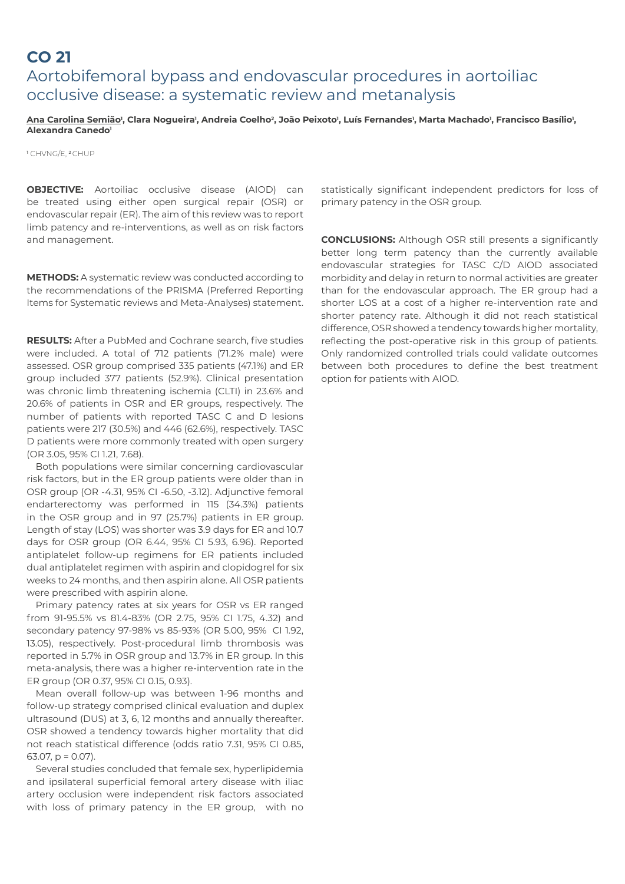### **CO 21** Aortobifemoral bypass and endovascular procedures in aortoiliac occlusive disease: a systematic review and metanalysis

#### <u>Ana Carolina Semião</u>', Clara Nogueira', Andreia Coelho<sup>2</sup>, João Peixoto', Luís Fernandes', Marta Machado', Francisco Basílio', **Alexandra Canedo1**

1 CHVNG/E, 2 CHUP

**OBJECTIVE:** Aortoiliac occlusive disease (AIOD) can be treated using either open surgical repair (OSR) or endovascular repair (ER). The aim of this review was to report limb patency and re-interventions, as well as on risk factors and management.

**METHODS:** A systematic review was conducted according to the recommendations of the PRISMA (Preferred Reporting Items for Systematic reviews and Meta-Analyses) statement.

**RESULTS:** After a PubMed and Cochrane search, five studies were included. A total of 712 patients (71.2% male) were assessed. OSR group comprised 335 patients (47.1%) and ER group included 377 patients (52.9%). Clinical presentation was chronic limb threatening ischemia (CLTI) in 23.6% and 20.6% of patients in OSR and ER groups, respectively. The number of patients with reported TASC C and D lesions patients were 217 (30.5%) and 446 (62.6%), respectively. TASC D patients were more commonly treated with open surgery (OR 3.05, 95% CI 1.21, 7.68).

Both populations were similar concerning cardiovascular risk factors, but in the ER group patients were older than in OSR group (OR -4.31, 95% CI -6.50, -3.12). Adjunctive femoral endarterectomy was performed in 115 (34.3%) patients in the OSR group and in 97 (25.7%) patients in ER group. Length of stay (LOS) was shorter was 3.9 days for ER and 10.7 days for OSR group (OR 6.44, 95% CI 5.93, 6.96). Reported antiplatelet follow-up regimens for ER patients included dual antiplatelet regimen with aspirin and clopidogrel for six weeks to 24 months, and then aspirin alone. All OSR patients were prescribed with aspirin alone.

Primary patency rates at six years for OSR vs ER ranged from 91-95.5% vs 81.4-83% (OR 2.75, 95% CI 1.75, 4.32) and secondary patency 97-98% vs 85-93% (OR 5.00, 95% CI 1.92, 13.05), respectively. Post-procedural limb thrombosis was reported in 5.7% in OSR group and 13.7% in ER group. In this meta-analysis, there was a higher re-intervention rate in the ER group (OR 0.37, 95% CI 0.15, 0.93).

Mean overall follow-up was between 1-96 months and follow-up strategy comprised clinical evaluation and duplex ultrasound (DUS) at 3, 6, 12 months and annually thereafter. OSR showed a tendency towards higher mortality that did not reach statistical difference (odds ratio 7.31, 95% CI 0.85, 63.07, p = 0.07).

Several studies concluded that female sex, hyperlipidemia and ipsilateral superficial femoral artery disease with iliac artery occlusion were independent risk factors associated with loss of primary patency in the ER group, with no

statistically significant independent predictors for loss of primary patency in the OSR group.

**CONCLUSIONS:** Although OSR still presents a significantly better long term patency than the currently available endovascular strategies for TASC C/D AIOD associated morbidity and delay in return to normal activities are greater than for the endovascular approach. The ER group had a shorter LOS at a cost of a higher re-intervention rate and shorter patency rate. Although it did not reach statistical difference, OSR showed a tendency towards higher mortality, reflecting the post-operative risk in this group of patients. Only randomized controlled trials could validate outcomes between both procedures to define the best treatment option for patients with AIOD.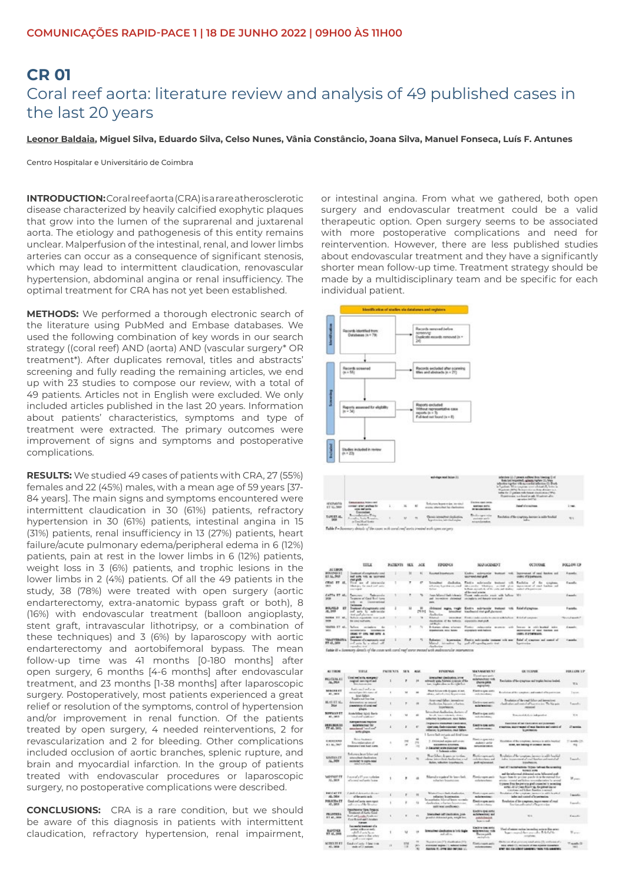### **CR 01**  Coral reef aorta: literature review and analysis of 49 published cases in the last 20 years

**Leonor Baldaia, Miguel Silva, Eduardo Silva, Celso Nunes, Vânia Constâncio, Joana Silva, Manuel Fonseca, Luís F. Antunes**

Centro Hospitalar e Universitário de Coimbra

**INTRODUCTION:** Coral reefaorta (CRA) is a rare atherosclerotic disease characterized by heavily calcified exophytic plaques that grow into the lumen of the suprarenal and juxtarenal aorta. The etiology and pathogenesis of this entity remains unclear. Malperfusion of the intestinal, renal, and lower limbs arteries can occur as a consequence of significant stenosis, which may lead to intermittent claudication, renovascular hypertension, abdominal angina or renal insufficiency. The optimal treatment for CRA has not yet been established.

**METHODS:** We performed a thorough electronic search of the literature using PubMed and Embase databases. We used the following combination of key words in our search strategy ((coral reef) AND (aorta) AND (vascular surgery\* OR treatment\*). After duplicates removal, titles and abstracts' screening and fully reading the remaining articles, we end up with 23 studies to compose our review, with a total of 49 patients. Articles not in English were excluded. We only included articles published in the last 20 years. Information about patients' characteristics, symptoms and type of treatment were extracted. The primary outcomes were improvement of signs and symptoms and postoperative complications.

**RESULTS:** We studied 49 cases of patients with CRA, 27 (55%) females and 22 (45%) males, with a mean age of 59 years [37- 84 years]. The main signs and symptoms encountered were intermittent claudication in 30 (61%) patients, refractory hypertension in 30 (61%) patients, intestinal angina in 15 (31%) patients, renal insufficiency in 13 (27%) patients, heart failure/acute pulmonary edema/peripheral edema in 6 (12%) patients, pain at rest in the lower limbs in 6 (12%) patients, weight loss in 3 (6%) patients, and trophic lesions in the lower limbs in 2 (4%) patients. Of all the 49 patients in the study, 38 (78%) were treated with open surgery (aortic endarterectomy, extra-anatomic bypass graft or both), 8 (16%) with endovascular treatment (balloon angioplasty, stent graft, intravascular lithotripsy, or a combination of these techniques) and 3 (6%) by laparoscopy with aortic endarterectomy and aortobifemoral bypass. The mean follow-up time was 41 months [0-180 months] after open surgery, 6 months [4-6 months] after endovascular treatment, and 23 months [1-38 months] after laparoscopic surgery. Postoperatively, most patients experienced a great relief or resolution of the symptoms, control of hypertension and/or improvement in renal function. Of the patients treated by open surgery, 4 needed reinterventions, 2 for revascularization and 2 for bleeding. Other complications included occlusion of aortic branches, splenic rupture, and brain and myocardial infarction. In the group of patients treated with endovascular procedures or laparoscopic surgery, no postoperative complications were described.

**CONCLUSIONS:** CRA is a rare condition, but we should be aware of this diagnosis in patients with intermittent claudication, refractory hypertension, renal impairment, or intestinal angina. From what we gathered, both open surgery and endovascular treatment could be a valid therapeutic option. Open surgery seems to be associated with more postoperative complications and need for reintervention. However, there are less published studies about endovascular treatment and they have a significantly shorter mean follow-up time. Treatment strategy should be made by a multidisciplinary team and be specific for each individual patient.



| $\frac{1}{100}$ | and the last                                                                            | $\mathbb{R} \qquad \qquad \mathbb{R} \qquad \qquad \mathbb{R}$ | <b>September Second Ford of</b>                                                                               | <b>Bullet and the</b> | and allow of the completes, increase is with finalized | 55 |
|-----------------|-----------------------------------------------------------------------------------------|----------------------------------------------------------------|---------------------------------------------------------------------------------------------------------------|-----------------------|--------------------------------------------------------|----|
|                 | Table 7 - Summary should of the court with cored real antica treated with specimens are |                                                                | with the control of the control of the control of the control of the control of the control of the control of |                       |                                                        |    |
|                 |                                                                                         |                                                                |                                                                                                               |                       |                                                        |    |
|                 |                                                                                         |                                                                |                                                                                                               |                       |                                                        |    |

|                                                   | TITLE                                                                                                                           | <b><i>RATHENTS</i></b> | <b>SEX</b> | $_{\text{MIE}}$  | <b>JIMDOVCH</b>                                                                | <b>MANAGEMENT</b>                                                                                                                                             | <b>OUTODAS</b>                                                                                                                | FOLLOW UP                    |
|---------------------------------------------------|---------------------------------------------------------------------------------------------------------------------------------|------------------------|------------|------------------|--------------------------------------------------------------------------------|---------------------------------------------------------------------------------------------------------------------------------------------------------------|-------------------------------------------------------------------------------------------------------------------------------|------------------------------|
| <b>ALTACK</b>                                     |                                                                                                                                 |                        |            |                  |                                                                                |                                                                                                                                                               |                                                                                                                               |                              |
| <b>ROAXHOURT</b><br><b>813LBB</b>                 | dented of acception due and<br>hold an exchanged<br><b>Call AVA</b>                                                             |                        |            |                  | <b>Excellent Amendment</b>                                                     | Kinding polarization<br><b>Brooklynd</b><br>sacred ran put.                                                                                                   | becomes of real Assistant and<br>of a permany.                                                                                | <b>Excells</b>               |
| <b>CRAC IT AL</b>                                 | of international<br>n.<br>the mest well units.<br><b>CALL AND A</b>                                                             |                        | ۰          | <b>AT</b>        | deduction<br><b>Literature</b><br>adverse hands on and<br><b>Salice</b>        | Tadix seletenda bahasi<br>$-4$<br>who souls. Whitney, "writed "show<br>believe according of the code and studies. Anothel of householders<br>of devised areas | Radolin<br>$\lambda$<br>. But<br><b>Crisilian</b><br>increased of each basis and                                              | <b>Excellent</b>             |
| CAPTA BY AL.<br><b>SKM</b>                        | <b>Benitown</b><br>Telepola<br>Teamers' of Good Roof Auto<br><b><i><u>International</u></i></b><br><b>California</b>            |                        |            |                  | Mary J. Balt Arboria<br>increase chiestal<br><b>Parties</b>                    | Third releaseds you will believ. MA<br>providers and hours worked.                                                                                            |                                                                                                                               | <b>Example</b>               |
| <b>ROLATLO</b><br>E<br>U. 36                      | <b>Wildell Corporation Corp.</b><br>sente.<br><b>Mr. Additionally</b><br>tent and aluminate                                     | з                      | ц          | m<br><b>IMBS</b> | make, model<br><b>Internet</b><br><b>Administrator</b><br>The co               | Eastly addressly trained tolk<br>Sandanical start graft plactanets                                                                                            | Reigh d'arrapteus                                                                                                             | <b>Expendity</b>             |
| menta 17 at.<br><b>SOX</b>                        | Bellevin expectable value and<br>the case in the funds.                                                                         |                        |            |                  | <b>Bilated</b><br>deploying of the lotteria - expectable start-puts<br>$-18.1$ | service from reduced a morning labor. Eddy instead                                                                                                            |                                                                                                                               | and month.                   |
| vasmo IT st.<br><b>With</b>                       | <b>Salicon</b><br>term insular<br>concessions.<br><b><i><u>MAGNETING</u></i></b><br>CROANS TO LOOK THAT MITS. A<br>LINE INDICAT |                        |            | 16               | Echanics oftens wholesal<br><b>Americans</b> sing false:                       | Finding public public<br><b>BELIEVED</b><br>$-0.001$<br>unavailable with halloon.                                                                             | <b>Sec.</b><br>and the series of the factory<br><b>Searces</b><br>percentained of taked fraction and<br><b>USES STATERING</b> | <b>County</b><br>v.          |
| <b><i>VIALIVERSITES</i></b><br><b>FT.CL. 1416</b> | Transport of a manuscript stop<br>and were for a which will<br>and and service                                                  |                        | ٠          | ×.               | <b>Industry</b><br><b>Internation</b><br>Analysism                             | Dates subcombs trained will now<br>March intradice by publishmently acts and                                                                                  | field of concess and comed of<br><b>Report Follows</b>                                                                        | <b><i><u>Facedur</u></i></b> |

| <b>ALL THRUNE</b>                          | <b>TITLE</b>                                                                                                                  | <b>CATE 3/15</b> | 38.5          | $-$             | <b>FUNDEMAN</b>                                                                                                                                               | <b>MANAGEMENT</b>                                                                               | <b><i><u><b>DR. T.K. KAYANE</b></u></i></b>                                                                                                                                                                                                                                                                                                                                                                      | <b>TURASH LP</b>                        |
|--------------------------------------------|-------------------------------------------------------------------------------------------------------------------------------|------------------|---------------|-----------------|---------------------------------------------------------------------------------------------------------------------------------------------------------------|-------------------------------------------------------------------------------------------------|------------------------------------------------------------------------------------------------------------------------------------------------------------------------------------------------------------------------------------------------------------------------------------------------------------------------------------------------------------------------------------------------------------------|-----------------------------------------|
| <b><i>BILLICEAA.KT</i></b><br>16,368       | Used not write exemption<br>region sex rect and<br>This chain as they                                                         |                  |               | 34              | prenument cleatication, prime<br>selevanty pain, bilistand is annote of the<br>has traditioning as the light fact.                                            | <b><i>Electron report sending</i></b><br>an include a state and<br>Deares pend.<br>seguiptinty. | Residence of the compress and trades better beared.                                                                                                                                                                                                                                                                                                                                                              | <b>WA</b>                               |
| <b>MAGAZINE</b><br>Af., 1981 61            | bais and safes in<br>permet per dels sons of<br>knet fallen.                                                                  |                  | u             |                 | Next follow with Enjage of aut<br>about adjudiction between the                                                                                               | Each Lips and<br>calculated and                                                                 | brothers of the construction and control of transitioning                                                                                                                                                                                                                                                                                                                                                        | 1 issues                                |
| <b>BLAS ET SL.</b><br>2864                 | Tueble said forestant<br>deligiousnelizer air pasterial<br>presentation of construct<br>plague.                               |                  | ×             | ×               | Arger und fallen intensieren<br>Audiovice layers whether<br><b>Insertescon</b>                                                                                | Electron room ports<br>mile formings:                                                           | Readains of the read follow and intensitions:<br>check after and watch of humitimizes. The highest<br>received                                                                                                                                                                                                                                                                                                   | Tarick-                                 |
| <b>BOWLLA ST</b><br>All., 1985.0           | And Mar Way Arts<br>host thank conditions?                                                                                    | ×                | u             | $\frac{1}{2}$   | have been dealership that one of<br>benefit three information functions.<br>subschool businessmann, sand Ballets,                                             | <b>Factive gas sees</b><br>call decades;                                                        | Reported Acts to independent                                                                                                                                                                                                                                                                                                                                                                                     | <b>With</b>                             |
| <b>JULIUS ISLAUS</b><br><b>FT 48, 58KL</b> | <b><i>SATISWITIME TRAINS</i></b><br><b>MARINE THE TAX</b><br>"enclosed "seal on?"<br><b>WITH STAGES</b>                       |                  | ×             | $\frac{1}{2}$   | Impacts investment cashnatos<br>that you, findrovinous) about<br>relative; is permanted read falsen.                                                          | <b>CAST &amp; GALLERY</b><br>relaterates                                                        | <b>Applicated at up classrooms and missionary</b><br>eventories, many respect of read function and control of<br>la perimetra.                                                                                                                                                                                                                                                                                   | If weeks.                               |
| <b>CARRISTER</b><br>\$1.50 lbs?            | <b>Bank Stedenson</b><br>Recombination of<br>Entertainment Contain Australian and                                             |                  | ٠             | m<br><b>THE</b> | 1 Levelled exturio ad first time<br>2. Extraordial exchange and constant<br><b><i>SIAMMAN GRAPES,</i></b><br>3- Junior wide required 1984.<br>+ Indemicration | Printly a spon side is<br><b>Advisor and at</b><br><b>REQUIRED ENTIRE</b>                       | Knockhoo of the complexer, increase in self is locating!<br>cover, and having or consecut as rose                                                                                                                                                                                                                                                                                                                | Ti esertius CO-<br>m                    |
| <b>KINING IT</b><br>Jr. 909                | Roberton leser Liber and<br>atended challesies<br>controller to supervision<br>area and cook.                                 |                  | ×             |                 | Real Major & gains on the thin-<br>dens interests at bodies as a re-<br>Bohn, influston brookeesing                                                           | <b>Really represents</b><br>and the collection and<br>pub reclamated.                           | Readables of the transition, increase is said. Insulate<br>inka insurance of and leader advanced of<br><b>Strawball</b> (M)                                                                                                                                                                                                                                                                                      | <b>Bander</b>                           |
| <b>WOYNOF FT</b><br>45.969                 | Record of Francischeke<br>of a read and ands; bring-                                                                          |                  | ٠             |                 | Marsher gained in laws link<br>subatter boastoices                                                                                                            | <b>Belower</b> and<br>sich tenden                                                               | Stati of Louisvillants: Terras, Salman Ba smaking<br><b>NAMES AND</b><br>and the influenced stylengiest series billumined and-<br>began from the percison possible in the extensed fiber.<br>attented counter and holiver internal actualizes for several<br>In passe that the previous goal consected is actualized<br>antel, lit is your miner up, the privation as<br>constant and follow function is accord- | H jam<br>sa c                           |
| <b>Batcher FT</b><br>ALL-364               | <b>Published all demanding the development</b><br>of decapris sub-                                                            |                  |               | $\rightarrow$   | Witness Plannin Switz charles also<br>reliation brandmaker.                                                                                                   | Finding company<br>misterstee:                                                                  | British and the complete increase in which has been<br>index and control of transmission.                                                                                                                                                                                                                                                                                                                        | <b>Transfer</b>                         |
| <b>BOLICEN ET</b><br>AT., \$65.9           | Good and auto spectrum)<br>of crime of the Graduat                                                                            |                  | ı             |                 | broadwin historic lease streaks<br>Audiotics relation himself and<br>not real available.                                                                      | Designate and<br>call-truckers                                                                  | Readering of the completes, import retent of read-<br>baction and control of hopest reline                                                                                                                                                                                                                                                                                                                       | <b><i><u>Expendity</u></i></b>          |
| <b>PEANTHULE</b><br>\$1.45, 1954           | Sapplessing Ope, Fergus.<br>Trusteent of Auto Good<br>had ad hard to check the<br>Care Rosen and Libraries<br><b>SALES</b>    | ٠                |               | <b>HER</b>      | International coll'interdiction, plan-<br>provided shiften built pains, weight basi-                                                                          | Kades rest sees<br>achievement and<br>astatulisecost.<br>house and                              | W.O.                                                                                                                                                                                                                                                                                                                                                                                                             | E-months                                |
| <b>BANTMER</b><br>17 AL 260                | Incomeda tractages of a<br>potent with pretract.<br>called arts by an<br>complex sers to the other.<br>at all a constraint in |                  |               |                 | brenches dealering is hely tight<br>and others.                                                                                                               | Electronical and/or<br>solatenteer via<br>Darrangabile.<br>anishets.                            | You've reason realize be realize as two discusses<br>have a second formation of a B-R-PaPle.<br>complete                                                                                                                                                                                                                                                                                                         | TI <sub>prov</sub>                      |
| <b>SCIENT TV #1</b><br>61, 368             | Dealers' acts of less trees<br>and of 3 motors                                                                                | $\mathbb{R}^n$   | 174<br>$\sim$ | 14.1<br>÷       | Numerous (17) shouldedge (17)<br>statement suppose 11, radiated available<br><b>BALTIMA IT: JOYN' BELL WAT THIS ! JU.</b>                                     | Türkiyi'yark akkı<br><b>Industrial Association</b>                                              | Distance of an arrange weak areas (3), and concel-<br>NEW ARRANGEMENT OF THE ASSESSMENT<br>MAY BE GA UNION LANGED THAN THE GAMERIC                                                                                                                                                                                                                                                                               | <b><i>U.saidk.D.</i></b><br><b>MAGE</b> |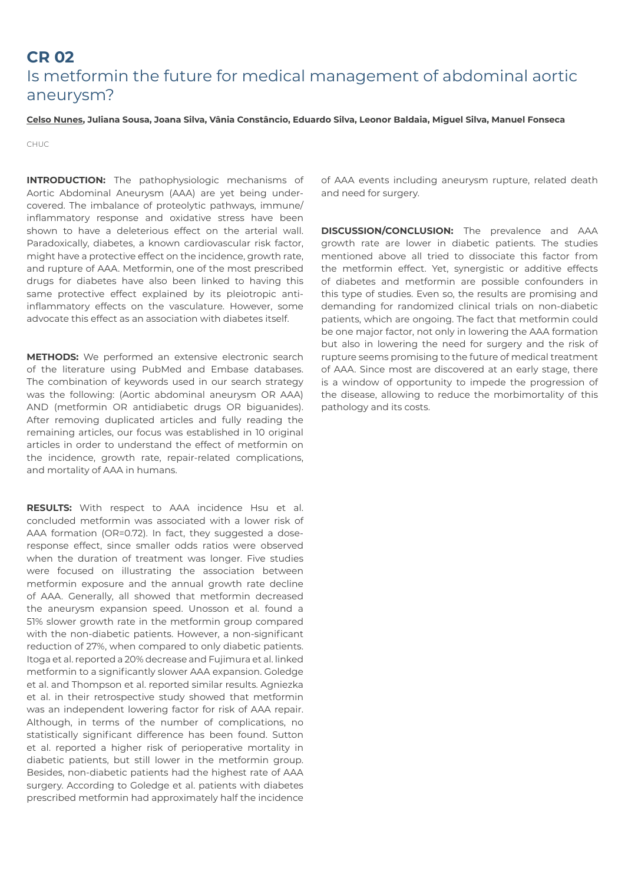## **CR 02** Is metformin the future for medical management of abdominal aortic aneurysm?

#### **Celso Nunes, Juliana Sousa, Joana Silva, Vânia Constâncio, Eduardo Silva, Leonor Baldaia, Miguel Silva, Manuel Fonseca**

CHUC

**INTRODUCTION:** The pathophysiologic mechanisms of Aortic Abdominal Aneurysm (AAA) are yet being undercovered. The imbalance of proteolytic pathways, immune/ inflammatory response and oxidative stress have been shown to have a deleterious effect on the arterial wall. Paradoxically, diabetes, a known cardiovascular risk factor, might have a protective effect on the incidence, growth rate, and rupture of AAA. Metformin, one of the most prescribed drugs for diabetes have also been linked to having this same protective effect explained by its pleiotropic antiinflammatory effects on the vasculature. However, some advocate this effect as an association with diabetes itself.

**METHODS:** We performed an extensive electronic search of the literature using PubMed and Embase databases. The combination of keywords used in our search strategy was the following: (Aortic abdominal aneurysm OR AAA) AND (metformin OR antidiabetic drugs OR biguanides). After removing duplicated articles and fully reading the remaining articles, our focus was established in 10 original articles in order to understand the effect of metformin on the incidence, growth rate, repair-related complications, and mortality of AAA in humans.

**RESULTS:** With respect to AAA incidence Hsu et al. concluded metformin was associated with a lower risk of AAA formation (OR=0.72). In fact, they suggested a doseresponse effect, since smaller odds ratios were observed when the duration of treatment was longer. Five studies were focused on illustrating the association between metformin exposure and the annual growth rate decline of AAA. Generally, all showed that metformin decreased the aneurysm expansion speed. Unosson et al. found a 51% slower growth rate in the metformin group compared with the non-diabetic patients. However, a non-significant reduction of 27%, when compared to only diabetic patients. Itoga et al. reported a 20% decrease and Fujimura et al. linked metformin to a significantly slower AAA expansion. Goledge et al. and Thompson et al. reported similar results. Agniezka et al. in their retrospective study showed that metformin was an independent lowering factor for risk of AAA repair. Although, in terms of the number of complications, no statistically significant difference has been found. Sutton et al. reported a higher risk of perioperative mortality in diabetic patients, but still lower in the metformin group. Besides, non-diabetic patients had the highest rate of AAA surgery. According to Goledge et al. patients with diabetes prescribed metformin had approximately half the incidence

of AAA events including aneurysm rupture, related death and need for surgery.

**DISCUSSION/CONCLUSION:** The prevalence and AAA growth rate are lower in diabetic patients. The studies mentioned above all tried to dissociate this factor from the metformin effect. Yet, synergistic or additive effects of diabetes and metformin are possible confounders in this type of studies. Even so, the results are promising and demanding for randomized clinical trials on non-diabetic patients, which are ongoing. The fact that metformin could be one major factor, not only in lowering the AAA formation but also in lowering the need for surgery and the risk of rupture seems promising to the future of medical treatment of AAA. Since most are discovered at an early stage, there is a window of opportunity to impede the progression of the disease, allowing to reduce the morbimortality of this pathology and its costs.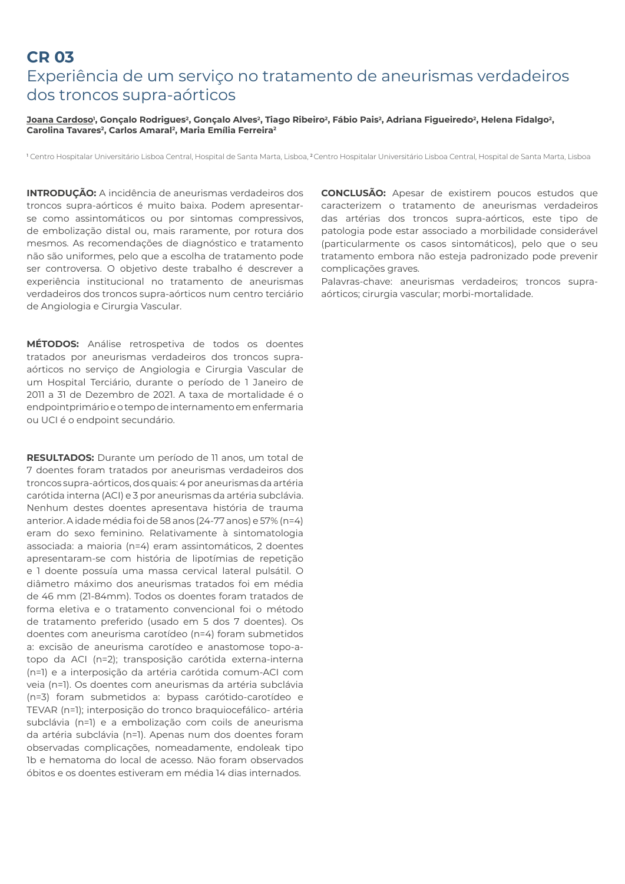# **CR 03**  Experiência de um serviço no tratamento de aneurismas verdadeiros dos troncos supra-aórticos

### <u>Joana Cardoso</u>', Gonçalo Rodrigues<sup>2</sup>, Gonçalo Alves<sup>2</sup>, Tiago Ribeiro<sup>2</sup>, Fábio Pais<sup>2</sup>, Adriana Figueiredo<sup>2</sup>, Helena Fidalgo<sup>2</sup>, Carolina Tavares<sup>2</sup>, Carlos Amaral<sup>2</sup>, Maria Emília Ferreira<sup>2</sup>

<sup>1</sup> Centro Hospitalar Universitário Lisboa Central, Hospital de Santa Marta, Lisboa, <sup>2</sup> Centro Hospitalar Universitário Lisboa Central, Hospital de Santa Marta, Lisboa

**INTRODUÇÃO:** A incidência de aneurismas verdadeiros dos troncos supra-aórticos é muito baixa. Podem apresentarse como assintomáticos ou por sintomas compressivos, de embolização distal ou, mais raramente, por rotura dos mesmos. As recomendações de diagnóstico e tratamento não são uniformes, pelo que a escolha de tratamento pode ser controversa. O objetivo deste trabalho é descrever a experiência institucional no tratamento de aneurismas verdadeiros dos troncos supra-aórticos num centro terciário de Angiologia e Cirurgia Vascular.

**MÉTODOS:** Análise retrospetiva de todos os doentes tratados por aneurismas verdadeiros dos troncos supraaórticos no serviço de Angiologia e Cirurgia Vascular de um Hospital Terciário, durante o período de 1 Janeiro de 2011 a 31 de Dezembro de 2021. A taxa de mortalidade é o endpointprimário e o tempo de internamento em enfermaria ou UCI é o endpoint secundário.

**RESULTADOS:** Durante um período de 11 anos, um total de 7 doentes foram tratados por aneurismas verdadeiros dos troncos supra-aórticos, dos quais: 4 por aneurismas da artéria carótida interna (ACI) e 3 por aneurismas da artéria subclávia. Nenhum destes doentes apresentava história de trauma anterior. A idade média foi de 58 anos (24-77 anos) e 57% (n=4) eram do sexo feminino. Relativamente à sintomatologia associada: a maioria (n=4) eram assintomáticos, 2 doentes apresentaram-se com história de lipotímias de repetição e 1 doente possuía uma massa cervical lateral pulsátil. O diâmetro máximo dos aneurismas tratados foi em média de 46 mm (21-84mm). Todos os doentes foram tratados de forma eletiva e o tratamento convencional foi o método de tratamento preferido (usado em 5 dos 7 doentes). Os doentes com aneurisma carotídeo (n=4) foram submetidos a: excisão de aneurisma carotídeo e anastomose topo-atopo da ACI (n=2); transposição carótida externa-interna (n=1) e a interposição da artéria carótida comum-ACI com veia (n=1). Os doentes com aneurismas da artéria subclávia (n=3) foram submetidos a: bypass carótido-carotídeo e TEVAR (n=1); interposição do tronco braquiocefálico- artéria subclávia (n=1) e a embolização com coils de aneurisma da artéria subclávia (n=1). Apenas num dos doentes foram observadas complicações, nomeadamente, endoleak tipo 1b e hematoma do local de acesso. Näo foram observados óbitos e os doentes estiveram em média 14 dias internados.

**CONCLUSÃO:** Apesar de existirem poucos estudos que caracterizem o tratamento de aneurismas verdadeiros das artérias dos troncos supra-aórticos, este tipo de patologia pode estar associado a morbilidade considerável (particularmente os casos sintomáticos), pelo que o seu tratamento embora não esteja padronizado pode prevenir complicações graves.

Palavras-chave: aneurismas verdadeiros; troncos supraaórticos; cirurgia vascular; morbi-mortalidade.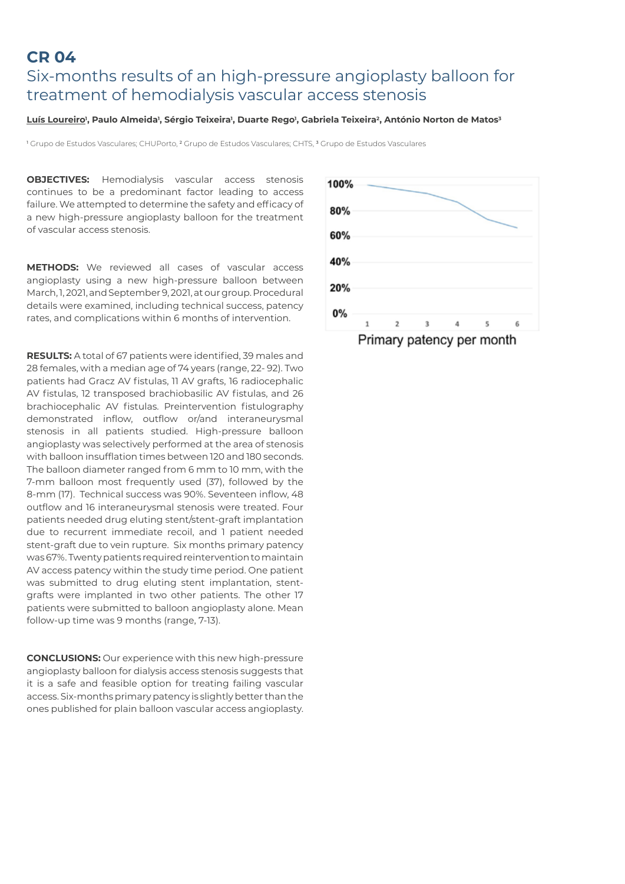### **CR 04** Six-months results of an high-pressure angioplasty balloon for treatment of hemodialysis vascular access stenosis

#### <u>Luís Loureiro</u>', Paulo Almeida', Sérgio Teixeira', Duarte Rego', Gabriela Teixeira<del>'</del>, António Norton de Matos<del>'</del>

<sup>1</sup> Grupo de Estudos Vasculares; CHUPorto, <sup>2</sup> Grupo de Estudos Vasculares; CHTS, <sup>3</sup> Grupo de Estudos Vasculares

**OBJECTIVES:** Hemodialysis vascular access stenosis continues to be a predominant factor leading to access failure. We attempted to determine the safety and efficacy of a new high-pressure angioplasty balloon for the treatment of vascular access stenosis.

**METHODS:** We reviewed all cases of vascular access angioplasty using a new high-pressure balloon between March, 1, 2021, and September 9, 2021, at our group. Procedural details were examined, including technical success, patency rates, and complications within 6 months of intervention.

**RESULTS:** A total of 67 patients were identified, 39 males and 28 females, with a median age of 74 years (range, 22- 92). Two patients had Gracz AV fistulas, 11 AV grafts, 16 radiocephalic AV fistulas, 12 transposed brachiobasilic AV fistulas, and 26 brachiocephalic AV fistulas. Preintervention fistulography demonstrated inflow, outflow or/and interaneurysmal stenosis in all patients studied. High-pressure balloon angioplasty was selectively performed at the area of stenosis with balloon insufflation times between 120 and 180 seconds. The balloon diameter ranged from 6 mm to 10 mm, with the 7-mm balloon most frequently used (37), followed by the 8-mm (17). Technical success was 90%. Seventeen inflow, 48 outflow and 16 interaneurysmal stenosis were treated. Four patients needed drug eluting stent/stent-graft implantation due to recurrent immediate recoil, and 1 patient needed stent-graft due to vein rupture. Six months primary patency was 67%. Twenty patients required reintervention to maintain AV access patency within the study time period. One patient was submitted to drug eluting stent implantation, stentgrafts were implanted in two other patients. The other 17 patients were submitted to balloon angioplasty alone. Mean follow-up time was 9 months (range, 7-13).

**CONCLUSIONS:** Our experience with this new high-pressure angioplasty balloon for dialysis access stenosis suggests that it is a safe and feasible option for treating failing vascular access. Six-months primary patency is slightly better than the ones published for plain balloon vascular access angioplasty.

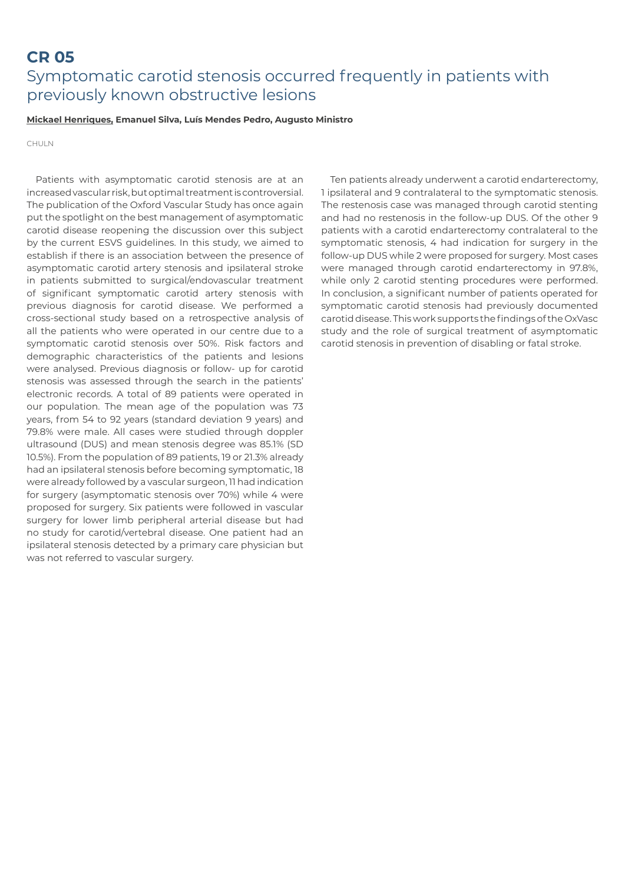### **CR 05**  Symptomatic carotid stenosis occurred frequently in patients with previously known obstructive lesions

#### **Mickael Henriques, Emanuel Silva, Luís Mendes Pedro, Augusto Ministro**

CHULN

Patients with asymptomatic carotid stenosis are at an increased vascular risk, but optimal treatment is controversial. The publication of the Oxford Vascular Study has once again put the spotlight on the best management of asymptomatic carotid disease reopening the discussion over this subject by the current ESVS guidelines. In this study, we aimed to establish if there is an association between the presence of asymptomatic carotid artery stenosis and ipsilateral stroke in patients submitted to surgical/endovascular treatment of significant symptomatic carotid artery stenosis with previous diagnosis for carotid disease. We performed a cross-sectional study based on a retrospective analysis of all the patients who were operated in our centre due to a symptomatic carotid stenosis over 50%. Risk factors and demographic characteristics of the patients and lesions were analysed. Previous diagnosis or follow- up for carotid stenosis was assessed through the search in the patients' electronic records. A total of 89 patients were operated in our population. The mean age of the population was 73 years, from 54 to 92 years (standard deviation 9 years) and 79.8% were male. All cases were studied through doppler ultrasound (DUS) and mean stenosis degree was 85.1% (SD 10.5%). From the population of 89 patients, 19 or 21.3% already had an ipsilateral stenosis before becoming symptomatic, 18 were already followed by a vascular surgeon, 11 had indication for surgery (asymptomatic stenosis over 70%) while 4 were proposed for surgery. Six patients were followed in vascular surgery for lower limb peripheral arterial disease but had no study for carotid/vertebral disease. One patient had an ipsilateral stenosis detected by a primary care physician but was not referred to vascular surgery.

Ten patients already underwent a carotid endarterectomy, 1 ipsilateral and 9 contralateral to the symptomatic stenosis. The restenosis case was managed through carotid stenting and had no restenosis in the follow-up DUS. Of the other 9 patients with a carotid endarterectomy contralateral to the symptomatic stenosis, 4 had indication for surgery in the follow-up DUS while 2 were proposed for surgery. Most cases were managed through carotid endarterectomy in 97.8%, while only 2 carotid stenting procedures were performed. In conclusion, a significant number of patients operated for symptomatic carotid stenosis had previously documented carotid disease. This work supports the findings of the OxVasc study and the role of surgical treatment of asymptomatic carotid stenosis in prevention of disabling or fatal stroke.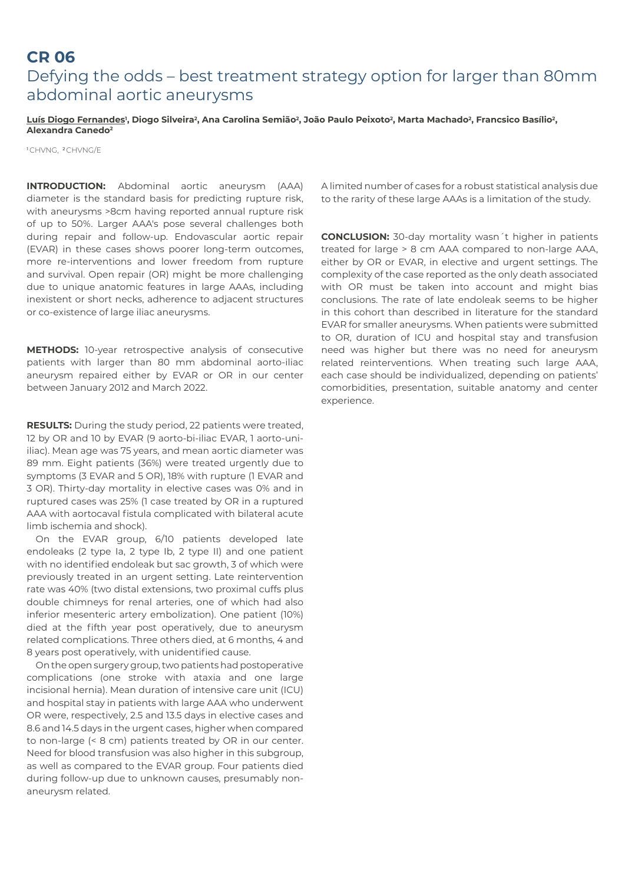### **CR 06** Defying the odds – best treatment strategy option for larger than 80mm abdominal aortic aneurysms

<u>Luís Diogo Fernandes</u>', Diogo Silveira<sup>2</sup>, Ana Carolina Semião<sup>2</sup>, João Paulo Peixoto<sup>2</sup>, Marta Machado<sup>2</sup>, Francsico Basílio<sup>2</sup>, **Alexandra Canedo2**

<sup>1</sup> CHVNG, <sup>2</sup> CHVNG/E

**INTRODUCTION:** Abdominal aortic aneurysm (AAA) diameter is the standard basis for predicting rupture risk, with aneurysms >8cm having reported annual rupture risk of up to 50%. Larger AAA's pose several challenges both during repair and follow-up. Endovascular aortic repair (EVAR) in these cases shows poorer long-term outcomes, more re-interventions and lower freedom from rupture and survival. Open repair (OR) might be more challenging due to unique anatomic features in large AAAs, including inexistent or short necks, adherence to adjacent structures or co-existence of large iliac aneurysms.

**METHODS:** 10-year retrospective analysis of consecutive patients with larger than 80 mm abdominal aorto-iliac aneurysm repaired either by EVAR or OR in our center between January 2012 and March 2022.

**RESULTS:** During the study period, 22 patients were treated, 12 by OR and 10 by EVAR (9 aorto-bi-iliac EVAR, 1 aorto-uniiliac). Mean age was 75 years, and mean aortic diameter was 89 mm. Eight patients (36%) were treated urgently due to symptoms (3 EVAR and 5 OR), 18% with rupture (1 EVAR and 3 OR). Thirty-day mortality in elective cases was 0% and in ruptured cases was 25% (1 case treated by OR in a ruptured AAA with aortocaval fistula complicated with bilateral acute limb ischemia and shock).

On the EVAR group, 6/10 patients developed late endoleaks (2 type Ia, 2 type Ib, 2 type II) and one patient with no identified endoleak but sac growth, 3 of which were previously treated in an urgent setting. Late reintervention rate was 40% (two distal extensions, two proximal cuffs plus double chimneys for renal arteries, one of which had also inferior mesenteric artery embolization). One patient (10%) died at the fifth year post operatively, due to aneurysm related complications. Three others died, at 6 months, 4 and 8 years post operatively, with unidentified cause.

On the open surgery group, two patients had postoperative complications (one stroke with ataxia and one large incisional hernia). Mean duration of intensive care unit (ICU) and hospital stay in patients with large AAA who underwent OR were, respectively, 2.5 and 13.5 days in elective cases and 8.6 and 14.5 days in the urgent cases, higher when compared to non-large (< 8 cm) patients treated by OR in our center. Need for blood transfusion was also higher in this subgroup, as well as compared to the EVAR group. Four patients died during follow-up due to unknown causes, presumably nonaneurysm related.

A limited number of cases for a robust statistical analysis due to the rarity of these large AAAs is a limitation of the study.

**CONCLUSION:** 30-day mortality wasn´t higher in patients treated for large > 8 cm AAA compared to non-large AAA, either by OR or EVAR, in elective and urgent settings. The complexity of the case reported as the only death associated with OR must be taken into account and might bias conclusions. The rate of late endoleak seems to be higher in this cohort than described in literature for the standard EVAR for smaller aneurysms. When patients were submitted to OR, duration of ICU and hospital stay and transfusion need was higher but there was no need for aneurysm related reinterventions. When treating such large AAA, each case should be individualized, depending on patients' comorbidities, presentation, suitable anatomy and center experience.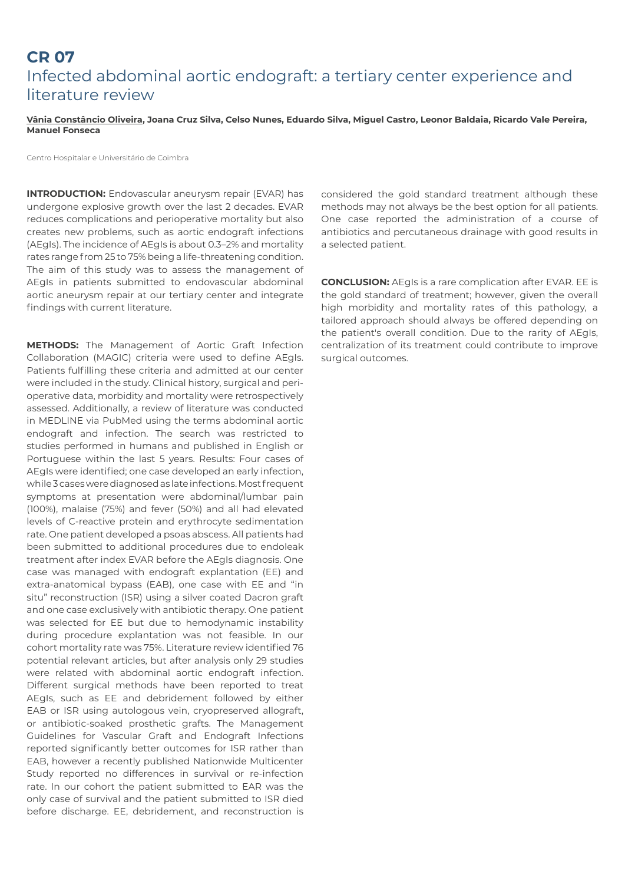# **CR 07**  Infected abdominal aortic endograft: a tertiary center experience and literature review

#### **Vânia Constâncio Oliveira, Joana Cruz Silva, Celso Nunes, Eduardo Silva, Miguel Castro, Leonor Baldaia, Ricardo Vale Pereira, Manuel Fonseca**

Centro Hospitalar e Universitário de Coimbra

**INTRODUCTION:** Endovascular aneurysm repair (EVAR) has undergone explosive growth over the last 2 decades. EVAR reduces complications and perioperative mortality but also creates new problems, such as aortic endograft infections (AEgIs). The incidence of AEgIs is about 0.3–2% and mortality rates range from 25 to 75% being a life-threatening condition. The aim of this study was to assess the management of AEgIs in patients submitted to endovascular abdominal aortic aneurysm repair at our tertiary center and integrate findings with current literature.

**METHODS:** The Management of Aortic Graft Infection Collaboration (MAGIC) criteria were used to define AEgIs. Patients fulfilling these criteria and admitted at our center were included in the study. Clinical history, surgical and perioperative data, morbidity and mortality were retrospectively assessed. Additionally, a review of literature was conducted in MEDLINE via PubMed using the terms abdominal aortic endograft and infection. The search was restricted to studies performed in humans and published in English or Portuguese within the last 5 years. Results: Four cases of AEgIs were identified; one case developed an early infection, while 3 cases were diagnosed as late infections. Most frequent symptoms at presentation were abdominal/lumbar pain (100%), malaise (75%) and fever (50%) and all had elevated levels of C-reactive protein and erythrocyte sedimentation rate. One patient developed a psoas abscess. All patients had been submitted to additional procedures due to endoleak treatment after index EVAR before the AEgIs diagnosis. One case was managed with endograft explantation (EE) and extra-anatomical bypass (EAB), one case with EE and "in situ" reconstruction (ISR) using a silver coated Dacron graft and one case exclusively with antibiotic therapy. One patient was selected for EE but due to hemodynamic instability during procedure explantation was not feasible. In our cohort mortality rate was 75%. Literature review identified 76 potential relevant articles, but after analysis only 29 studies were related with abdominal aortic endograft infection. Different surgical methods have been reported to treat AEgIs, such as EE and debridement followed by either EAB or ISR using autologous vein, cryopreserved allograft, or antibiotic-soaked prosthetic grafts. The Management Guidelines for Vascular Graft and Endograft Infections reported significantly better outcomes for ISR rather than EAB, however a recently published Nationwide Multicenter Study reported no differences in survival or re-infection rate. In our cohort the patient submitted to EAR was the only case of survival and the patient submitted to ISR died before discharge. EE, debridement, and reconstruction is

considered the gold standard treatment although these methods may not always be the best option for all patients. One case reported the administration of a course of antibiotics and percutaneous drainage with good results in a selected patient.

**CONCLUSION:** AEgIs is a rare complication after EVAR. EE is the gold standard of treatment; however, given the overall high morbidity and mortality rates of this pathology, a tailored approach should always be offered depending on the patient's overall condition. Due to the rarity of AEgIs, centralization of its treatment could contribute to improve surgical outcomes.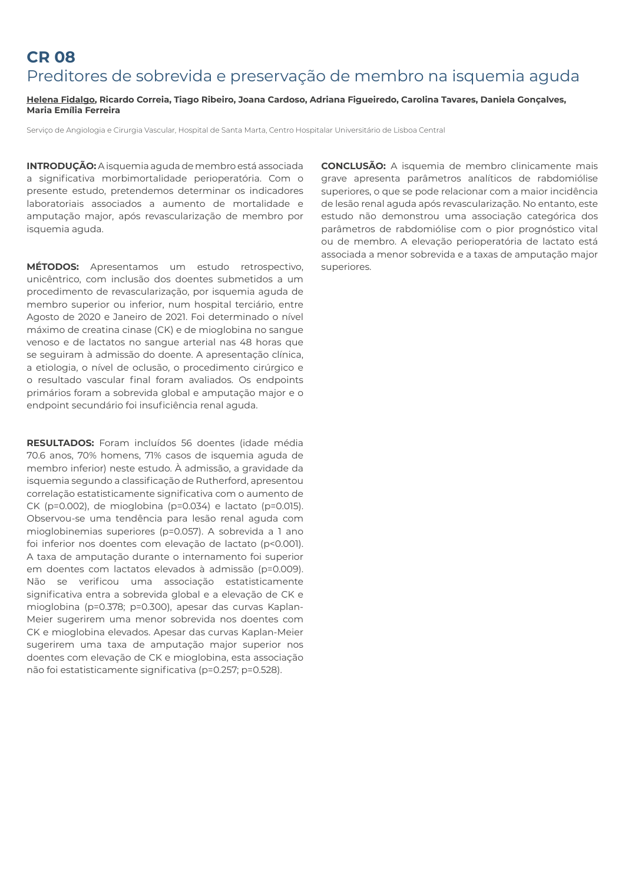# **CR 08** Preditores de sobrevida e preservação de membro na isquemia aguda

#### **Helena Fidalgo, Ricardo Correia, Tiago Ribeiro, Joana Cardoso, Adriana Figueiredo, Carolina Tavares, Daniela Gonçalves, Maria Emília Ferreira**

Serviço de Angiologia e Cirurgia Vascular, Hospital de Santa Marta, Centro Hospitalar Universitário de Lisboa Central

**INTRODUÇÃO:** A isquemia aguda de membro está associada a significativa morbimortalidade perioperatória. Com o presente estudo, pretendemos determinar os indicadores laboratoriais associados a aumento de mortalidade e amputação major, após revascularização de membro por isquemia aguda.

**MÉTODOS:** Apresentamos um estudo retrospectivo, unicêntrico, com inclusão dos doentes submetidos a um procedimento de revascularização, por isquemia aguda de membro superior ou inferior, num hospital terciário, entre Agosto de 2020 e Janeiro de 2021. Foi determinado o nível máximo de creatina cinase (CK) e de mioglobina no sangue venoso e de lactatos no sangue arterial nas 48 horas que se seguiram à admissão do doente. A apresentação clínica, a etiologia, o nível de oclusão, o procedimento cirúrgico e o resultado vascular final foram avaliados. Os endpoints primários foram a sobrevida global e amputação major e o endpoint secundário foi insuficiência renal aguda.

**RESULTADOS:** Foram incluídos 56 doentes (idade média 70.6 anos, 70% homens, 71% casos de isquemia aguda de membro inferior) neste estudo. À admissão, a gravidade da isquemia segundo a classificação de Rutherford, apresentou correlação estatisticamente significativa com o aumento de CK (p=0.002), de mioglobina (p=0.034) e lactato (p=0.015). Observou-se uma tendência para lesão renal aguda com mioglobinemias superiores (p=0.057). A sobrevida a 1 ano foi inferior nos doentes com elevação de lactato (p<0.001). A taxa de amputação durante o internamento foi superior em doentes com lactatos elevados à admissão (p=0.009). Não se verificou uma associação estatisticamente significativa entra a sobrevida global e a elevação de CK e mioglobina (p=0.378; p=0.300), apesar das curvas Kaplan-Meier sugerirem uma menor sobrevida nos doentes com CK e mioglobina elevados. Apesar das curvas Kaplan-Meier sugerirem uma taxa de amputação major superior nos doentes com elevação de CK e mioglobina, esta associação não foi estatisticamente significativa (p=0.257; p=0.528).

**CONCLUSÃO:** A isquemia de membro clinicamente mais grave apresenta parâmetros analíticos de rabdomiólise superiores, o que se pode relacionar com a maior incidência de lesão renal aguda após revascularização. No entanto, este estudo não demonstrou uma associação categórica dos parâmetros de rabdomiólise com o pior prognóstico vital ou de membro. A elevação perioperatória de lactato está associada a menor sobrevida e a taxas de amputação major superiores.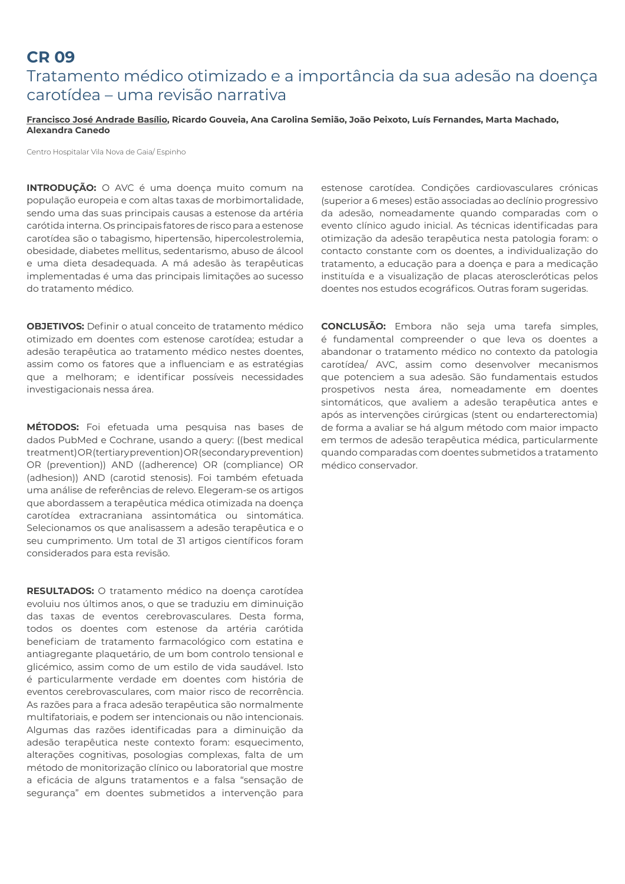### **CR 09**

## Tratamento médico otimizado e a importância da sua adesão na doença carotídea – uma revisão narrativa

#### **Francisco José Andrade Basílio, Ricardo Gouveia, Ana Carolina Semião, João Peixoto, Luís Fernandes, Marta Machado, Alexandra Canedo**

Centro Hospitalar Vila Nova de Gaia/ Espinho

**INTRODUÇÃO:** O AVC é uma doença muito comum na população europeia e com altas taxas de morbimortalidade, sendo uma das suas principais causas a estenose da artéria carótida interna. Os principais fatores de risco para a estenose carotídea são o tabagismo, hipertensão, hipercolestrolemia, obesidade, diabetes mellitus, sedentarismo, abuso de álcool e uma dieta desadequada. A má adesão às terapêuticas implementadas é uma das principais limitações ao sucesso do tratamento médico.

**OBJETIVOS:** Definir o atual conceito de tratamento médico otimizado em doentes com estenose carotídea; estudar a adesão terapêutica ao tratamento médico nestes doentes, assim como os fatores que a influenciam e as estratégias que a melhoram; e identificar possíveis necessidades investigacionais nessa área.

**MÉTODOS:** Foi efetuada uma pesquisa nas bases de dados PubMed e Cochrane, usando a query: ((best medical treatment) OR (tertiary prevention) OR (secondary prevention) OR (prevention)) AND ((adherence) OR (compliance) OR (adhesion)) AND (carotid stenosis). Foi também efetuada uma análise de referências de relevo. Elegeram-se os artigos que abordassem a terapêutica médica otimizada na doença carotídea extracraniana assintomática ou sintomática. Selecionamos os que analisassem a adesão terapêutica e o seu cumprimento. Um total de 31 artigos científicos foram considerados para esta revisão.

**RESULTADOS:** O tratamento médico na doença carotídea evoluiu nos últimos anos, o que se traduziu em diminuição das taxas de eventos cerebrovasculares. Desta forma, todos os doentes com estenose da artéria carótida beneficiam de tratamento farmacológico com estatina e antiagregante plaquetário, de um bom controlo tensional e glicémico, assim como de um estilo de vida saudável. Isto é particularmente verdade em doentes com história de eventos cerebrovasculares, com maior risco de recorrência. As razões para a fraca adesão terapêutica são normalmente multifatoriais, e podem ser intencionais ou não intencionais. Algumas das razões identificadas para a diminuição da adesão terapêutica neste contexto foram: esquecimento, alterações cognitivas, posologias complexas, falta de um método de monitorização clínico ou laboratorial que mostre a eficácia de alguns tratamentos e a falsa "sensação de segurança" em doentes submetidos a intervenção para

estenose carotídea. Condições cardiovasculares crónicas (superior a 6 meses) estão associadas ao declínio progressivo da adesão, nomeadamente quando comparadas com o evento clínico agudo inicial. As técnicas identificadas para otimização da adesão terapêutica nesta patologia foram: o contacto constante com os doentes, a individualização do tratamento, a educação para a doença e para a medicação instituída e a visualização de placas ateroscleróticas pelos doentes nos estudos ecográficos. Outras foram sugeridas.

**CONCLUSÃO:** Embora não seja uma tarefa simples, é fundamental compreender o que leva os doentes a abandonar o tratamento médico no contexto da patologia carotídea/ AVC, assim como desenvolver mecanismos que potenciem a sua adesão. São fundamentais estudos prospetivos nesta área, nomeadamente em doentes sintomáticos, que avaliem a adesão terapêutica antes e após as intervenções cirúrgicas (stent ou endarterectomia) de forma a avaliar se há algum método com maior impacto em termos de adesão terapêutica médica, particularmente quando comparadas com doentes submetidos a tratamento médico conservador.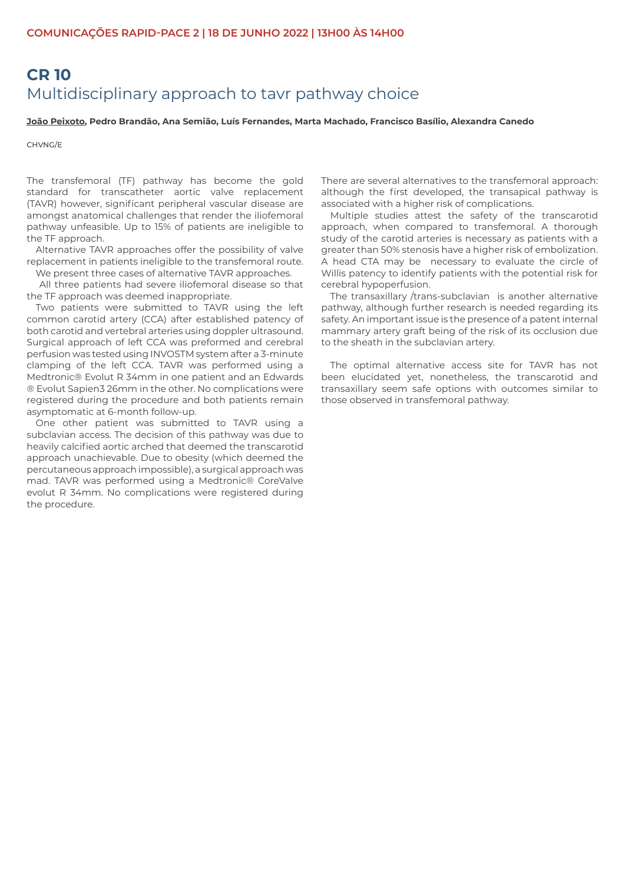# **CR 10**  Multidisciplinary approach to tavr pathway choice

**João Peixoto, Pedro Brandão, Ana Semião, Luís Fernandes, Marta Machado, Francisco Basílio, Alexandra Canedo**

CHVNG/E

The transfemoral (TF) pathway has become the gold standard for transcatheter aortic valve replacement (TAVR) however, significant peripheral vascular disease are amongst anatomical challenges that render the iliofemoral pathway unfeasible. Up to 15% of patients are ineligible to the TF approach.

Alternative TAVR approaches offer the possibility of valve replacement in patients ineligible to the transfemoral route. We present three cases of alternative TAVR approaches.

 All three patients had severe iliofemoral disease so that the TF approach was deemed inappropriate.

Two patients were submitted to TAVR using the left common carotid artery (CCA) after established patency of both carotid and vertebral arteries using doppler ultrasound. Surgical approach of left CCA was preformed and cerebral perfusion was tested using INVOSTM system after a 3-minute clamping of the left CCA. TAVR was performed using a Medtronic® Evolut R 34mm in one patient and an Edwards ® Evolut Sapien3 26mm in the other. No complications were registered during the procedure and both patients remain asymptomatic at 6-month follow-up.

One other patient was submitted to TAVR using a subclavian access. The decision of this pathway was due to heavily calcified aortic arched that deemed the transcarotid approach unachievable. Due to obesity (which deemed the percutaneous approach impossible), a surgical approach was mad. TAVR was performed using a Medtronic® CoreValve evolut R 34mm. No complications were registered during the procedure.

There are several alternatives to the transfemoral approach: although the first developed, the transapical pathway is associated with a higher risk of complications.

Multiple studies attest the safety of the transcarotid approach, when compared to transfemoral. A thorough study of the carotid arteries is necessary as patients with a greater than 50% stenosis have a higher risk of embolization. A head CTA may be necessary to evaluate the circle of Willis patency to identify patients with the potential risk for cerebral hypoperfusion.

The transaxillary /trans-subclavian is another alternative pathway, although further research is needed regarding its safety. An important issue is the presence of a patent internal mammary artery graft being of the risk of its occlusion due to the sheath in the subclavian artery.

The optimal alternative access site for TAVR has not been elucidated yet, nonetheless, the transcarotid and transaxillary seem safe options with outcomes similar to those observed in transfemoral pathway.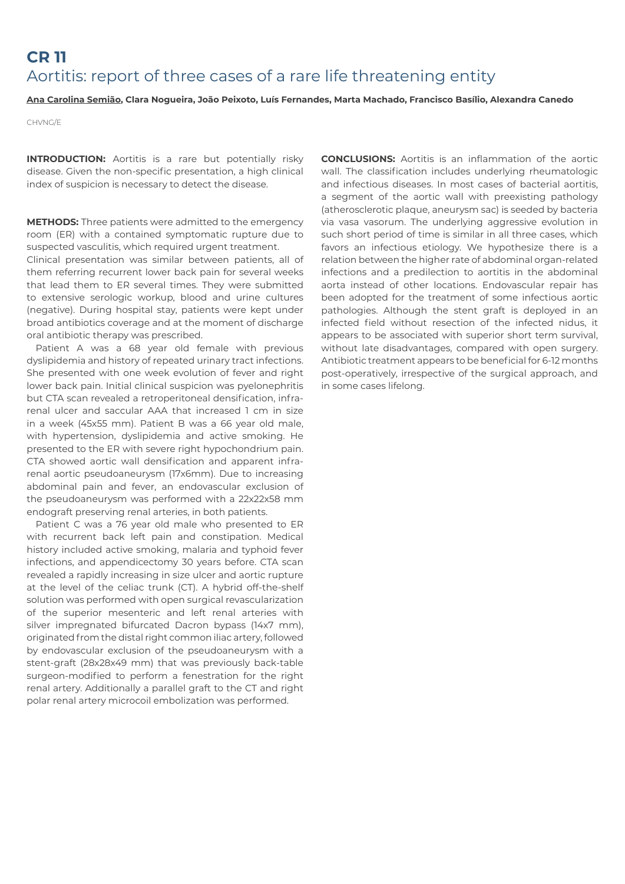# **CR 11**  Aortitis: report of three cases of a rare life threatening entity

#### **Ana Carolina Semião, Clara Nogueira, João Peixoto, Luís Fernandes, Marta Machado, Francisco Basílio, Alexandra Canedo**

CHVNG/E

**INTRODUCTION:** Aortitis is a rare but potentially risky disease. Given the non-specific presentation, a high clinical index of suspicion is necessary to detect the disease.

**METHODS:** Three patients were admitted to the emergency room (ER) with a contained symptomatic rupture due to suspected vasculitis, which required urgent treatment.

Clinical presentation was similar between patients, all of them referring recurrent lower back pain for several weeks that lead them to ER several times. They were submitted to extensive serologic workup, blood and urine cultures (negative). During hospital stay, patients were kept under broad antibiotics coverage and at the moment of discharge oral antibiotic therapy was prescribed.

Patient A was a 68 year old female with previous dyslipidemia and history of repeated urinary tract infections. She presented with one week evolution of fever and right lower back pain. Initial clinical suspicion was pyelonephritis but CTA scan revealed a retroperitoneal densification, infrarenal ulcer and saccular AAA that increased 1 cm in size in a week (45x55 mm). Patient B was a 66 year old male, with hypertension, dyslipidemia and active smoking. He presented to the ER with severe right hypochondrium pain. CTA showed aortic wall densification and apparent infrarenal aortic pseudoaneurysm (17x6mm). Due to increasing abdominal pain and fever, an endovascular exclusion of the pseudoaneurysm was performed with a 22x22x58 mm endograft preserving renal arteries, in both patients.

Patient C was a 76 year old male who presented to ER with recurrent back left pain and constipation. Medical history included active smoking, malaria and typhoid fever infections, and appendicectomy 30 years before. CTA scan revealed a rapidly increasing in size ulcer and aortic rupture at the level of the celiac trunk (CT). A hybrid off-the-shelf solution was performed with open surgical revascularization of the superior mesenteric and left renal arteries with silver impregnated bifurcated Dacron bypass (14x7 mm), originated from the distal right common iliac artery, followed by endovascular exclusion of the pseudoaneurysm with a stent-graft (28x28x49 mm) that was previously back-table surgeon-modified to perform a fenestration for the right renal artery. Additionally a parallel graft to the CT and right polar renal artery microcoil embolization was performed.

**CONCLUSIONS:** Aortitis is an inflammation of the aortic wall. The classification includes underlying rheumatologic and infectious diseases. In most cases of bacterial aortitis, a segment of the aortic wall with preexisting pathology (atherosclerotic plaque, aneurysm sac) is seeded by bacteria via vasa vasorum. The underlying aggressive evolution in such short period of time is similar in all three cases, which favors an infectious etiology. We hypothesize there is a relation between the higher rate of abdominal organ-related infections and a predilection to aortitis in the abdominal aorta instead of other locations. Endovascular repair has been adopted for the treatment of some infectious aortic pathologies. Although the stent graft is deployed in an infected field without resection of the infected nidus, it appears to be associated with superior short term survival, without late disadvantages, compared with open surgery. Antibiotic treatment appears to be beneficial for 6-12 months post-operatively, irrespective of the surgical approach, and in some cases lifelong.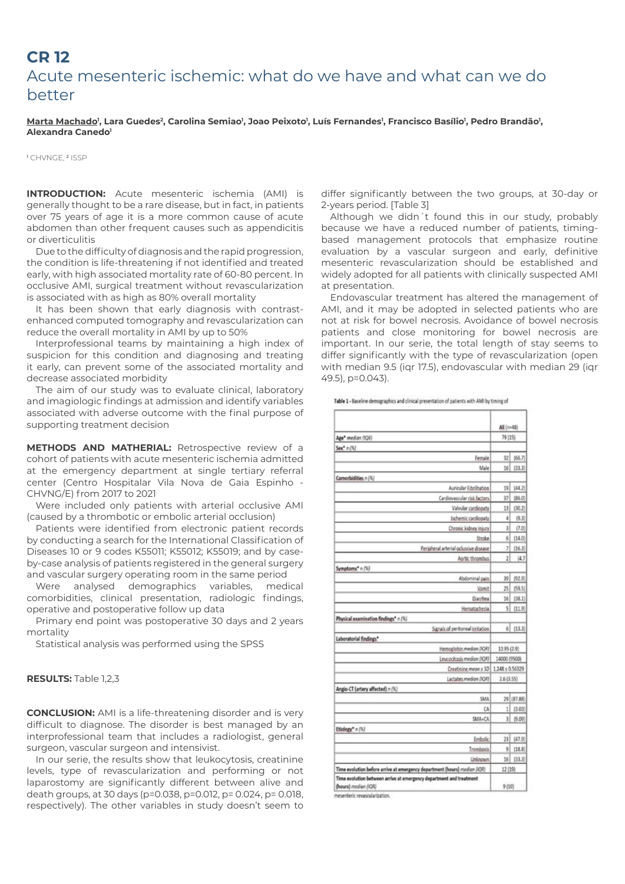### **CR 12**  Acute mesenteric ischemic: what do we have and what can we do better

<u>Marta Machado</u>', Lara Guedes<sup>2</sup>, Carolina Semiao', Joao Peixoto', Luís Fernandes', Francisco Basílio', Pedro Brandão', **Alexandra Canedo1**

<sup>1</sup> CHVNGE, <sup>2</sup> ISSP

**INTRODUCTION:** Acute mesenteric ischemia (AMI) is generally thought to be a rare disease, but in fact, in patients over 75 years of age it is a more common cause of acute abdomen than other frequent causes such as appendicitis or diverticulitis

Due to the difficulty of diagnosis and the rapid progression, the condition is life-threatening if not identified and treated early, with high associated mortality rate of 60-80 percent. In occlusive AMI, surgical treatment without revascularization is associated with as high as 80% overall mortality

It has been shown that early diagnosis with contrastenhanced computed tomography and revascularization can reduce the overall mortality in AMI by up to 50%

Interprofessional teams by maintaining a high index of suspicion for this condition and diagnosing and treating it early, can prevent some of the associated mortality and decrease associated morbidity

The aim of our study was to evaluate clinical, laboratory and imagiologic findings at admission and identify variables associated with adverse outcome with the final purpose of supporting treatment decision

**METHODS AND MATHERIAL:** Retrospective review of a cohort of patients with acute mesenteric ischemia admitted at the emergency department at single tertiary referral center (Centro Hospitalar Vila Nova de Gaia Espinho - CHVNG/E) from 2017 to 2021

Were included only patients with arterial occlusive AMI (caused by a thrombotic or embolic arterial occlusion)

Patients were identified from electronic patient records by conducting a search for the International Classification of Diseases 10 or 9 codes K55011; K55012; K55019; and by caseby-case analysis of patients registered in the general surgery and vascular surgery operating room in the same period

Were analysed demographics variables, medical comorbidities, clinical presentation, radiologic findings, operative and postoperative follow up data

Primary end point was postoperative 30 days and 2 years mortality

Statistical analysis was performed using the SPSS

#### **RESULTS: Table 1.2.3**

**CONCLUSION:** AMI is a life-threatening disorder and is very difficult to diagnose. The disorder is best managed by an interprofessional team that includes a radiologist, general surgeon, vascular surgeon and intensivist.

In our serie, the results show that leukocytosis, creatinine levels, type of revascularization and performing or not laparostomy are significantly different between alive and death groups, at 30 days (p=0.038, p=0.012, p= 0.024, p= 0.018, respectively). The other variables in study doesn't seem to differ significantly between the two groups, at 30-day or 2-years period. [Table 3]

Although we didn´t found this in our study, probably because we have a reduced number of patients, timingbased management protocols that emphasize routine evaluation by a vascular surgeon and early, definitive mesenteric revascularization should be established and widely adopted for all patients with clinically suspected AMI at presentation.

Endovascular treatment has altered the management of AMI, and it may be adopted in selected patients who are not at risk for bowel necrosis. Avoidance of bowel necrosis patients and close monitoring for bowel necrosis are important. In our serie, the total length of stay seems to differ significantly with the type of revascularization (open with median 9.5 (iqr 17.5), endovascular with median 29 (iqr 49.5), p=0.043).

|                                                                                             | All (n=48)          |            |
|---------------------------------------------------------------------------------------------|---------------------|------------|
| Age* median (IQR)                                                                           | 79 (15)             |            |
| Sex <sup>*</sup> $n(8)$                                                                     |                     |            |
| Female                                                                                      | 32                  | (66.7)     |
| Male                                                                                        | 16                  | (33.3)     |
| Comorbidities n (%)                                                                         |                     |            |
| Auricular Fibrilhation                                                                      | 19                  | (44.2)     |
| Cardiovascular risk factors.                                                                | 37                  | (86.0)     |
| Valvular cardiopaty                                                                         | 13                  | (30.2)     |
| Ischemic cardiopaty                                                                         | ă                   | (9.3)      |
| Chronic kidney injury.                                                                      | 3                   | (7.0)      |
| <b>Stroke</b>                                                                               | 6                   | (14.0)     |
| Peripheral arterial oclussive disease                                                       | 7                   | (16.3)     |
| Aortic thrombus                                                                             | $\overline{2}$      | (4.7       |
| Symptoms," n (%)                                                                            |                     |            |
| Abdominal pain                                                                              | 39                  | (92.9)     |
| Vomit                                                                                       | 25                  | (59.5)     |
| Diarrhea                                                                                    | 16                  | (38.1)     |
| Hematochezia                                                                                | sl                  | (11.9)     |
| Physical examination findings" n (%)                                                        |                     |            |
| Signals of peritoneal itritation                                                            | 61                  | (13.3)     |
| Laboratorial findings*                                                                      |                     |            |
| Hemoglobin.median (XQR)                                                                     | 12.95 (2.9)         |            |
| Leucocitasis median (IQR)                                                                   | 14000 (9500)        |            |
| Creatinine mean ± SD                                                                        | $1.248 \pm 0.56329$ |            |
| Lactabes medion (IQR)                                                                       | 2.6(3.55)           |            |
| Angio-CT (artery affected) n (%)                                                            |                     |            |
| SMA                                                                                         |                     | 29 (87.88) |
| ĆÁ                                                                                          | 11                  | (3.03)     |
| SMA=CA                                                                                      | 31                  | (9.09)     |
| Etiology, n (%)                                                                             |                     |            |
| Embolic                                                                                     | 23                  | (47.9)     |
| Trombosis                                                                                   | 9                   | (18.8)     |
| <b>Unknown</b>                                                                              | 15                  | (33.3)     |
| Time evolution before arrive at emergency department (hours) median (IQR)                   | 12 (19)             |            |
| Time evolution between arrive at emergency department and treatment<br>(hours) median (IQR) | 9(10)               |            |

Table 1 - Baseline demographics and clinical presentation of patients with AMI by timing of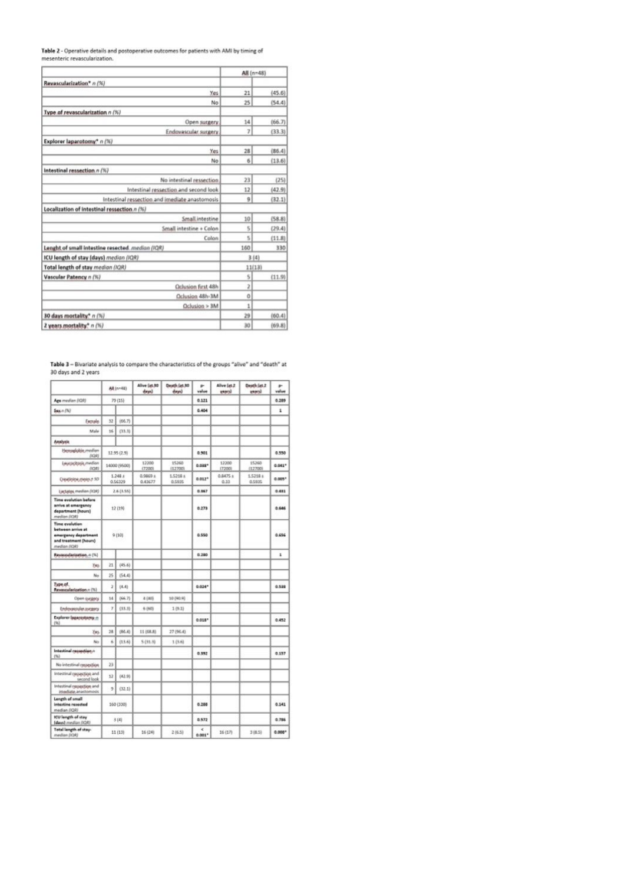Table 2 - Operative details and postoperative outcomes for patients with AMI by timing of<br>mesenteric revascularization.

|                                                  | All (n=48)     |        |
|--------------------------------------------------|----------------|--------|
| Revascularization* n (%)                         |                |        |
| Yes                                              | 21             | (45.6) |
| No                                               | 25             | (54.4) |
| Type of revascularization n (%)                  |                |        |
| Open surgery                                     | 14             | (66.7) |
| Endovascular surgery                             | $\overline{7}$ | (33.3) |
| Explorer laparotomy* n (%)                       |                |        |
| Yes                                              | 28             | (86.4) |
| No                                               | 6              | (13.6) |
| Intestinal ressection n (%)                      |                |        |
| No intestinal ressection                         | 23             | (25)   |
| Intestinal ressection and second look            | 12             | (42.9) |
| Intestinal ressection and imediate anastomosis   | 9              | (32.1) |
| Localization of intestinal ressection n (%)      |                |        |
| Small.intestine                                  | 10             | (58.8) |
| Small intestine + Colon                          | 5              | (29.4) |
| Colon                                            | 5              | (11.8) |
| Lenght of small intestine resected. median (IQR) | 160            | 330    |
| ICU length of stay (days) median (IQR)           | 3(4)           |        |
| Total length of stay median (IQR)                | 11(13)         |        |
| Vascular Patency n (%)                           | s              | (11.9) |
| Oclusion first 48h                               | 2              |        |
| Oclusion 48h-3M                                  | $\circ$        |        |
| Oclusion > 3M                                    | 1              |        |
| 30 days mortality* n (%)                         | 29             | (60.4) |
| 2 years mortality* n (%)                         | 30             | (69.8) |

Table 3 - Bivariate analysis to compare the characteristics of the groups "alive" and "death" at 30 days and 2 years

|                                                                                                             |            | All (n=48)             | Alive (at.30<br>days) | Death (at 30<br>days) | p.<br>value                        | Alive (at.2)<br><b>VANYA!</b> | Death (at.2)<br>Lousy | ÷<br>value |
|-------------------------------------------------------------------------------------------------------------|------------|------------------------|-----------------------|-----------------------|------------------------------------|-------------------------------|-----------------------|------------|
| Age median (IQR)                                                                                            |            | 79 (15)                |                       |                       | 0.121                              |                               |                       | 0.289      |
| $Sax + (N)$                                                                                                 |            |                        |                       |                       | 0.404                              |                               |                       | 1          |
| Excrude                                                                                                     | 32         | (66.7)                 |                       |                       |                                    |                               |                       |            |
| Male                                                                                                        | 16         | (33.3)                 |                       |                       |                                    |                               |                       |            |
| Analysis                                                                                                    |            |                        |                       |                       |                                    |                               |                       |            |
| Hemadobin median<br>(IGR)                                                                                   |            | 12.95 (2.9)            |                       |                       | 0.501                              |                               |                       | 0.550      |
| Leucocitosis median<br>(IQR)                                                                                |            | 14000 (9500)           | 12200<br>(7200)       | 15260<br>(12700)      | 0.033*                             | 12200<br>(7200)               | 15260<br>(12700)      | $0.041*$   |
| Dealing memory 3D                                                                                           |            | $1.248 \pm$<br>0.56329 | 0.9869 ±<br>0.43677   | 1,5218 ±<br>0.5935    | $0.012*$                           | 0.8475 ±<br>0.33              | 1.5218 x<br>0.5935    | $0.005*$   |
| Lactates median (IQR)                                                                                       |            | 2.6 (3.55)             |                       |                       | 0.867                              |                               |                       | 0.481      |
| <b>Time evolution before</b><br>arrive at emergency<br>department (hours)<br>median (ICM)                   | 12 (19)    |                        |                       |                       | 0.273                              |                               |                       | 0.646      |
| <b>Time evolution</b><br>between arrive at<br>emergency department<br>and treatment (hours)<br>median (IQR) | $(0t)$ $Q$ |                        |                       |                       | 0.550                              |                               |                       | 0.656      |
| Revassularization, n (%)                                                                                    |            |                        |                       |                       | 0.280                              |                               |                       | ĩ          |
| Yas                                                                                                         | 21         | (45.6)                 |                       |                       |                                    |                               |                       |            |
| No                                                                                                          | 25         | (54.4)                 |                       |                       |                                    |                               |                       |            |
| Type of.<br>Revascularization.n (%)                                                                         | ž          | (4.4)                  |                       |                       | $0.024*$                           |                               |                       | 0.522      |
| Open Grigory                                                                                                | 14         | (66.7)                 | 4 (40)                | 10 (90.9)             |                                    |                               |                       |            |
| Endorseular.sugary                                                                                          | 7          | (33.3)                 | 6 (60)                | 1(9.1)                |                                    |                               |                       |            |
| Explorer (agarastomy-n<br>(96)                                                                              |            |                        |                       |                       | $0.018*$                           |                               |                       | 0.452      |
| Yes.                                                                                                        | 28         | (86.4)                 | 11 (68.8)             | 27 (96.4)             |                                    |                               |                       |            |
| No                                                                                                          | ń          | (13.6)                 | 5(31.3)               | 1(3.6)                |                                    |                               |                       |            |
| Intestinal ressection.n<br>(96)                                                                             |            |                        |                       |                       | 0.392                              |                               |                       | 0.137      |
| No intestinal ressection                                                                                    | 23         |                        |                       |                       |                                    |                               |                       |            |
| Intestinal ressection and<br>second look                                                                    | 12         | (42.9)                 |                       |                       |                                    |                               |                       |            |
| Intestinal ressection and<br>imediate anastomosis                                                           | 3          | (32.1)                 |                       |                       |                                    |                               |                       |            |
| Length of small<br>intestine resected<br>median (IQR)                                                       |            | 160 (330)              |                       |                       | 0.288                              |                               |                       | 0.141      |
| ICU length of stay<br>(davs) median (IQR)                                                                   |            | 3(4)                   |                       |                       | 0.872                              |                               |                       | 0.786      |
| Total length of stay-<br><b>SECRITA confidence</b>                                                          |            | 11 (13)                | 16(24)                | 2(6.5)                | $\epsilon$<br>$0.001$ <sup>*</sup> | 16 (17)                       | 3 (8.5)               | $0.008*$   |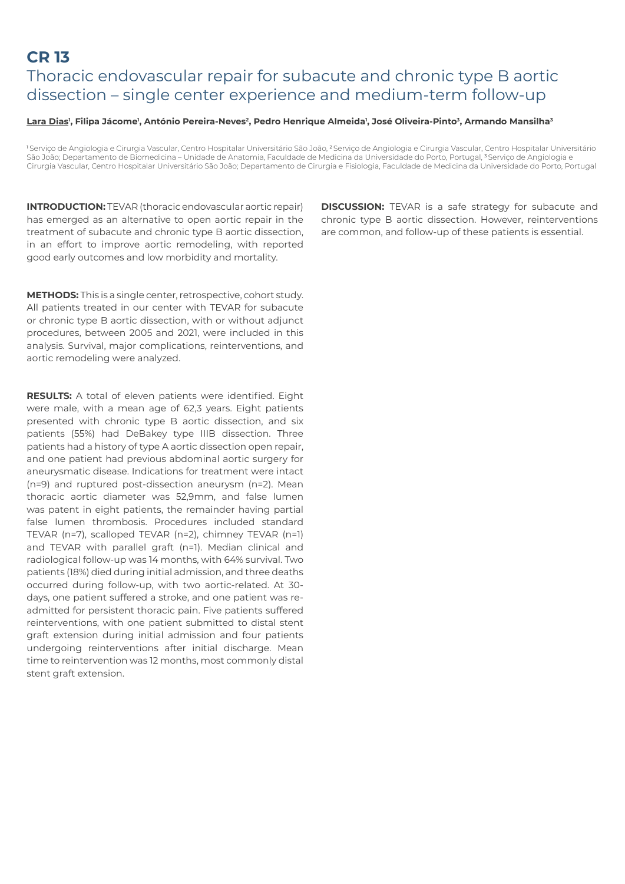# **CR 13**  Thoracic endovascular repair for subacute and chronic type B aortic dissection – single center experience and medium-term follow-up

#### **Lara Dias1 , Filipa Jácome1 , António Pereira-Neves2, Pedro Henrique Almeida1 , José Oliveira-Pinto3, Armando Mansilha3**

1Serviço de Angiologia e Cirurgia Vascular, Centro Hospitalar Universitário São João, <sup>2</sup>Serviço de Angiologia e Cirurgia Vascular, Centro Hospitalar Universitário São João; Departamento de Biomedicina – Unidade de Anatomia, Faculdade de Medicina da Universidade do Porto, Portugal, <sup>3</sup>Serviço de Angiologia e Cirurgia Vascular, Centro Hospitalar Universitário São João; Departamento de Cirurgia e Fisiologia, Faculdade de Medicina da Universidade do Porto, Portugal

**INTRODUCTION:** TEVAR (thoracic endovascular aortic repair) has emerged as an alternative to open aortic repair in the treatment of subacute and chronic type B aortic dissection, in an effort to improve aortic remodeling, with reported good early outcomes and low morbidity and mortality.

**METHODS:** This is a single center, retrospective, cohort study. All patients treated in our center with TEVAR for subacute or chronic type B aortic dissection, with or without adjunct procedures, between 2005 and 2021, were included in this analysis. Survival, major complications, reinterventions, and aortic remodeling were analyzed.

**RESULTS:** A total of eleven patients were identified. Eight were male, with a mean age of 62,3 years. Eight patients presented with chronic type B aortic dissection, and six patients (55%) had DeBakey type IIIB dissection. Three patients had a history of type A aortic dissection open repair, and one patient had previous abdominal aortic surgery for aneurysmatic disease. Indications for treatment were intact (n=9) and ruptured post-dissection aneurysm (n=2). Mean thoracic aortic diameter was 52,9mm, and false lumen was patent in eight patients, the remainder having partial false lumen thrombosis. Procedures included standard TEVAR (n=7), scalloped TEVAR (n=2), chimney TEVAR (n=1) and TEVAR with parallel graft (n=1). Median clinical and radiological follow-up was 14 months, with 64% survival. Two patients (18%) died during initial admission, and three deaths occurred during follow-up, with two aortic-related. At 30 days, one patient suffered a stroke, and one patient was readmitted for persistent thoracic pain. Five patients suffered reinterventions, with one patient submitted to distal stent graft extension during initial admission and four patients undergoing reinterventions after initial discharge. Mean time to reintervention was 12 months, most commonly distal stent graft extension.

**DISCUSSION:** TEVAR is a safe strategy for subacute and chronic type B aortic dissection. However, reinterventions are common, and follow-up of these patients is essential.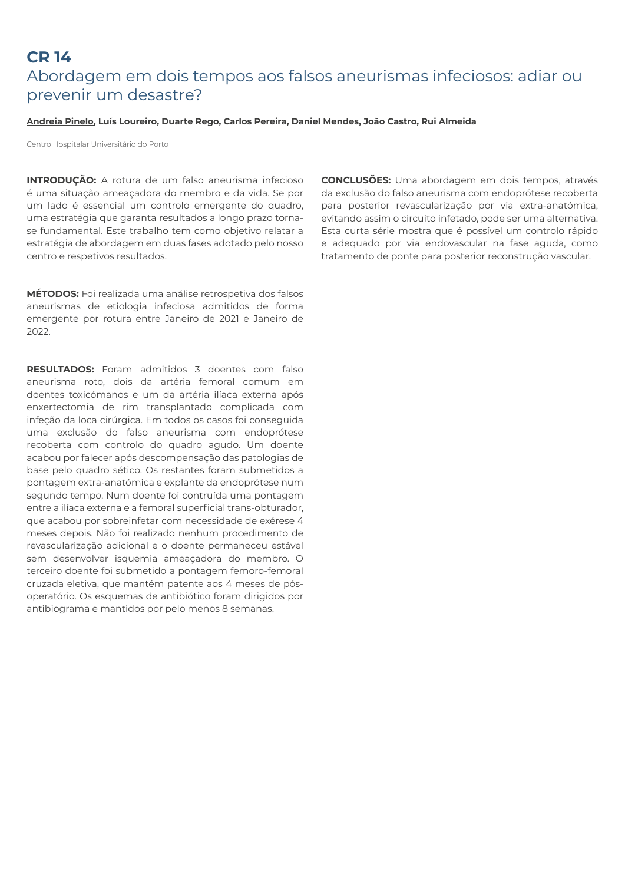# **CR 14**  Abordagem em dois tempos aos falsos aneurismas infeciosos: adiar ou prevenir um desastre?

#### **Andreia Pinelo, Luís Loureiro, Duarte Rego, Carlos Pereira, Daniel Mendes, João Castro, Rui Almeida**

Centro Hospitalar Universitário do Porto

**INTRODUÇÃO:** A rotura de um falso aneurisma infecioso é uma situação ameaçadora do membro e da vida. Se por um lado é essencial um controlo emergente do quadro, uma estratégia que garanta resultados a longo prazo tornase fundamental. Este trabalho tem como objetivo relatar a estratégia de abordagem em duas fases adotado pelo nosso centro e respetivos resultados.

**MÉTODOS:** Foi realizada uma análise retrospetiva dos falsos aneurismas de etiologia infeciosa admitidos de forma emergente por rotura entre Janeiro de 2021 e Janeiro de 2022.

**RESULTADOS:** Foram admitidos 3 doentes com falso aneurisma roto, dois da artéria femoral comum em doentes toxicómanos e um da artéria ilíaca externa após enxertectomia de rim transplantado complicada com infeção da loca cirúrgica. Em todos os casos foi conseguida uma exclusão do falso aneurisma com endoprótese recoberta com controlo do quadro agudo. Um doente acabou por falecer após descompensação das patologias de base pelo quadro sético. Os restantes foram submetidos a pontagem extra-anatómica e explante da endoprótese num segundo tempo. Num doente foi contruída uma pontagem entre a ilíaca externa e a femoral superficial trans-obturador, que acabou por sobreinfetar com necessidade de exérese 4 meses depois. Não foi realizado nenhum procedimento de revascularização adicional e o doente permaneceu estável sem desenvolver isquemia ameaçadora do membro. O terceiro doente foi submetido a pontagem femoro-femoral cruzada eletiva, que mantém patente aos 4 meses de pósoperatório. Os esquemas de antibiótico foram dirigidos por antibiograma e mantidos por pelo menos 8 semanas.

**CONCLUSÕES:** Uma abordagem em dois tempos, através da exclusão do falso aneurisma com endoprótese recoberta para posterior revascularização por via extra-anatómica, evitando assim o circuito infetado, pode ser uma alternativa. Esta curta série mostra que é possível um controlo rápido e adequado por via endovascular na fase aguda, como tratamento de ponte para posterior reconstrução vascular.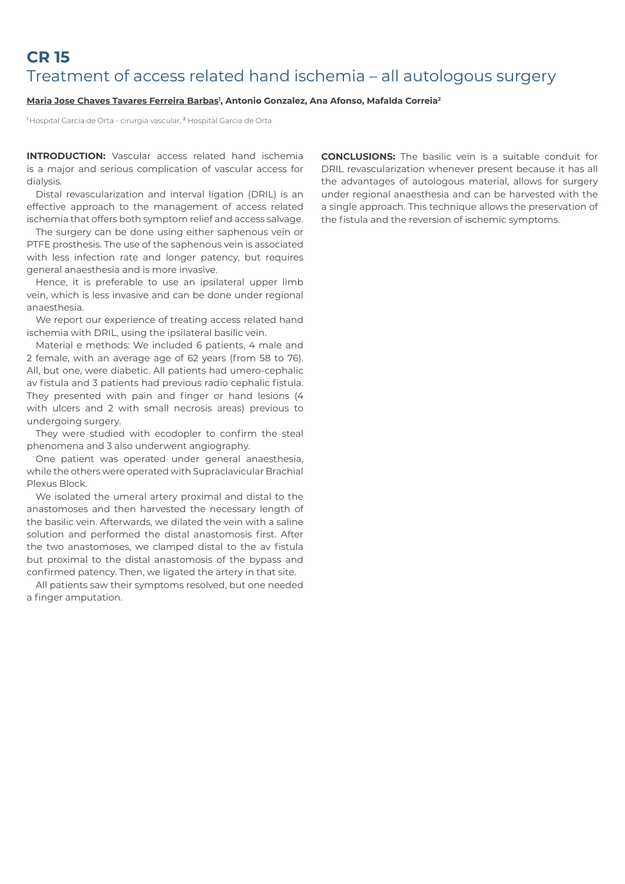# **CR 15**  Treatment of access related hand ischemia – all autologous surgery

#### **Maria Jose Chaves Tavares Ferreira Barbas1 , Antonio Gonzalez, Ana Afonso, Mafalda Correia2**

1 Hospital Garcia de Orta - cirurgia vascular, 2 Hospital Garcia de Orta

**INTRODUCTION:** Vascular access related hand ischemia is a major and serious complication of vascular access for dialysis.

Distal revascularization and interval ligation (DRIL) is an effective approach to the management of access related ischemia that offers both symptom relief and access salvage.

The surgery can be done using either saphenous vein or PTFE prosthesis. The use of the saphenous vein is associated with less infection rate and longer patency, but requires general anaesthesia and is more invasive.

Hence, it is preferable to use an ipsilateral upper limb vein, which is less invasive and can be done under regional anaesthesia.

We report our experience of treating access related hand ischemia with DRIL, using the ipsilateral basilic vein.

Material e methods: We included 6 patients, 4 male and 2 female, with an average age of 62 years (from 58 to 76). All, but one, were diabetic. All patients had umero-cephalic av fistula and 3 patients had previous radio cephalic fistula. They presented with pain and finger or hand lesions (4 with ulcers and 2 with small necrosis areas) previous to undergoing surgery.

They were studied with ecodopler to confirm the steal phenomena and 3 also underwent angiography.

One patient was operated under general anaesthesia, while the others were operated with Supraclavicular Brachial Plexus Block.

We isolated the umeral artery proximal and distal to the anastomoses and then harvested the necessary length of the basilic vein. Afterwards, we dilated the vein with a saline solution and performed the distal anastomosis first. After the two anastomoses, we clamped distal to the av fistula but proximal to the distal anastomosis of the bypass and confirmed patency. Then, we ligated the artery in that site.

All patients saw their symptoms resolved, but one needed a finger amputation.

**CONCLUSIONS:** The basilic vein is a suitable conduit for DRIL revascularization whenever present because it has all the advantages of autologous material, allows for surgery under regional anaesthesia and can be harvested with the a single approach. This technique allows the preservation of the fistula and the reversion of ischemic symptoms.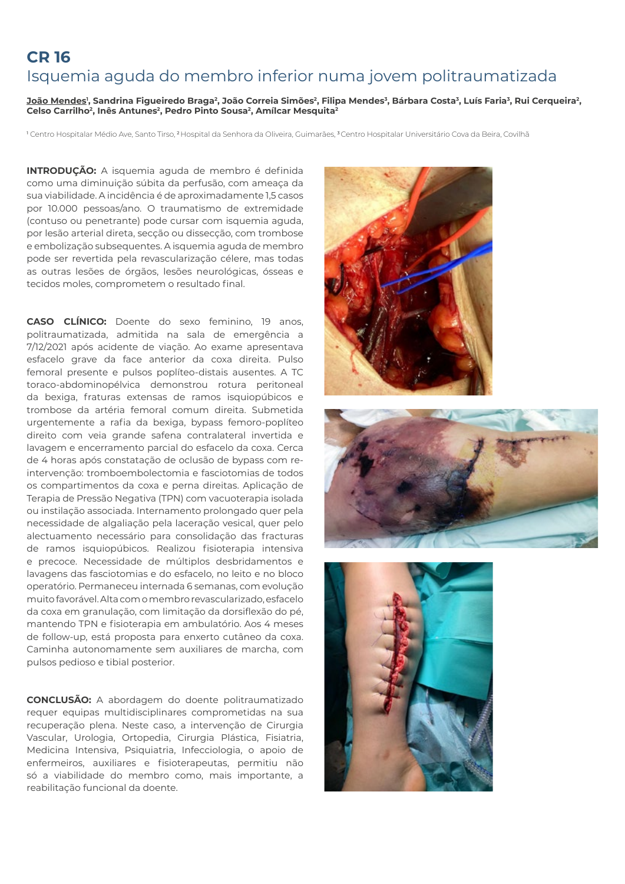# **CR 16**  Isquemia aguda do membro inferior numa jovem politraumatizada

<u>João Mendes</u>', Sandrina Figueiredo Braga<sup>2</sup>, João Correia Simões<sup>2</sup>, Filipa Mendes<sup>3</sup>, Bárbara Costa<sup>3</sup>, Luís Faria<sup>3</sup>, Rui Cerqueira<sup>2</sup>, Celso Carrilho<sup>2</sup>, Inês Antunes<sup>2</sup>, Pedro Pinto Sousa<sup>2</sup>, Amílcar Mesquita<sup>2</sup>

1 Centro Hospitalar Médio Ave, Santo Tirso, 2 Hospital da Senhora da Oliveira, Guimarães, 3 Centro Hospitalar Universitário Cova da Beira, Covilhã

**INTRODUÇÃO:** A isquemia aguda de membro é definida como uma diminuição súbita da perfusão, com ameaça da sua viabilidade. A incidência é de aproximadamente 1,5 casos por 10.000 pessoas/ano. O traumatismo de extremidade (contuso ou penetrante) pode cursar com isquemia aguda, por lesão arterial direta, secção ou dissecção, com trombose e embolização subsequentes. A isquemia aguda de membro pode ser revertida pela revascularização célere, mas todas as outras lesões de órgãos, lesões neurológicas, ósseas e tecidos moles, comprometem o resultado final.

**CASO CLÍNICO:** Doente do sexo feminino, 19 anos, politraumatizada, admitida na sala de emergência a 7/12/2021 após acidente de viação. Ao exame apresentava esfacelo grave da face anterior da coxa direita. Pulso femoral presente e pulsos poplíteo-distais ausentes. A TC toraco-abdominopélvica demonstrou rotura peritoneal da bexiga, fraturas extensas de ramos isquiopúbicos e trombose da artéria femoral comum direita. Submetida urgentemente a rafia da bexiga, bypass femoro-poplíteo direito com veia grande safena contralateral invertida e lavagem e encerramento parcial do esfacelo da coxa. Cerca de 4 horas após constatação de oclusão de bypass com reintervenção: tromboembolectomia e fasciotomias de todos os compartimentos da coxa e perna direitas. Aplicação de Terapia de Pressão Negativa (TPN) com vacuoterapia isolada ou instilação associada. Internamento prolongado quer pela necessidade de algaliação pela laceração vesical, quer pelo alectuamento necessário para consolidação das fracturas de ramos isquiopúbicos. Realizou fisioterapia intensiva e precoce. Necessidade de múltiplos desbridamentos e lavagens das fasciotomias e do esfacelo, no leito e no bloco operatório. Permaneceu internada 6 semanas, com evolução muito favorável. Alta com o membro revascularizado, esfacelo da coxa em granulação, com limitação da dorsiflexão do pé, mantendo TPN e fisioterapia em ambulatório. Aos 4 meses de follow-up, está proposta para enxerto cutâneo da coxa. Caminha autonomamente sem auxiliares de marcha, com pulsos pedioso e tibial posterior.

**CONCLUSÃO:** A abordagem do doente politraumatizado requer equipas multidisciplinares comprometidas na sua recuperação plena. Neste caso, a intervenção de Cirurgia Vascular, Urologia, Ortopedia, Cirurgia Plástica, Fisiatria, Medicina Intensiva, Psiquiatria, Infecciologia, o apoio de enfermeiros, auxiliares e fisioterapeutas, permitiu não só a viabilidade do membro como, mais importante, a reabilitação funcional da doente.





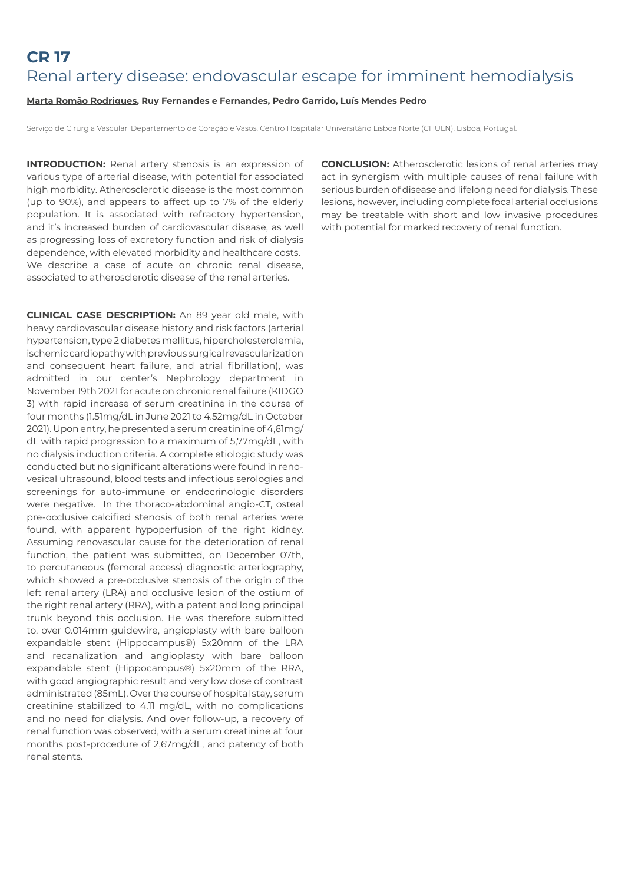# **CR 17**  Renal artery disease: endovascular escape for imminent hemodialysis

#### **Marta Romão Rodrigues, Ruy Fernandes e Fernandes, Pedro Garrido, Luís Mendes Pedro**

Serviço de Cirurgia Vascular, Departamento de Coração e Vasos, Centro Hospitalar Universitário Lisboa Norte (CHULN), Lisboa, Portugal.

**INTRODUCTION:** Renal artery stenosis is an expression of various type of arterial disease, with potential for associated high morbidity. Atherosclerotic disease is the most common (up to 90%), and appears to affect up to 7% of the elderly population. It is associated with refractory hypertension, and it's increased burden of cardiovascular disease, as well as progressing loss of excretory function and risk of dialysis dependence, with elevated morbidity and healthcare costs. We describe a case of acute on chronic renal disease, associated to atherosclerotic disease of the renal arteries.

**CLINICAL CASE DESCRIPTION:** An 89 year old male, with heavy cardiovascular disease history and risk factors (arterial hypertension, type 2 diabetes mellitus, hipercholesterolemia, ischemic cardiopathy with previous surgical revascularization and consequent heart failure, and atrial fibrillation), was admitted in our center's Nephrology department in November 19th 2021 for acute on chronic renal failure (KIDGO 3) with rapid increase of serum creatinine in the course of four months (1.51mg/dL in June 2021 to 4.52mg/dL in October 2021). Upon entry, he presented a serum creatinine of 4,61mg/ dL with rapid progression to a maximum of 5,77mg/dL, with no dialysis induction criteria. A complete etiologic study was conducted but no significant alterations were found in renovesical ultrasound, blood tests and infectious serologies and screenings for auto-immune or endocrinologic disorders were negative. In the thoraco-abdominal angio-CT, osteal pre-occlusive calcified stenosis of both renal arteries were found, with apparent hypoperfusion of the right kidney. Assuming renovascular cause for the deterioration of renal function, the patient was submitted, on December 07th, to percutaneous (femoral access) diagnostic arteriography, which showed a pre-occlusive stenosis of the origin of the left renal artery (LRA) and occlusive lesion of the ostium of the right renal artery (RRA), with a patent and long principal trunk beyond this occlusion. He was therefore submitted to, over 0.014mm guidewire, angioplasty with bare balloon expandable stent (Hippocampus®) 5x20mm of the LRA and recanalization and angioplasty with bare balloon expandable stent (Hippocampus®) 5x20mm of the RRA, with good angiographic result and very low dose of contrast administrated (85mL). Over the course of hospital stay, serum creatinine stabilized to 4.11 mg/dL, with no complications and no need for dialysis. And over follow-up, a recovery of renal function was observed, with a serum creatinine at four months post-procedure of 2,67mg/dL, and patency of both renal stents.

**CONCLUSION:** Atherosclerotic lesions of renal arteries may act in synergism with multiple causes of renal failure with serious burden of disease and lifelong need for dialysis. These lesions, however, including complete focal arterial occlusions may be treatable with short and low invasive procedures with potential for marked recovery of renal function.